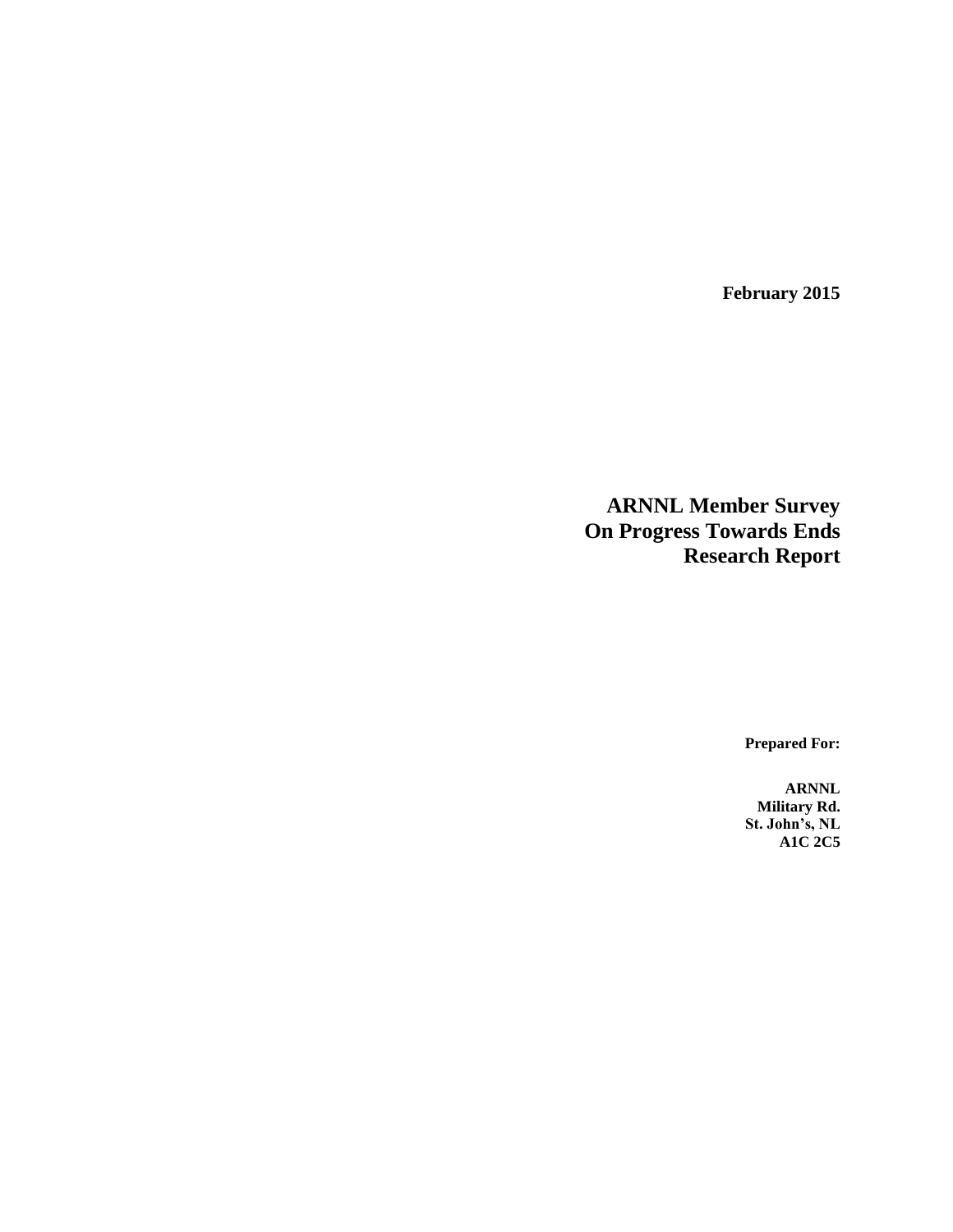**February 2015**

**ARNNL Member Survey On Progress Towards Ends Research Report**

**Prepared For:**

**ARNNL Military Rd. St. John's, NL A1C 2C5**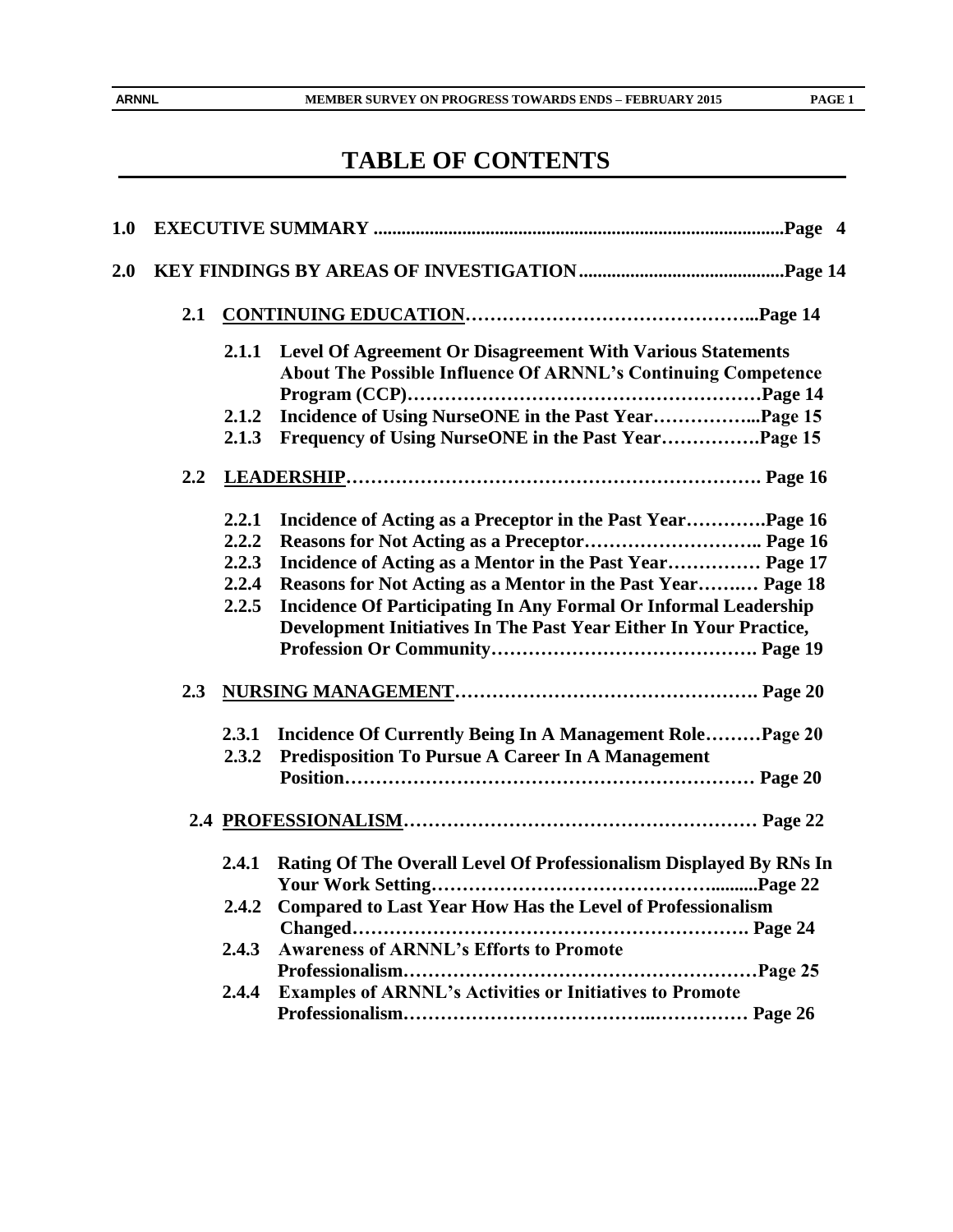$\hat{\mathcal{E}}$ 

 $\mathbf{r}$ 

# **TABLE OF CONTENTS**

| 1.0 |     |       |                                                                        |
|-----|-----|-------|------------------------------------------------------------------------|
| 2.0 |     |       |                                                                        |
|     | 2.1 |       |                                                                        |
|     |     | 2.1.1 | Level Of Agreement Or Disagreement With Various Statements             |
|     |     |       | About The Possible Influence Of ARNNL's Continuing Competence          |
|     |     |       |                                                                        |
|     |     | 2.1.2 | Incidence of Using NurseONE in the Past YearPage 15                    |
|     |     | 2.1.3 | Frequency of Using NurseONE in the Past YearPage 15                    |
|     | 2.2 |       |                                                                        |
|     |     | 2.2.1 | Incidence of Acting as a Preceptor in the Past Year Page 16            |
|     |     | 2.2.2 |                                                                        |
|     |     | 2.2.3 | Incidence of Acting as a Mentor in the Past Year Page 17               |
|     |     | 2.2.4 | Reasons for Not Acting as a Mentor in the Past Year Page 18            |
|     |     | 2.2.5 | <b>Incidence Of Participating In Any Formal Or Informal Leadership</b> |
|     |     |       | Development Initiatives In The Past Year Either In Your Practice,      |
|     |     |       |                                                                        |
|     | 2.3 |       |                                                                        |
|     |     |       | 2.3.1 Incidence Of Currently Being In A Management RolePage 20         |
|     |     | 2.3.2 | <b>Predisposition To Pursue A Career In A Management</b>               |
|     |     |       |                                                                        |
|     |     |       |                                                                        |
|     |     | 2.4.1 | Rating Of The Overall Level Of Professionalism Displayed By RNs In     |
|     |     | 2.4.2 | <b>Compared to Last Year How Has the Level of Professionalism</b>      |
|     |     |       |                                                                        |
|     |     | 2.4.3 | <b>Awareness of ARNNL's Efforts to Promote</b>                         |
|     |     |       |                                                                        |
|     |     | 2.4.4 | <b>Examples of ARNNL's Activities or Initiatives to Promote</b>        |
|     |     |       |                                                                        |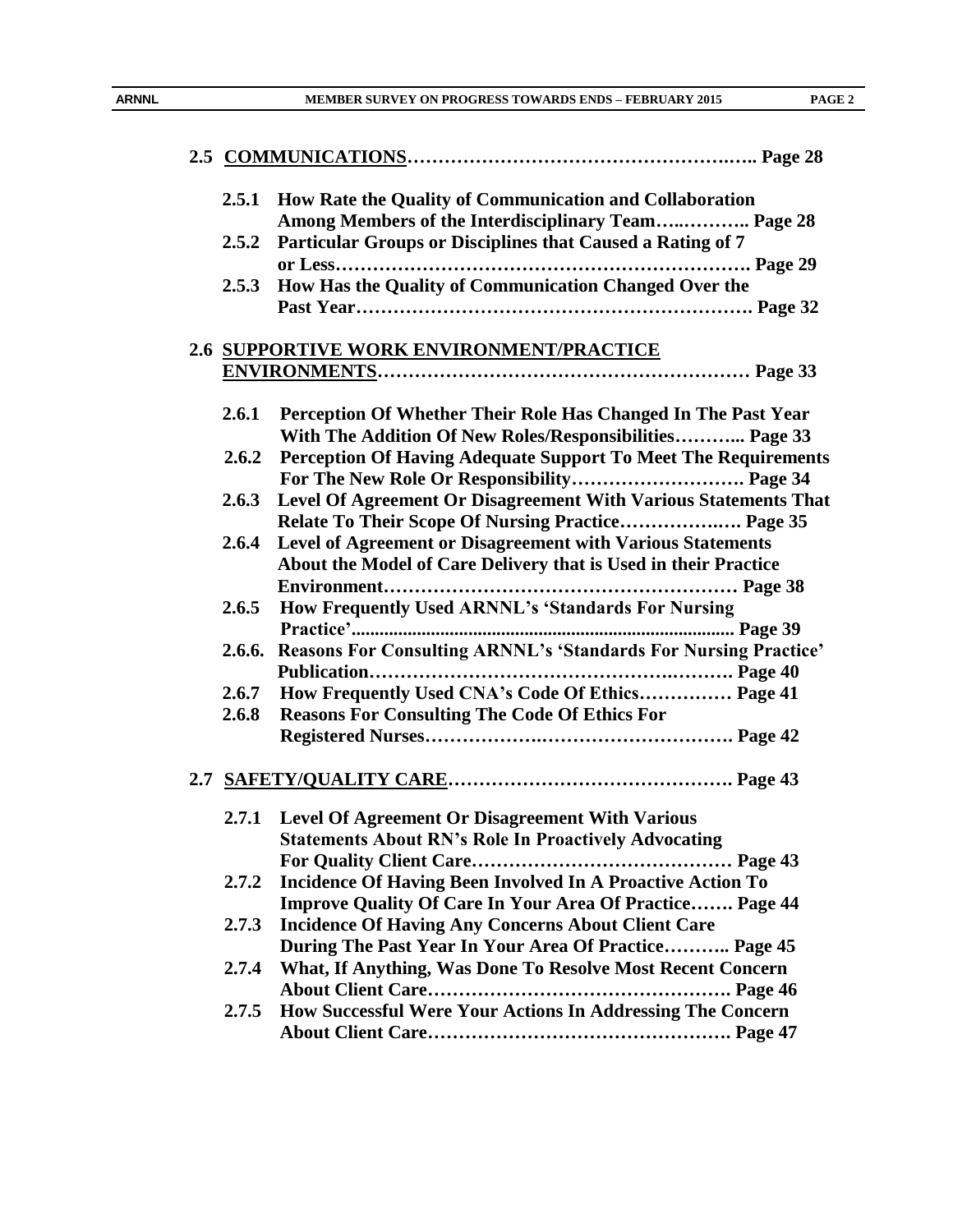| 2.5.1 | How Rate the Quality of Communication and Collaboration                                                                  |
|-------|--------------------------------------------------------------------------------------------------------------------------|
|       | Among Members of the Interdisciplinary Team Page 28                                                                      |
| 2.5.2 | Particular Groups or Disciplines that Caused a Rating of 7                                                               |
|       | 2.5.3 How Has the Quality of Communication Changed Over the                                                              |
|       |                                                                                                                          |
|       | 2.6 SUPPORTIVE WORK ENVIRONMENT/PRACTICE                                                                                 |
|       |                                                                                                                          |
|       |                                                                                                                          |
| 2.6.1 | Perception Of Whether Their Role Has Changed In The Past Year<br>With The Addition Of New Roles/Responsibilities Page 33 |
| 2.6.2 | Perception Of Having Adequate Support To Meet The Requirements                                                           |
|       |                                                                                                                          |
|       | For The New Role Or Responsibility Page 34                                                                               |
| 2.6.3 | Level Of Agreement Or Disagreement With Various Statements That<br>Relate To Their Scope Of Nursing Practice Page 35     |
| 2.6.4 | Level of Agreement or Disagreement with Various Statements                                                               |
|       | About the Model of Care Delivery that is Used in their Practice                                                          |
|       |                                                                                                                          |
| 2.6.5 | How Frequently Used ARNNL's 'Standards For Nursing                                                                       |
|       |                                                                                                                          |
|       | 2.6.6. Reasons For Consulting ARNNL's 'Standards For Nursing Practice'                                                   |
|       |                                                                                                                          |
| 2.6.7 | How Frequently Used CNA's Code Of Ethics Page 41                                                                         |
| 2.6.8 | <b>Reasons For Consulting The Code Of Ethics For</b>                                                                     |
|       |                                                                                                                          |
|       |                                                                                                                          |
|       |                                                                                                                          |
|       |                                                                                                                          |
|       | 2.7.1 Level Of Agreement Or Disagreement With Various                                                                    |
|       | <b>Statements About RN's Role In Proactively Advocating</b>                                                              |
|       |                                                                                                                          |
| 2.7.2 | <b>Incidence Of Having Been Involved In A Proactive Action To</b>                                                        |
|       | <b>Improve Quality Of Care In Your Area Of Practice Page 44</b>                                                          |
| 2.7.3 | <b>Incidence Of Having Any Concerns About Client Care</b>                                                                |
|       | During The Past Year In Your Area Of Practice Page 45                                                                    |
| 2.7.4 | What, If Anything, Was Done To Resolve Most Recent Concern                                                               |
|       |                                                                                                                          |
| 2.7.5 | How Successful Were Your Actions In Addressing The Concern                                                               |
|       |                                                                                                                          |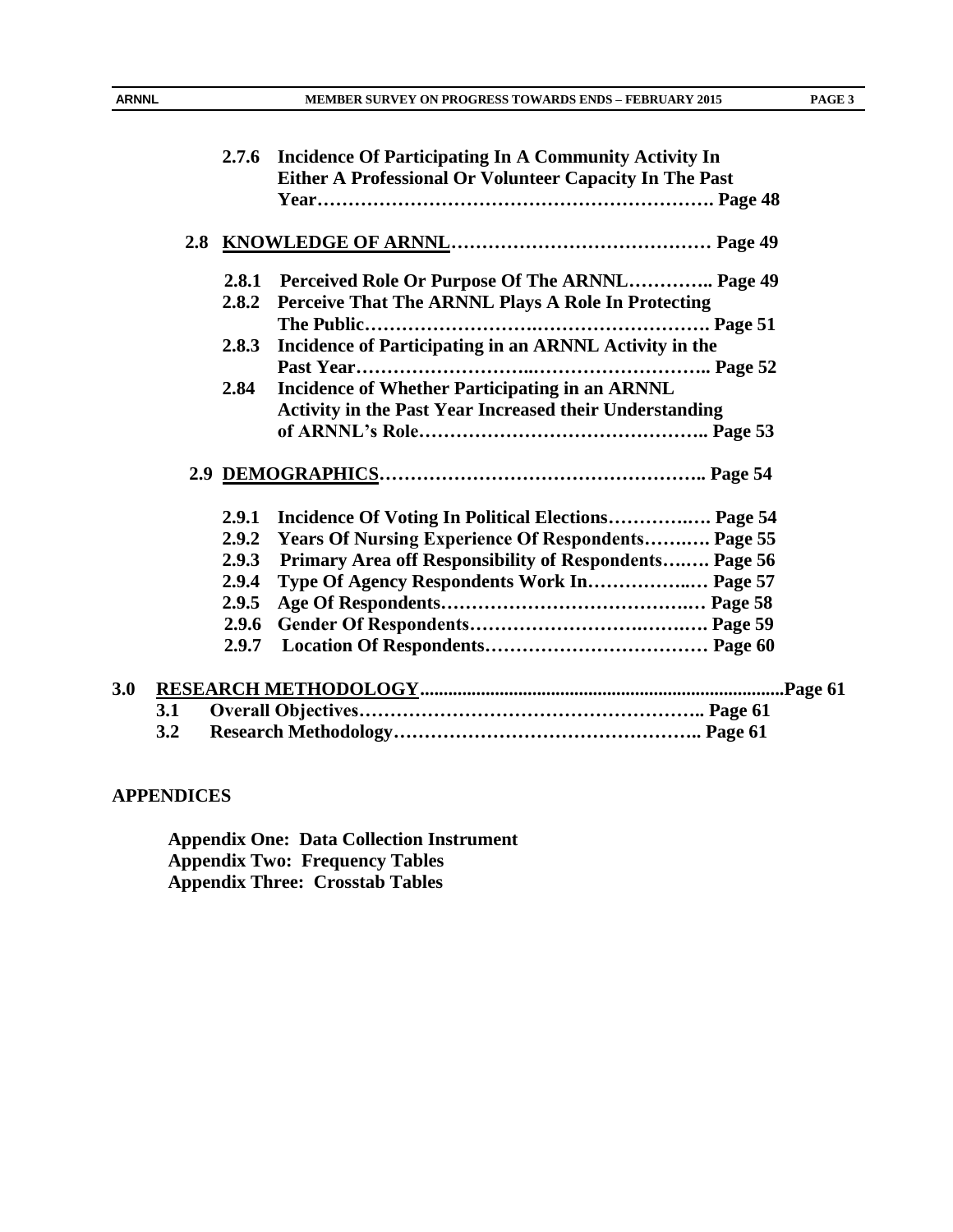|     |     | 2.7.6 | <b>Incidence Of Participating In A Community Activity In</b><br>Either A Professional Or Volunteer Capacity In The Past |  |
|-----|-----|-------|-------------------------------------------------------------------------------------------------------------------------|--|
|     |     |       |                                                                                                                         |  |
|     |     | 2.8.1 | Perceived Role Or Purpose Of The ARNNL Page 49                                                                          |  |
|     |     | 2.8.2 | Perceive That The ARNNL Plays A Role In Protecting                                                                      |  |
|     |     |       |                                                                                                                         |  |
|     |     | 2.8.3 | Incidence of Participating in an ARNNL Activity in the                                                                  |  |
|     |     |       |                                                                                                                         |  |
|     |     | 2.84  | <b>Incidence of Whether Participating in an ARNNL</b>                                                                   |  |
|     |     |       | Activity in the Past Year Increased their Understanding                                                                 |  |
|     |     |       |                                                                                                                         |  |
|     |     |       |                                                                                                                         |  |
|     |     | 2.9.1 | Incidence Of Voting In Political Elections Page 54                                                                      |  |
|     |     | 2.9.2 | <b>Years Of Nursing Experience Of Respondents Page 55</b>                                                               |  |
|     |     | 2.9.3 | Primary Area off Responsibility of Respondents Page 56                                                                  |  |
|     |     | 2.9.4 | Type Of Agency Respondents Work In Page 57                                                                              |  |
|     |     | 2.9.5 |                                                                                                                         |  |
|     |     | 2.9.6 |                                                                                                                         |  |
|     |     | 2.9.7 |                                                                                                                         |  |
| 3.0 |     |       |                                                                                                                         |  |
|     | 3.1 |       |                                                                                                                         |  |
|     | 3.2 |       |                                                                                                                         |  |

# **APPENDICES**

**Appendix One: Data Collection Instrument Appendix Two: Frequency Tables Appendix Three: Crosstab Tables**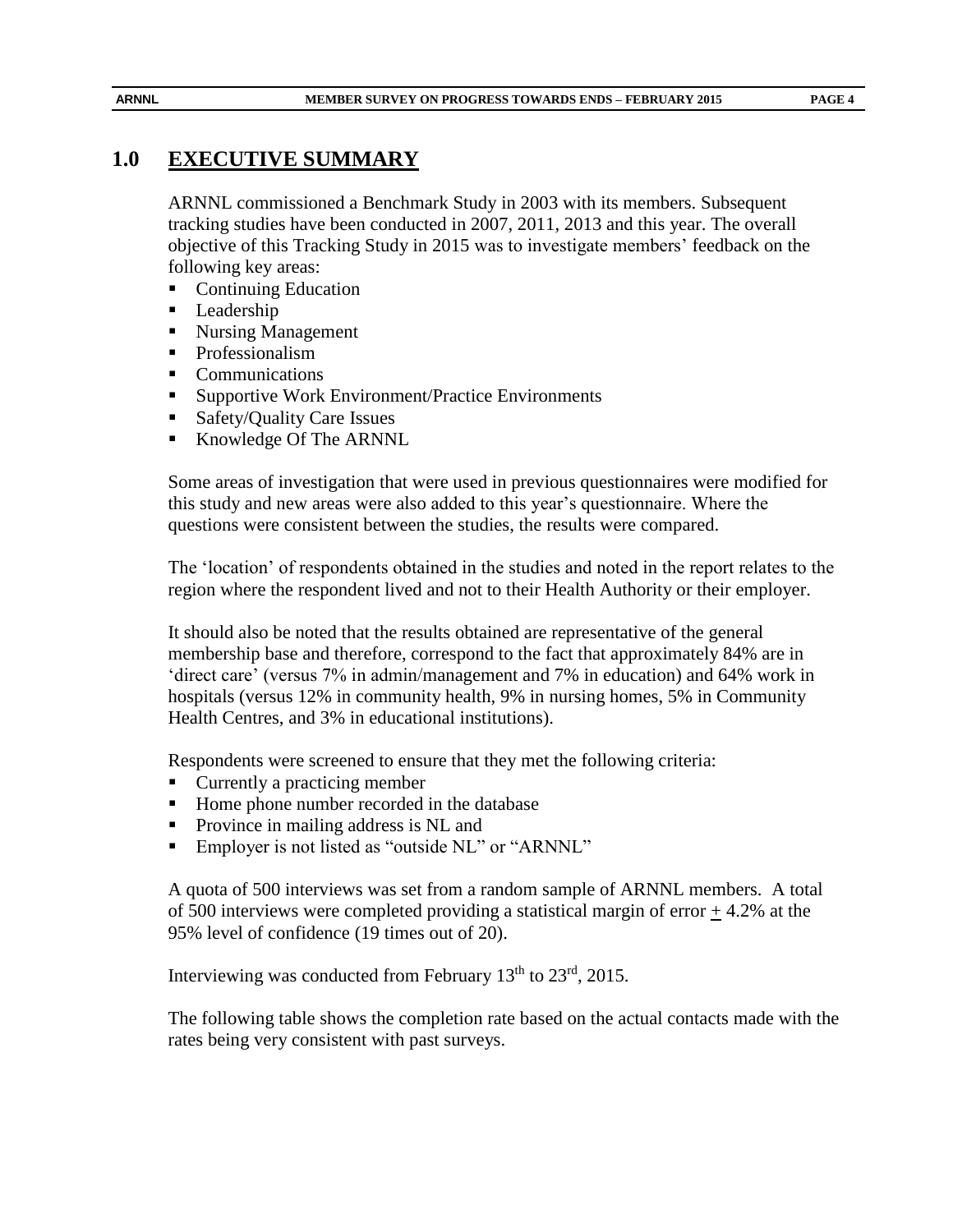# **1.0 EXECUTIVE SUMMARY**

ARNNL commissioned a Benchmark Study in 2003 with its members. Subsequent tracking studies have been conducted in 2007, 2011, 2013 and this year. The overall objective of this Tracking Study in 2015 was to investigate members' feedback on the following key areas:

- Continuing Education
- **Leadership**
- Nursing Management
- **Professionalism**
- Communications
- Supportive Work Environment/Practice Environments
- Safety/Quality Care Issues
- Knowledge Of The ARNNL

Some areas of investigation that were used in previous questionnaires were modified for this study and new areas were also added to this year's questionnaire. Where the questions were consistent between the studies, the results were compared.

The 'location' of respondents obtained in the studies and noted in the report relates to the region where the respondent lived and not to their Health Authority or their employer.

It should also be noted that the results obtained are representative of the general membership base and therefore, correspond to the fact that approximately 84% are in 'direct care' (versus 7% in admin/management and 7% in education) and 64% work in hospitals (versus 12% in community health, 9% in nursing homes, 5% in Community Health Centres, and 3% in educational institutions).

Respondents were screened to ensure that they met the following criteria:

- Currently a practicing member
- Home phone number recorded in the database
- **Province in mailing address is NL and**
- Employer is not listed as "outside NL" or "ARNNL"

A quota of 500 interviews was set from a random sample of ARNNL members. A total of 500 interviews were completed providing a statistical margin of error + 4.2% at the 95% level of confidence (19 times out of 20).

Interviewing was conducted from February 13<sup>th</sup> to 23<sup>rd</sup>, 2015.

The following table shows the completion rate based on the actual contacts made with the rates being very consistent with past surveys.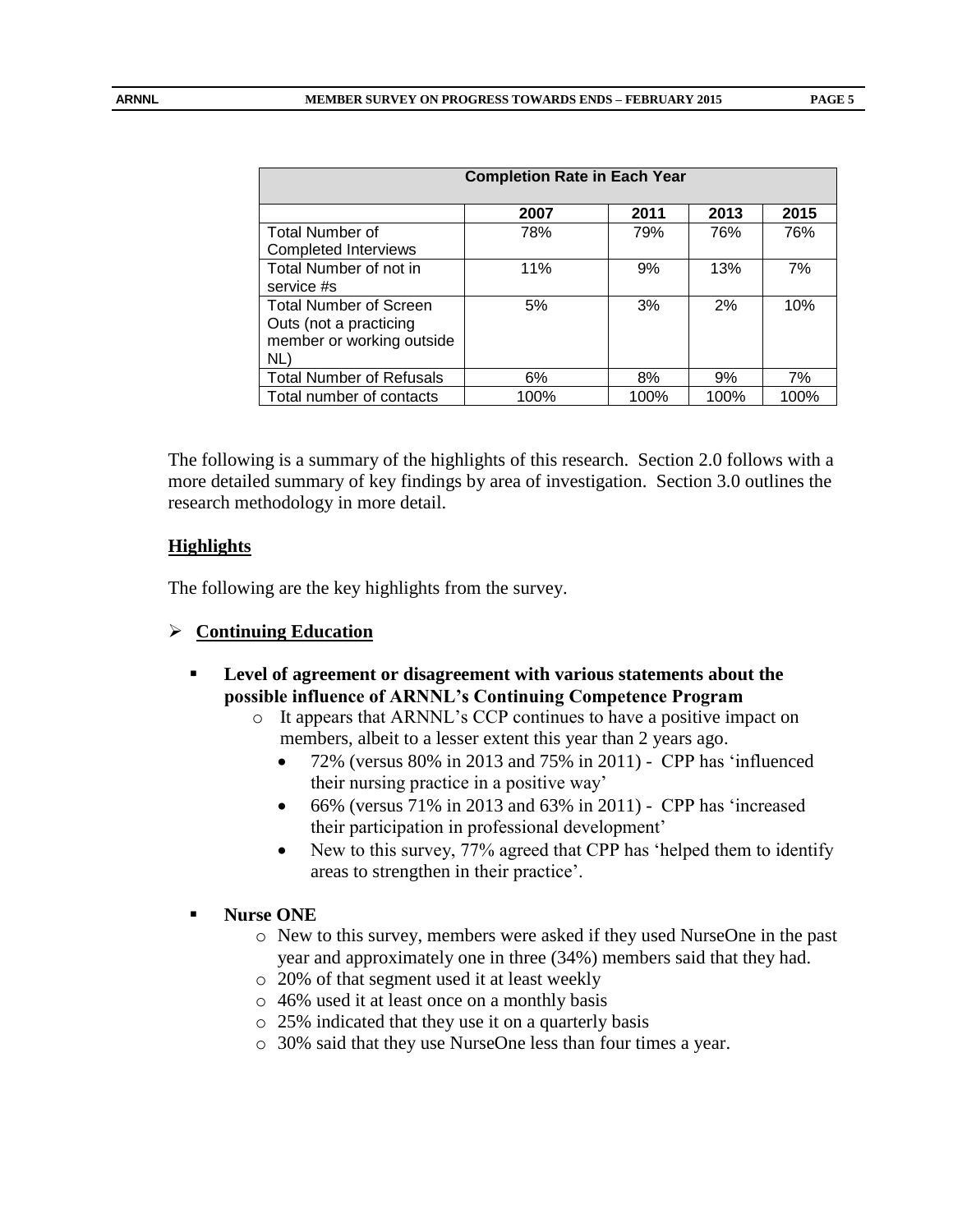| <b>Completion Rate in Each Year</b> |      |      |      |      |  |  |
|-------------------------------------|------|------|------|------|--|--|
|                                     | 2007 | 2011 | 2013 | 2015 |  |  |
| <b>Total Number of</b>              | 78%  | 79%  | 76%  | 76%  |  |  |
| <b>Completed Interviews</b>         |      |      |      |      |  |  |
| Total Number of not in              | 11%  | 9%   | 13%  | 7%   |  |  |
| service #s                          |      |      |      |      |  |  |
| <b>Total Number of Screen</b>       | 5%   | 3%   | 2%   | 10%  |  |  |
| Outs (not a practicing              |      |      |      |      |  |  |
| member or working outside           |      |      |      |      |  |  |
| NL)                                 |      |      |      |      |  |  |
| <b>Total Number of Refusals</b>     | 6%   | 8%   | 9%   | 7%   |  |  |
| Total number of contacts            | 100% | 100% | 100% | 100% |  |  |

The following is a summary of the highlights of this research. Section 2.0 follows with a more detailed summary of key findings by area of investigation. Section 3.0 outlines the research methodology in more detail.

#### **Highlights**

The following are the key highlights from the survey.

#### **Continuing Education**

- **Level of agreement or disagreement with various statements about the possible influence of ARNNL's Continuing Competence Program**
	- o It appears that ARNNL's CCP continues to have a positive impact on members, albeit to a lesser extent this year than 2 years ago.
		- 72% (versus 80% in 2013 and 75% in 2011) CPP has 'influenced their nursing practice in a positive way'
		- $\bullet$  66% (versus 71% in 2013 and 63% in 2011) CPP has 'increased their participation in professional development'
		- New to this survey, 77% agreed that CPP has 'helped them to identify areas to strengthen in their practice'.

#### **Nurse ONE**

- o New to this survey, members were asked if they used NurseOne in the past year and approximately one in three (34%) members said that they had.
- o 20% of that segment used it at least weekly
- o 46% used it at least once on a monthly basis
- o 25% indicated that they use it on a quarterly basis
- o 30% said that they use NurseOne less than four times a year.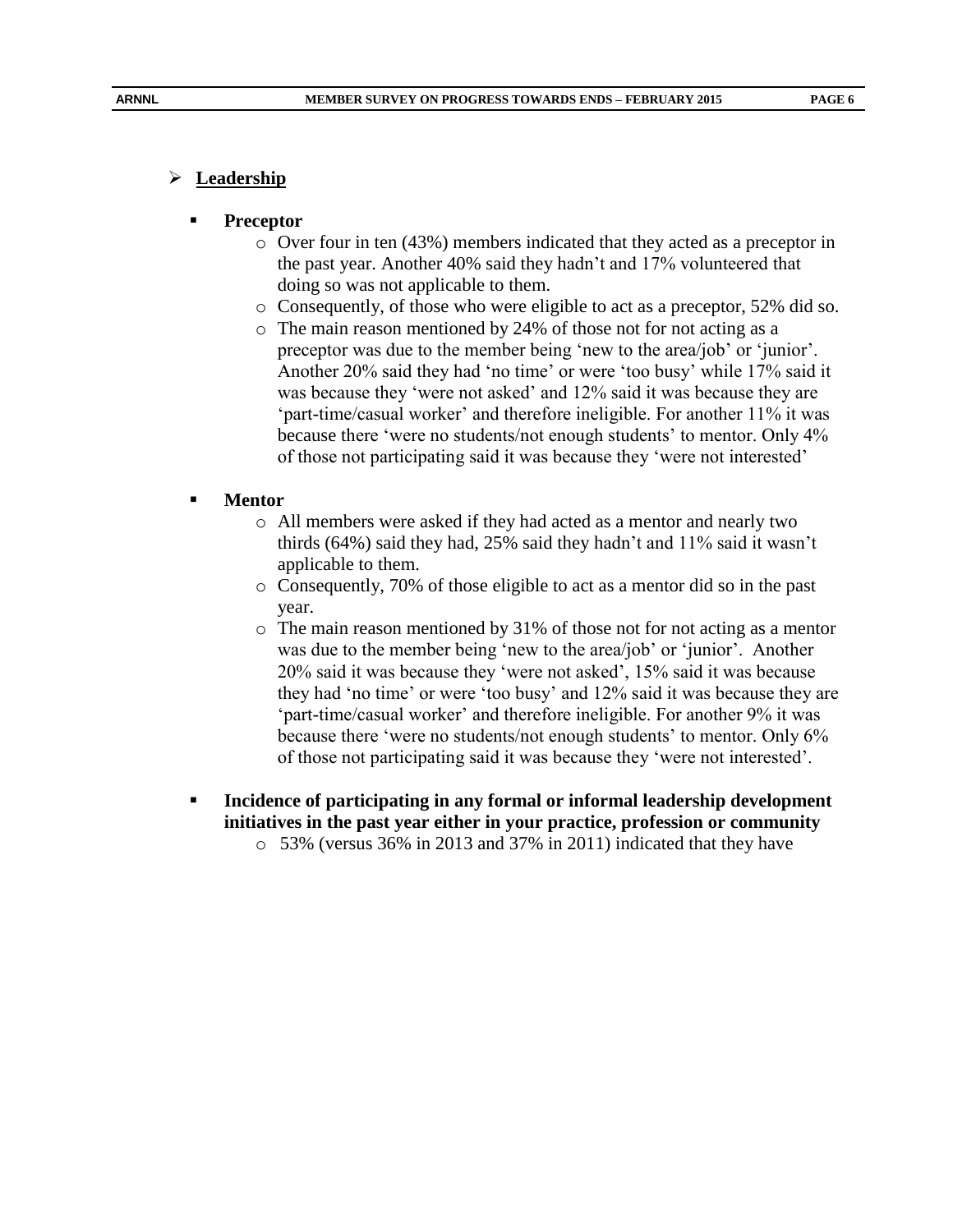#### **Preceptor**

- o Over four in ten (43%) members indicated that they acted as a preceptor in the past year. Another 40% said they hadn't and 17% volunteered that doing so was not applicable to them.
- o Consequently, of those who were eligible to act as a preceptor, 52% did so.
- o The main reason mentioned by 24% of those not for not acting as a preceptor was due to the member being 'new to the area/job' or 'junior'. Another 20% said they had 'no time' or were 'too busy' while 17% said it was because they 'were not asked' and 12% said it was because they are 'part-time/casual worker' and therefore ineligible. For another 11% it was because there 'were no students/not enough students' to mentor. Only 4% of those not participating said it was because they 'were not interested'

#### **Mentor**

- o All members were asked if they had acted as a mentor and nearly two thirds (64%) said they had, 25% said they hadn't and 11% said it wasn't applicable to them.
- o Consequently, 70% of those eligible to act as a mentor did so in the past year.
- o The main reason mentioned by 31% of those not for not acting as a mentor was due to the member being 'new to the area/job' or 'junior'. Another 20% said it was because they 'were not asked', 15% said it was because they had 'no time' or were 'too busy' and 12% said it was because they are 'part-time/casual worker' and therefore ineligible. For another 9% it was because there 'were no students/not enough students' to mentor. Only 6% of those not participating said it was because they 'were not interested'.
- **Incidence of participating in any formal or informal leadership development initiatives in the past year either in your practice, profession or community** o 53% (versus 36% in 2013 and 37% in 2011) indicated that they have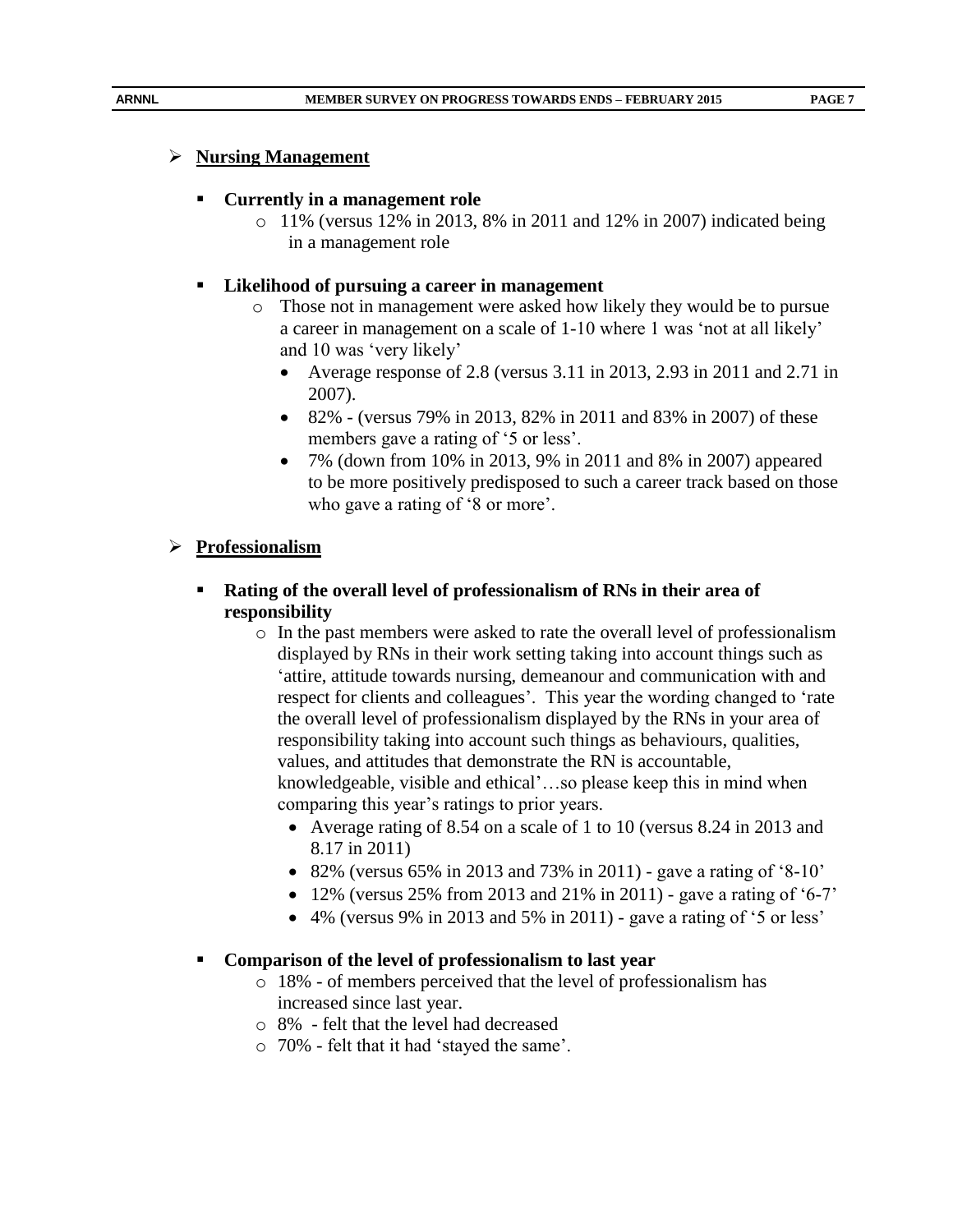# **Nursing Management**

# **Currently in a management role**

o 11% (versus 12% in 2013, 8% in 2011 and 12% in 2007) indicated being in a management role

# **Likelihood of pursuing a career in management**

- o Those not in management were asked how likely they would be to pursue a career in management on a scale of 1-10 where 1 was 'not at all likely' and 10 was 'very likely'
	- Average response of 2.8 (versus 3.11 in 2013, 2.93 in 2011 and 2.71 in 2007).
	- 82% (versus 79% in 2013, 82% in 2011 and 83% in 2007) of these members gave a rating of '5 or less'.
	- 7% (down from 10% in 2013, 9% in 2011 and 8% in 2007) appeared to be more positively predisposed to such a career track based on those who gave a rating of '8 or more'.

# **Professionalism**

- **Rating of the overall level of professionalism of RNs in their area of responsibility**
	- o In the past members were asked to rate the overall level of professionalism displayed by RNs in their work setting taking into account things such as 'attire, attitude towards nursing, demeanour and communication with and respect for clients and colleagues'. This year the wording changed to 'rate the overall level of professionalism displayed by the RNs in your area of responsibility taking into account such things as behaviours, qualities, values, and attitudes that demonstrate the RN is accountable, knowledgeable, visible and ethical'…so please keep this in mind when comparing this year's ratings to prior years.
		- Average rating of 8.54 on a scale of 1 to 10 (versus 8.24 in 2013 and 8.17 in 2011)
		- 82% (versus 65% in 2013 and 73% in 2011) gave a rating of '8-10'
		- $\bullet$  12% (versus 25% from 2013 and 21% in 2011) gave a rating of '6-7'
		- $\bullet$  4% (versus 9% in 2013 and 5% in 2011) gave a rating of '5 or less'

# **Comparison of the level of professionalism to last year**

- o 18% of members perceived that the level of professionalism has increased since last year.
- o 8% felt that the level had decreased
- o 70% felt that it had 'stayed the same'.

 **PAGE 7**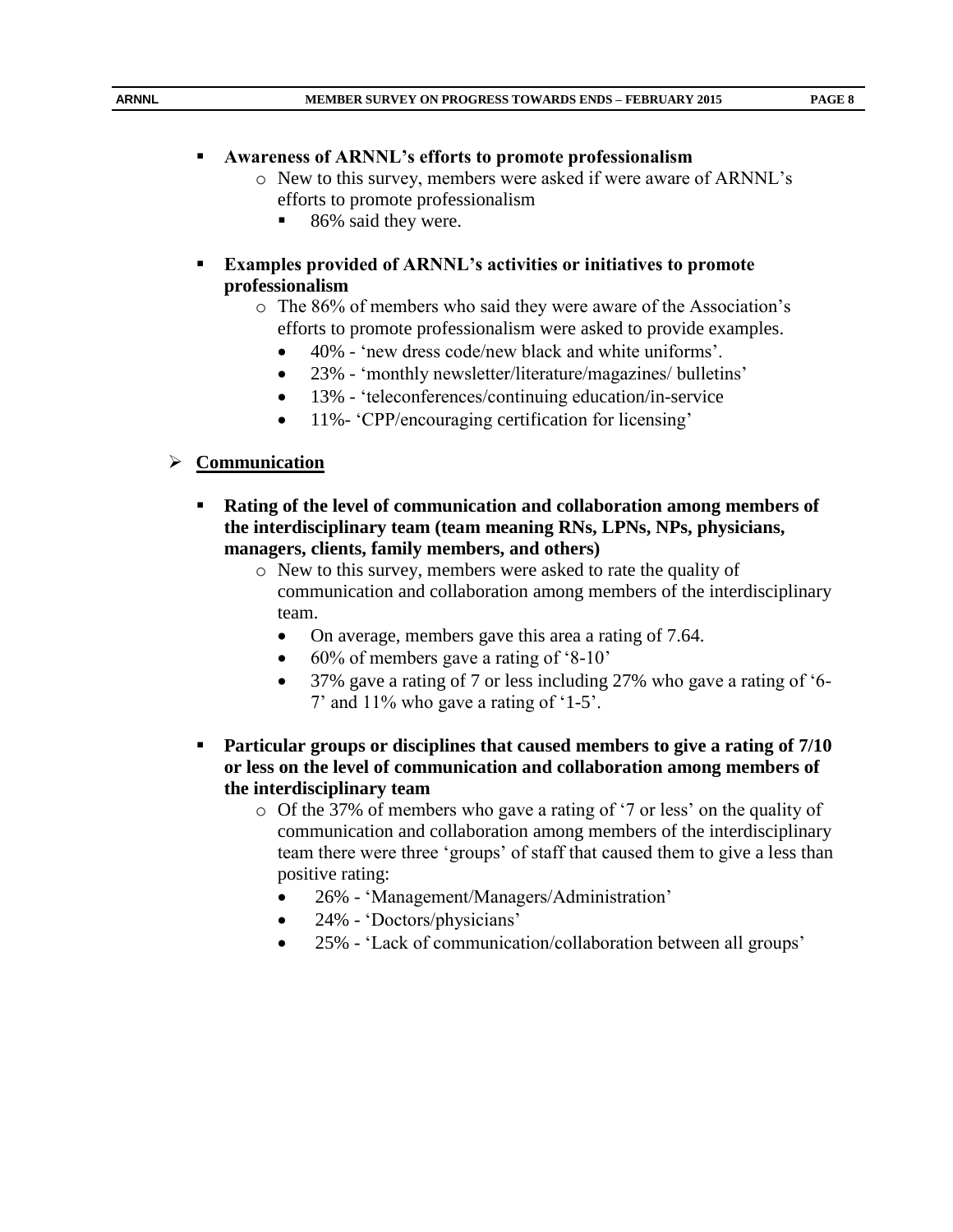#### **Awareness of ARNNL's efforts to promote professionalism**

- o New to this survey, members were asked if were aware of ARNNL's efforts to promote professionalism
	- 86% said they were.
- **Examples provided of ARNNL's activities or initiatives to promote professionalism**
	- o The 86% of members who said they were aware of the Association's efforts to promote professionalism were asked to provide examples.
		- 40% 'new dress code/new black and white uniforms'.
		- 23% 'monthly newsletter/literature/magazines/ bulletins'
		- 13% 'teleconferences/continuing education/in-service
		- 11%- 'CPP/encouraging certification for licensing'

#### **Communication**

- **Rating of the level of communication and collaboration among members of the interdisciplinary team (team meaning RNs, LPNs, NPs, physicians, managers, clients, family members, and others)**
	- o New to this survey, members were asked to rate the quality of communication and collaboration among members of the interdisciplinary team.
		- On average, members gave this area a rating of 7.64.
		- 60% of members gave a rating of '8-10'
		- 37% gave a rating of 7 or less including 27% who gave a rating of '6- 7' and 11% who gave a rating of '1-5'.
- **Particular groups or disciplines that caused members to give a rating of 7/10 or less on the level of communication and collaboration among members of the interdisciplinary team**
	- o Of the 37% of members who gave a rating of '7 or less' on the quality of communication and collaboration among members of the interdisciplinary team there were three 'groups' of staff that caused them to give a less than positive rating:
		- 26% 'Management/Managers/Administration'
		- 24% 'Doctors/physicians'
		- 25% 'Lack of communication/collaboration between all groups'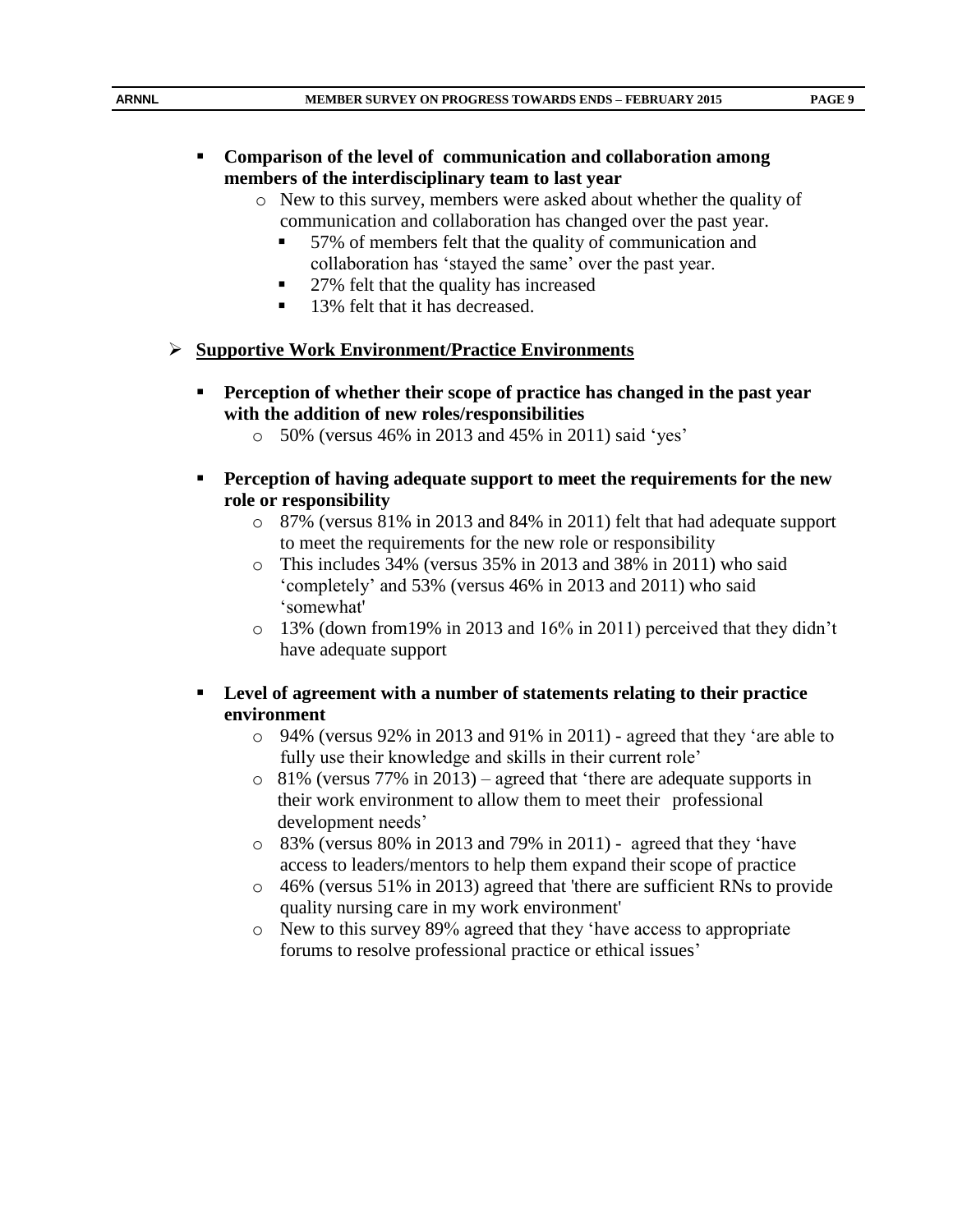#### **Comparison of the level of communication and collaboration among members of the interdisciplinary team to last year**

- o New to this survey, members were asked about whether the quality of communication and collaboration has changed over the past year.
	- 57% of members felt that the quality of communication and collaboration has 'stayed the same' over the past year.
	- 27% felt that the quality has increased
	- 13% felt that it has decreased.

# **Supportive Work Environment/Practice Environments**

- **Perception of whether their scope of practice has changed in the past year with the addition of new roles/responsibilities**
	- o 50% (versus 46% in 2013 and 45% in 2011) said 'yes'
- **Perception of having adequate support to meet the requirements for the new role or responsibility**
	- o 87% (versus 81% in 2013 and 84% in 2011) felt that had adequate support to meet the requirements for the new role or responsibility
	- o This includes 34% (versus 35% in 2013 and 38% in 2011) who said 'completely' and 53% (versus 46% in 2013 and 2011) who said 'somewhat'
	- $\circ$  13% (down from 19% in 2013 and 16% in 2011) perceived that they didn't have adequate support
- **Level of agreement with a number of statements relating to their practice environment**
	- o 94% (versus 92% in 2013 and 91% in 2011) agreed that they 'are able to fully use their knowledge and skills in their current role'
	- o 81% (versus 77% in 2013) agreed that 'there are adequate supports in their work environment to allow them to meet their professional development needs'
	- o 83% (versus 80% in 2013 and 79% in 2011) agreed that they 'have access to leaders/mentors to help them expand their scope of practice
	- o 46% (versus 51% in 2013) agreed that 'there are sufficient RNs to provide quality nursing care in my work environment'
	- o New to this survey 89% agreed that they 'have access to appropriate forums to resolve professional practice or ethical issues'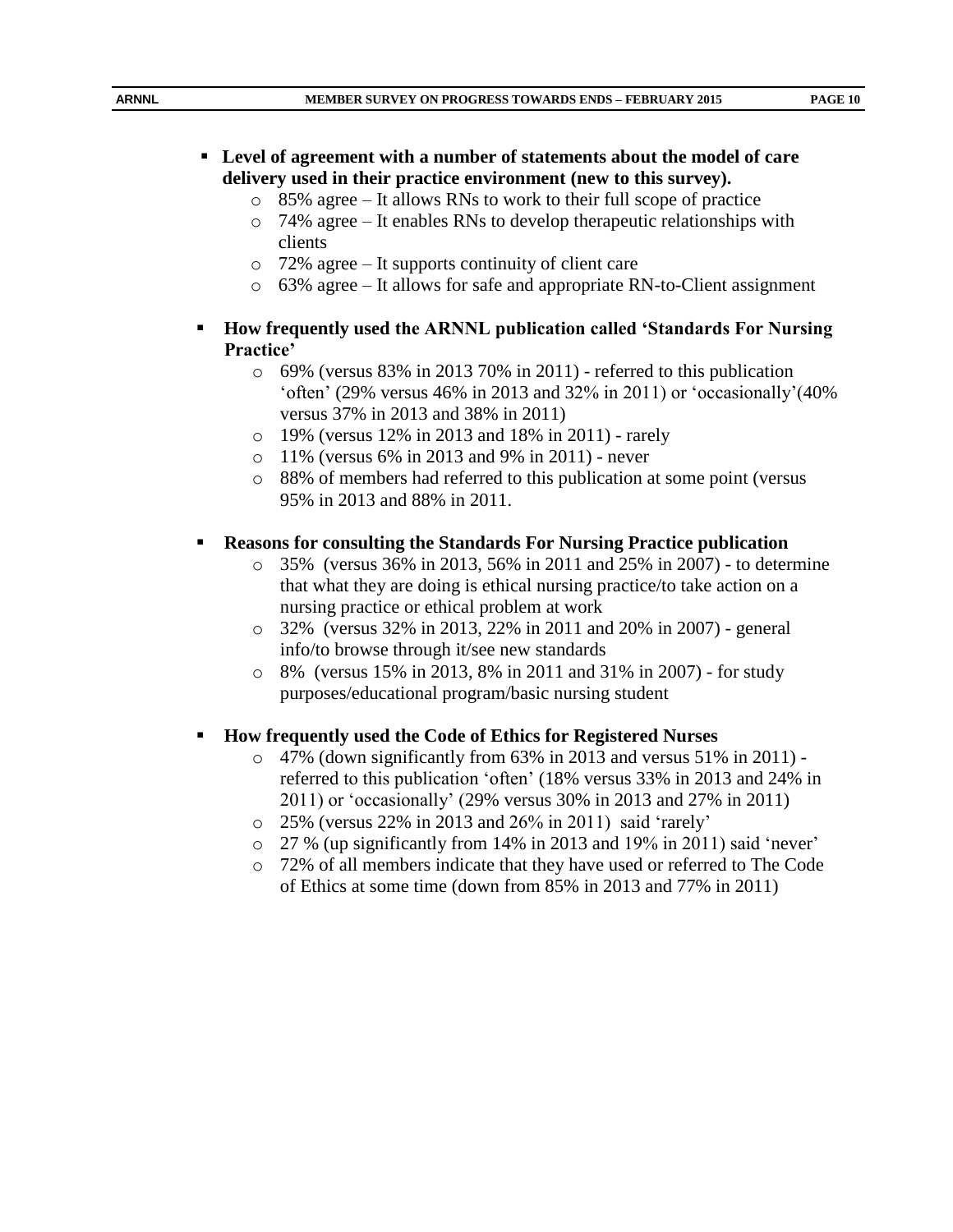- o 85% agree It allows RNs to work to their full scope of practice
- o 74% agree It enables RNs to develop therapeutic relationships with clients
- o 72% agree It supports continuity of client care
- o 63% agree It allows for safe and appropriate RN-to-Client assignment

# **How frequently used the ARNNL publication called 'Standards For Nursing Practice'**

- o 69% (versus 83% in 2013 70% in 2011) referred to this publication 'often' (29% versus 46% in 2013 and 32% in 2011) or 'occasionally'(40% versus 37% in 2013 and 38% in 2011)
- o 19% (versus 12% in 2013 and 18% in 2011) rarely
- o 11% (versus 6% in 2013 and 9% in 2011) never
- o 88% of members had referred to this publication at some point (versus 95% in 2013 and 88% in 2011.

# **Reasons for consulting the Standards For Nursing Practice publication**

- o 35% (versus 36% in 2013, 56% in 2011 and 25% in 2007) to determine that what they are doing is ethical nursing practice/to take action on a nursing practice or ethical problem at work
- o 32% (versus 32% in 2013, 22% in 2011 and 20% in 2007) general info/to browse through it/see new standards
- o 8% (versus 15% in 2013, 8% in 2011 and 31% in 2007) for study purposes/educational program/basic nursing student

# **How frequently used the Code of Ethics for Registered Nurses**

- o 47% (down significantly from 63% in 2013 and versus 51% in 2011) referred to this publication 'often' (18% versus 33% in 2013 and 24% in 2011) or 'occasionally' (29% versus 30% in 2013 and 27% in 2011)
- o 25% (versus 22% in 2013 and 26% in 2011) said 'rarely'
- o 27 % (up significantly from 14% in 2013 and 19% in 2011) said 'never'
- o 72% of all members indicate that they have used or referred to The Code of Ethics at some time (down from 85% in 2013 and 77% in 2011)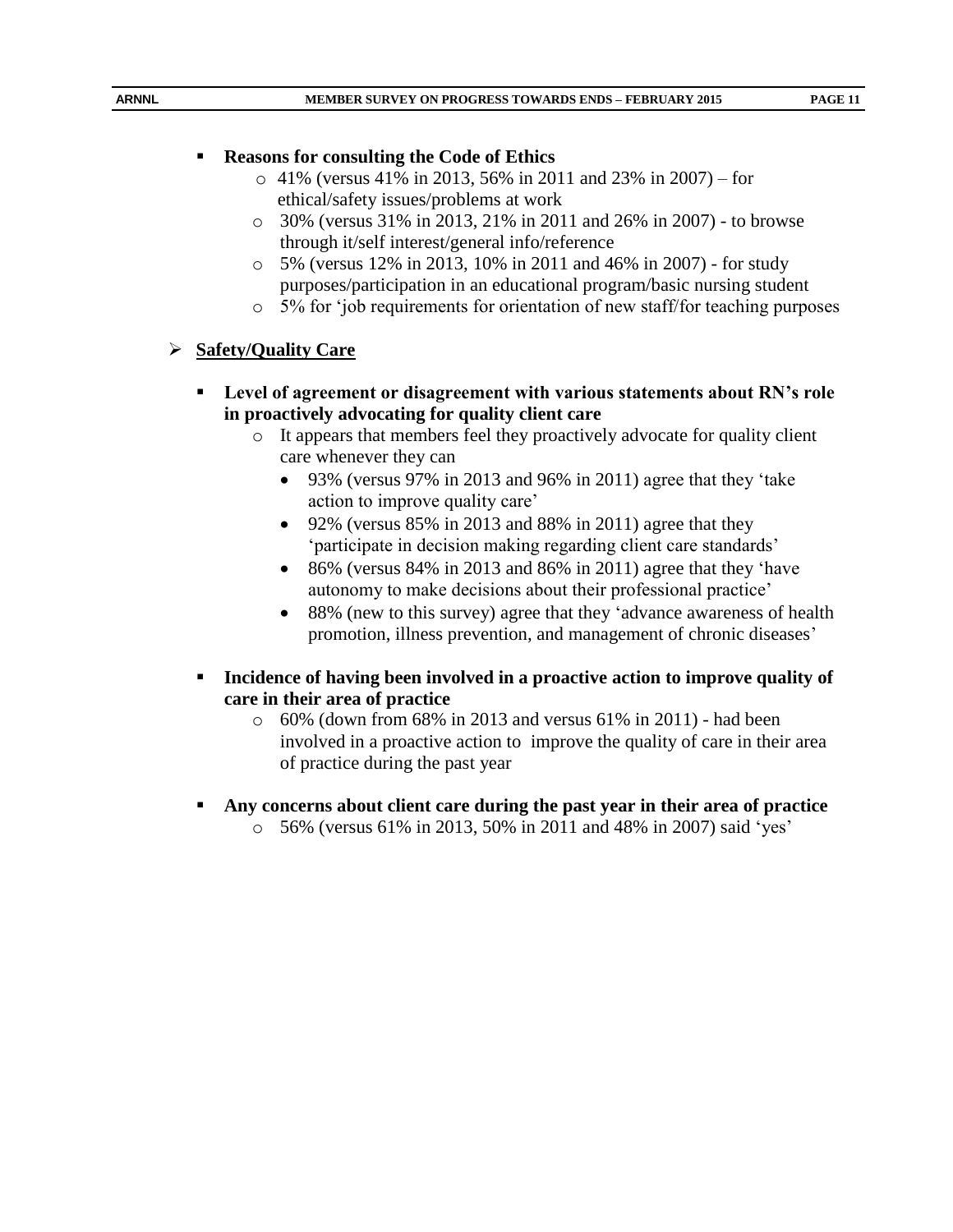# **Reasons for consulting the Code of Ethics**

- o 41% (versus 41% in 2013, 56% in 2011 and 23% in 2007) for ethical/safety issues/problems at work
- o 30% (versus 31% in 2013, 21% in 2011 and 26% in 2007) to browse through it/self interest/general info/reference
- o 5% (versus 12% in 2013, 10% in 2011 and 46% in 2007) for study purposes/participation in an educational program/basic nursing student
- o 5% for 'job requirements for orientation of new staff/for teaching purposes

# **Safety/Quality Care**

- **Level of agreement or disagreement with various statements about RN's role in proactively advocating for quality client care**
	- o It appears that members feel they proactively advocate for quality client care whenever they can
		- 93% (versus 97% in 2013 and 96% in 2011) agree that they 'take action to improve quality care'
		- 92% (versus  $85\%$  in 2013 and  $88\%$  in 2011) agree that they 'participate in decision making regarding client care standards'
		- 86% (versus 84% in 2013 and 86% in 2011) agree that they 'have autonomy to make decisions about their professional practice'
		- 88% (new to this survey) agree that they 'advance awareness of health promotion, illness prevention, and management of chronic diseases'
- **Incidence of having been involved in a proactive action to improve quality of care in their area of practice**
	- $\circ$  60% (down from 68% in 2013 and versus 61% in 2011) had been involved in a proactive action to improve the quality of care in their area of practice during the past year
- **Any concerns about client care during the past year in their area of practice**
	- o 56% (versus 61% in 2013, 50% in 2011 and 48% in 2007) said 'yes'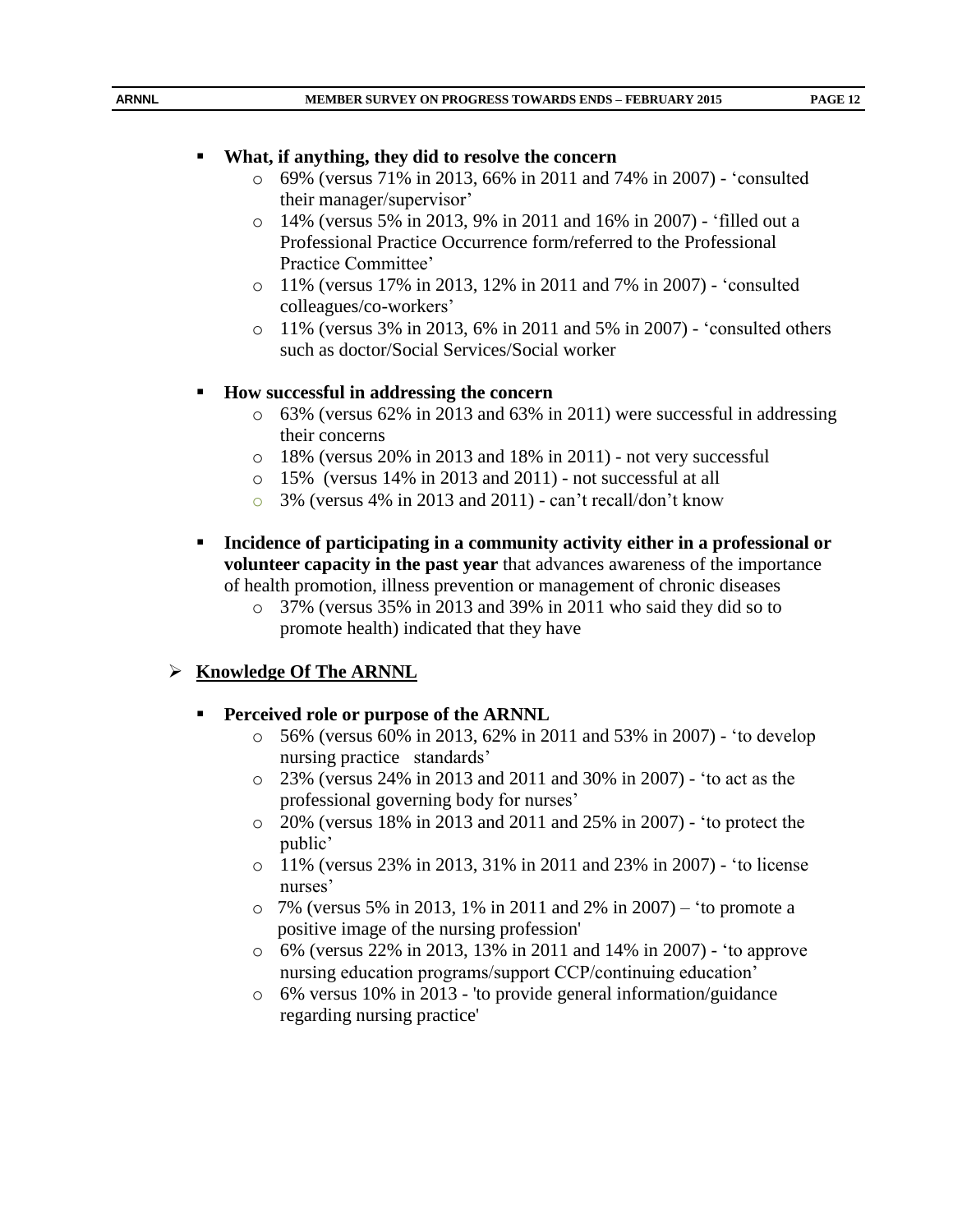# **What, if anything, they did to resolve the concern**

- o 69% (versus 71% in 2013, 66% in 2011 and 74% in 2007) 'consulted their manager/supervisor'
- o 14% (versus 5% in 2013, 9% in 2011 and 16% in 2007) 'filled out a Professional Practice Occurrence form/referred to the Professional Practice Committee'
- o 11% (versus 17% in 2013, 12% in 2011 and 7% in 2007) 'consulted colleagues/co-workers'
- o 11% (versus 3% in 2013, 6% in 2011 and 5% in 2007) 'consulted others such as doctor/Social Services/Social worker

# **How successful in addressing the concern**

- $\circ$  63% (versus 62% in 2013 and 63% in 2011) were successful in addressing their concerns
- o 18% (versus 20% in 2013 and 18% in 2011) not very successful
- o 15% (versus 14% in 2013 and 2011) not successful at all
- o 3% (versus 4% in 2013 and 2011) can't recall/don't know
- **Incidence of participating in a community activity either in a professional or volunteer capacity in the past year** that advances awareness of the importance of health promotion, illness prevention or management of chronic diseases
	- o 37% (versus 35% in 2013 and 39% in 2011 who said they did so to promote health) indicated that they have

# **Knowledge Of The ARNNL**

- **Perceived role or purpose of the ARNNL** 
	- o 56% (versus 60% in 2013, 62% in 2011 and 53% in 2007) 'to develop nursing practice standards'
	- o 23% (versus 24% in 2013 and 2011 and 30% in 2007) 'to act as the professional governing body for nurses'
	- o 20% (versus 18% in 2013 and 2011 and 25% in 2007) 'to protect the public'
	- o 11% (versus 23% in 2013, 31% in 2011 and 23% in 2007) 'to license nurses'
	- o 7% (versus 5% in 2013, 1% in 2011 and 2% in 2007) 'to promote a positive image of the nursing profession'
	- o 6% (versus 22% in 2013, 13% in 2011 and 14% in 2007) 'to approve nursing education programs/support CCP/continuing education'
	- o 6% versus 10% in 2013 'to provide general information/guidance regarding nursing practice'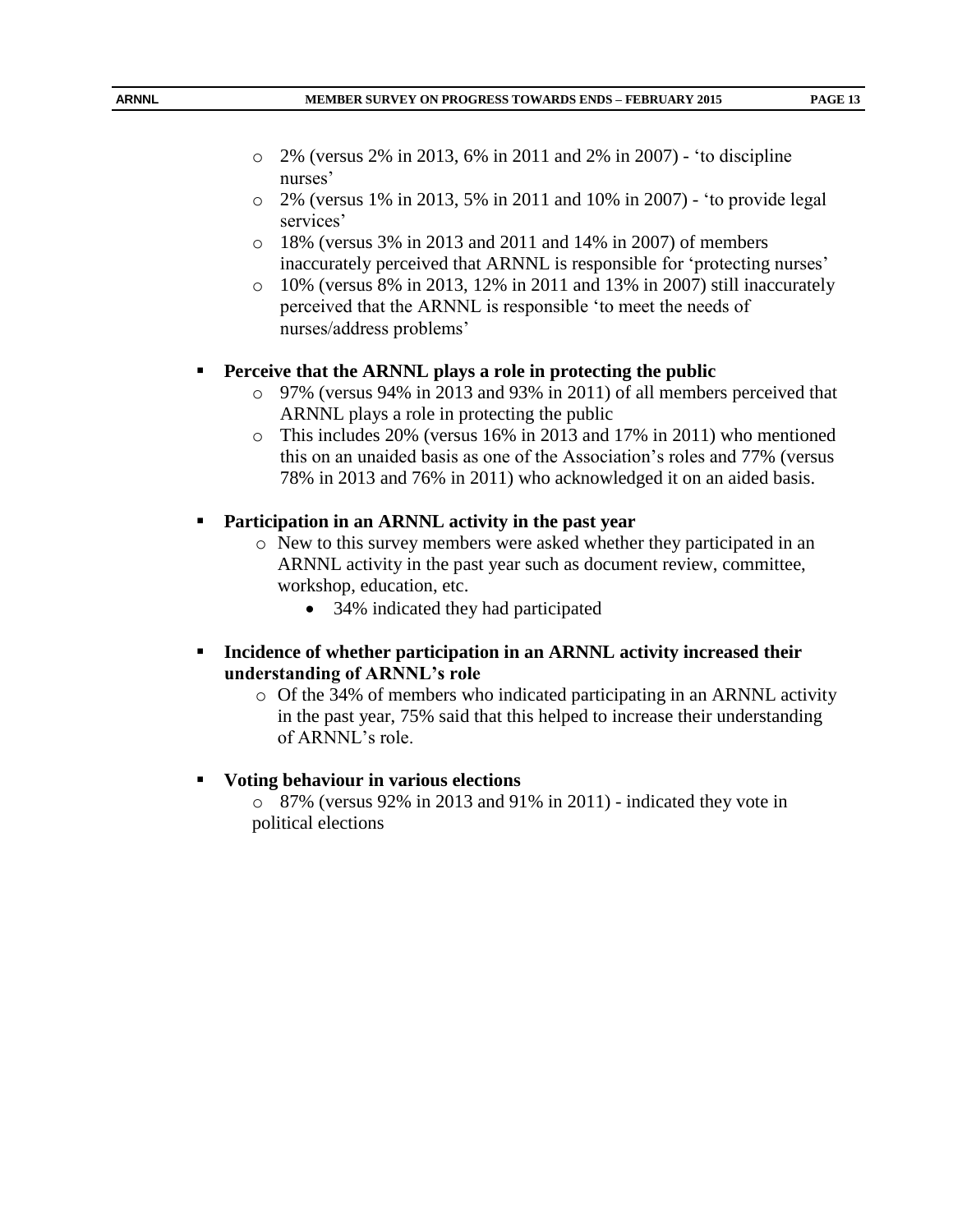- o 2% (versus 2% in 2013, 6% in 2011 and 2% in 2007) 'to discipline nurses'
- o 2% (versus 1% in 2013, 5% in 2011 and 10% in 2007) 'to provide legal services'
- o 18% (versus 3% in 2013 and 2011 and 14% in 2007) of members inaccurately perceived that ARNNL is responsible for 'protecting nurses'
- $\circ$  10% (versus 8% in 2013, 12% in 2011 and 13% in 2007) still inaccurately perceived that the ARNNL is responsible 'to meet the needs of nurses/address problems'

#### **Perceive that the ARNNL plays a role in protecting the public**

- o 97% (versus 94% in 2013 and 93% in 2011) of all members perceived that ARNNL plays a role in protecting the public
- o This includes 20% (versus 16% in 2013 and 17% in 2011) who mentioned this on an unaided basis as one of the Association's roles and 77% (versus 78% in 2013 and 76% in 2011) who acknowledged it on an aided basis.

# **Participation in an ARNNL activity in the past year**

- o New to this survey members were asked whether they participated in an ARNNL activity in the past year such as document review, committee, workshop, education, etc.
	- 34% indicated they had participated
- **Incidence of whether participation in an ARNNL activity increased their understanding of ARNNL's role**
	- o Of the 34% of members who indicated participating in an ARNNL activity in the past year, 75% said that this helped to increase their understanding of ARNNL's role.

#### **Voting behaviour in various elections**

o 87% (versus 92% in 2013 and 91% in 2011) - indicated they vote in political elections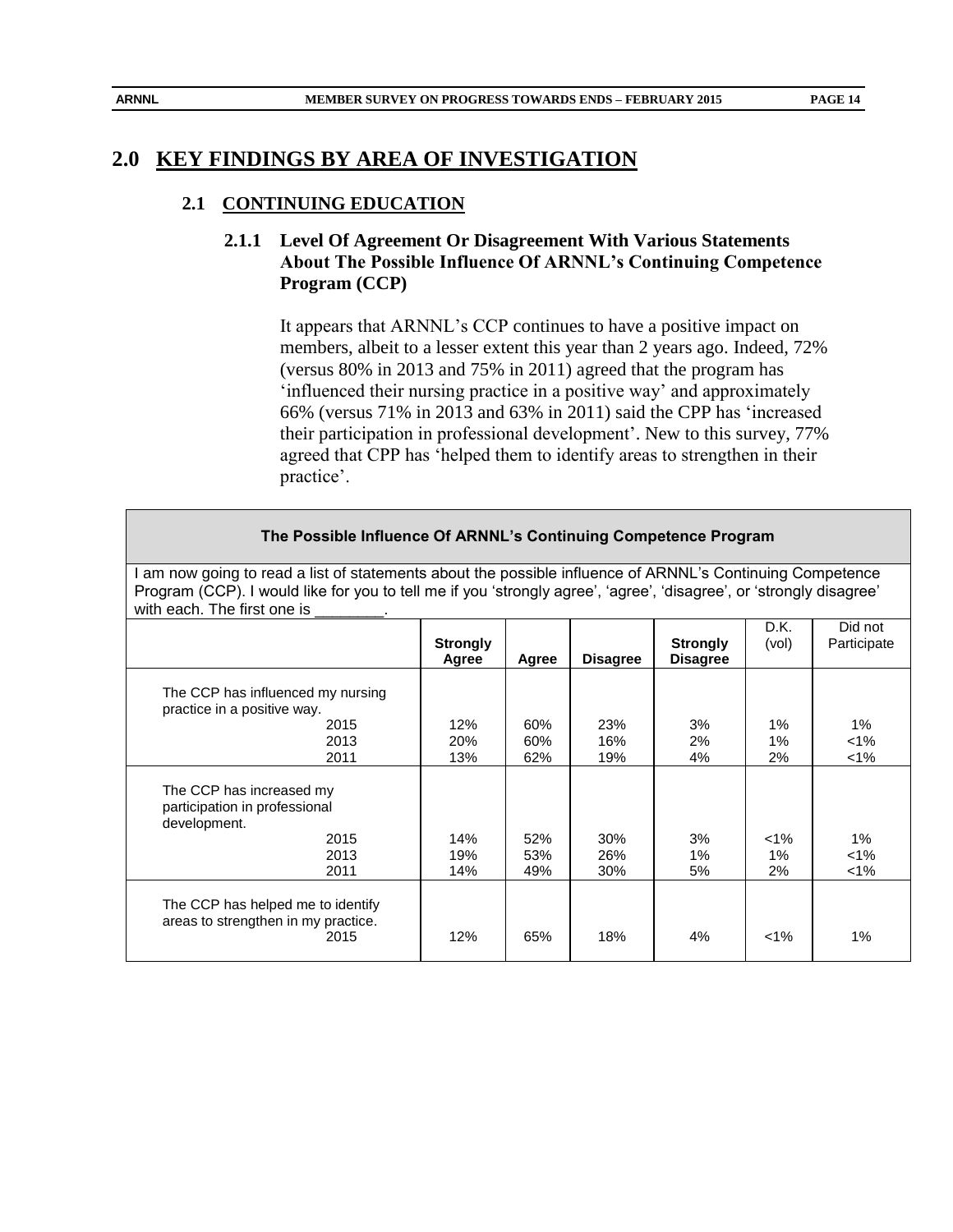# **2.0 KEY FINDINGS BY AREA OF INVESTIGATION**

#### **2.1 CONTINUING EDUCATION**

# **2.1.1 Level Of Agreement Or Disagreement With Various Statements About The Possible Influence Of ARNNL's Continuing Competence Program (CCP)**

It appears that ARNNL's CCP continues to have a positive impact on members, albeit to a lesser extent this year than 2 years ago. Indeed, 72% (versus 80% in 2013 and 75% in 2011) agreed that the program has 'influenced their nursing practice in a positive way' and approximately 66% (versus 71% in 2013 and 63% in 2011) said the CPP has 'increased their participation in professional development'. New to this survey, 77% agreed that CPP has 'helped them to identify areas to strengthen in their practice'.

#### **The Possible Influence Of ARNNL's Continuing Competence Program**

I am now going to read a list of statements about the possible influence of ARNNL's Continuing Competence Program (CCP). I would like for you to tell me if you 'strongly agree', 'agree', 'disagree', or 'strongly disagree' with each. The first one is

|                                                                                           | <b>Strongly</b><br>Agree | Agree      | <b>Disagree</b> | <b>Strongly</b><br><b>Disagree</b> | D.K.<br>(vol) | Did not<br>Participate |
|-------------------------------------------------------------------------------------------|--------------------------|------------|-----------------|------------------------------------|---------------|------------------------|
| The CCP has influenced my nursing<br>practice in a positive way.                          |                          |            |                 |                                    |               |                        |
| 2015<br>2013                                                                              | 12%<br>20%               | 60%<br>60% | 23%<br>16%      | 3%<br>2%                           | 1%<br>1%      | 1%<br>$< 1\%$          |
| 2011                                                                                      | 13%                      | 62%        | 19%             | 4%                                 | 2%            | $< 1\%$                |
| The CCP has increased my<br>participation in professional<br>development.<br>2015<br>2013 | 14%<br>19%               | 52%<br>53% | 30%<br>26%      | 3%<br>1%                           | $1\%$<br>1%   | 1%<br>$1\%$            |
| 2011                                                                                      | 14%                      | 49%        | 30%             | 5%                                 | 2%            | $1\%$                  |
| The CCP has helped me to identify<br>areas to strengthen in my practice.<br>2015          | 12%                      | 65%        | 18%             | 4%                                 | $< 1\%$       | 1%                     |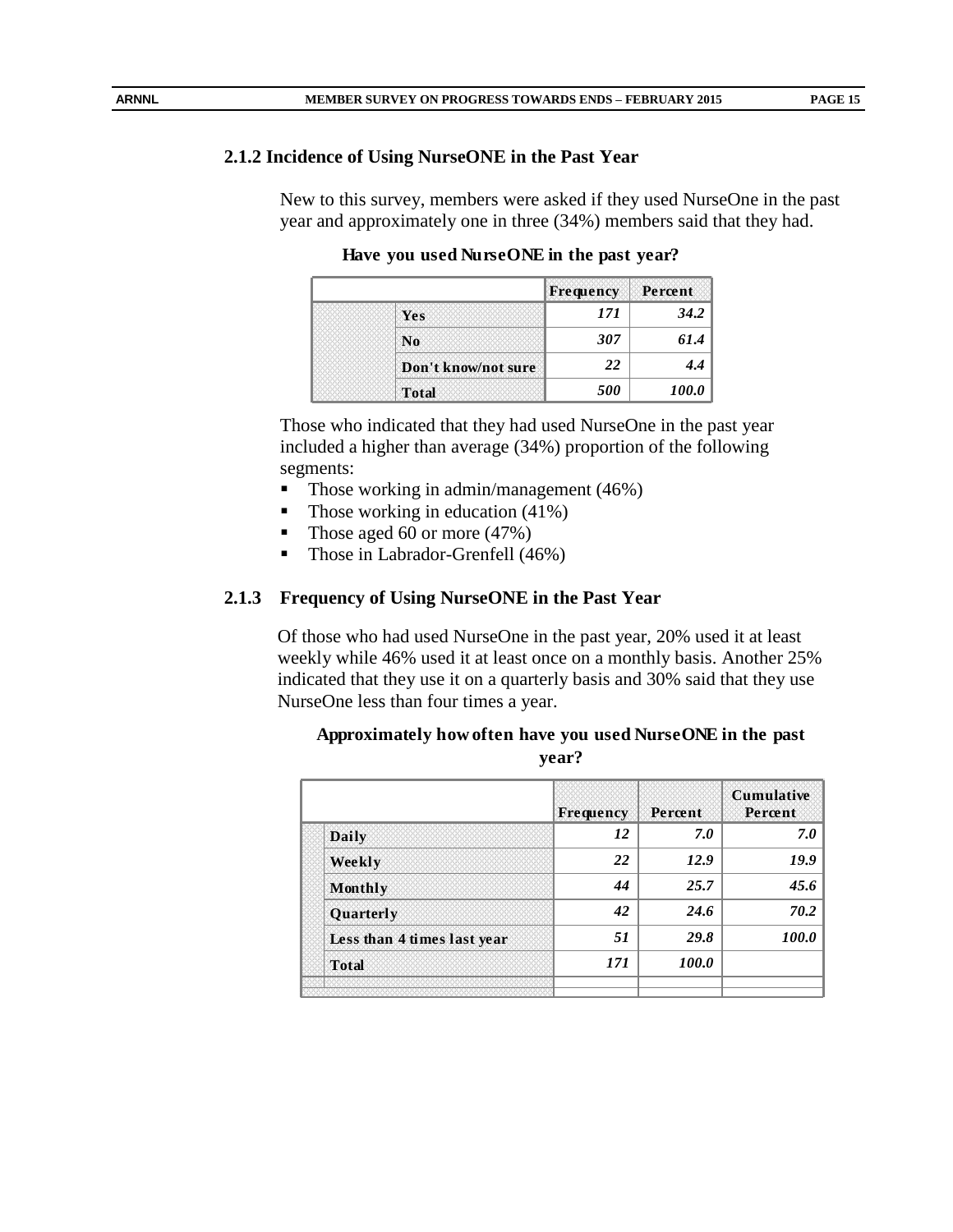#### **2.1.2 Incidence of Using NurseONE in the Past Year**

New to this survey, members were asked if they used NurseOne in the past year and approximately one in three (34%) members said that they had.

**Have you used NurseONE in the past year?**

|                     | Frequency | Percent |
|---------------------|-----------|---------|
| Yes                 | 171       | 34.2    |
| N <sub>0</sub>      | 307       | 61.4    |
| Don't know/not sure | 22        | 4.4     |
| <b>Total</b>        | 500       | 100.0   |

Those who indicated that they had used NurseOne in the past year included a higher than average (34%) proportion of the following segments:

- Those working in admin/management (46%)
- Those working in education  $(41\%)$
- Those aged 60 or more (47%)
- Those in Labrador-Grenfell (46%)

# **2.1.3 Frequency of Using NurseONE in the Past Year**

Of those who had used NurseOne in the past year, 20% used it at least weekly while 46% used it at least once on a monthly basis. Another 25% indicated that they use it on a quarterly basis and 30% said that they use NurseOne less than four times a year.

|                             | Frequency | Percent      | <b>Cumulative</b><br>Percent |
|-----------------------------|-----------|--------------|------------------------------|
| <b>Daily</b>                | 12        | 7.0          | 7.0                          |
| Weekly                      | 22        | 12.9         | 19.9                         |
| Monthly                     | 44        | 25.7         | 45.6                         |
| Quarterly                   | 42        | 24.6         | 70.2                         |
| Less than 4 times last year | 51        | 29.8         | 100.0                        |
| <b>Total</b>                | 171       | <i>100.0</i> |                              |
|                             |           |              |                              |

| Approximately how often have you used NurseONE in the past |       |  |
|------------------------------------------------------------|-------|--|
|                                                            | year? |  |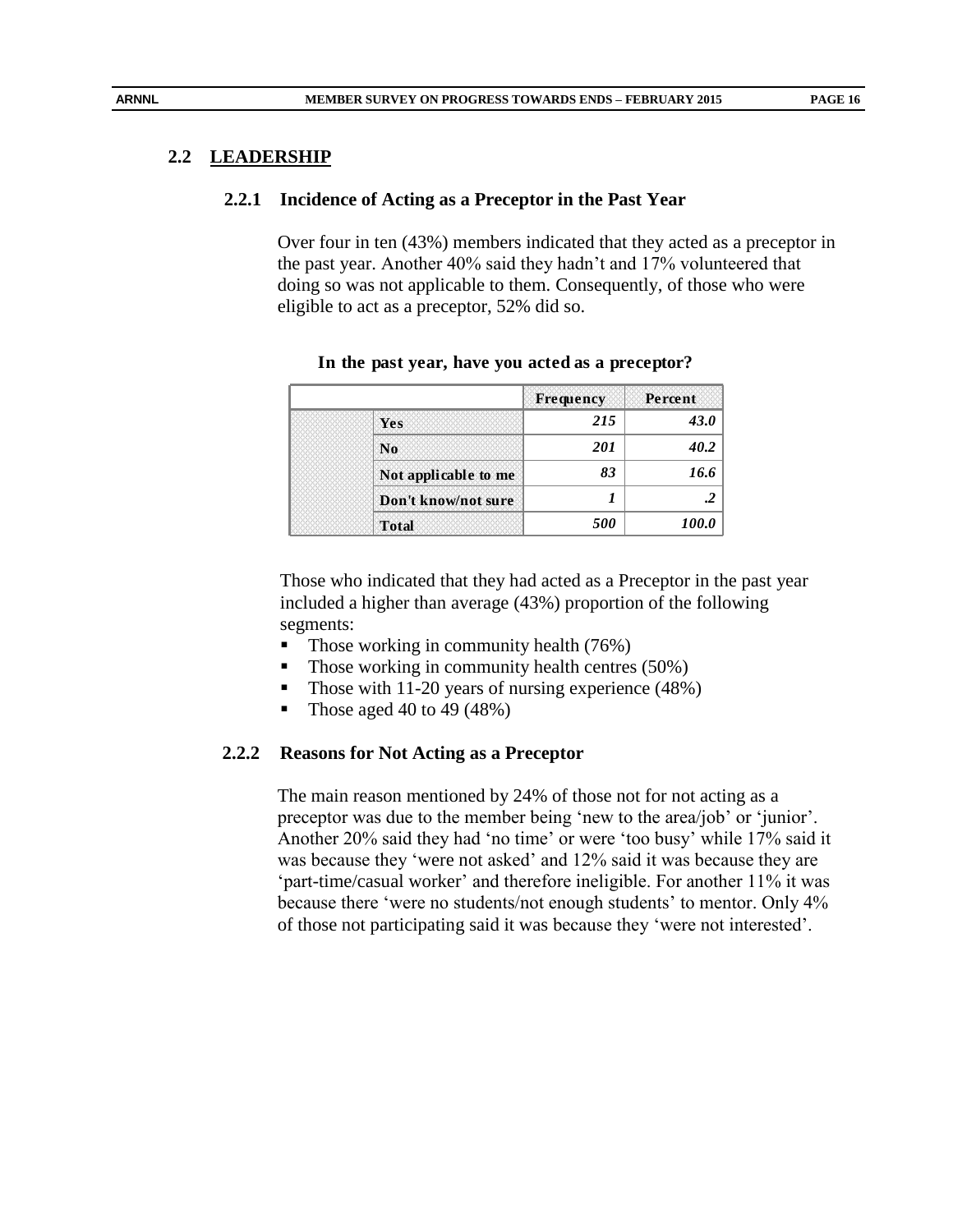#### **2.2 LEADERSHIP**

#### **2.2.1 Incidence of Acting as a Preceptor in the Past Year**

Over four in ten (43%) members indicated that they acted as a preceptor in the past year. Another 40% said they hadn't and 17% volunteered that doing so was not applicable to them. Consequently, of those who were eligible to act as a preceptor, 52% did so.

|                      | Frequency         | Percent      |
|----------------------|-------------------|--------------|
| Yes                  | 215               | 43.0         |
| N <sub>0</sub>       | <b>201</b>        | 40.2         |
| Not applicable to me | 83                | 16.6         |
| Don't know/not sure  |                   |              |
| <b>Total</b>         | <i><b>500</b></i> | <i>100.0</i> |

#### **In the past year, have you acted as a preceptor?**

Those who indicated that they had acted as a Preceptor in the past year included a higher than average (43%) proportion of the following segments:

- Those working in community health (76%)
- $\blacksquare$  Those working in community health centres (50%)
- Those with 11-20 years of nursing experience  $(48%)$
- Those aged 40 to 49  $(48%)$

#### **2.2.2 Reasons for Not Acting as a Preceptor**

The main reason mentioned by 24% of those not for not acting as a preceptor was due to the member being 'new to the area/job' or 'junior'. Another 20% said they had 'no time' or were 'too busy' while 17% said it was because they 'were not asked' and 12% said it was because they are 'part-time/casual worker' and therefore ineligible. For another 11% it was because there 'were no students/not enough students' to mentor. Only 4% of those not participating said it was because they 'were not interested'.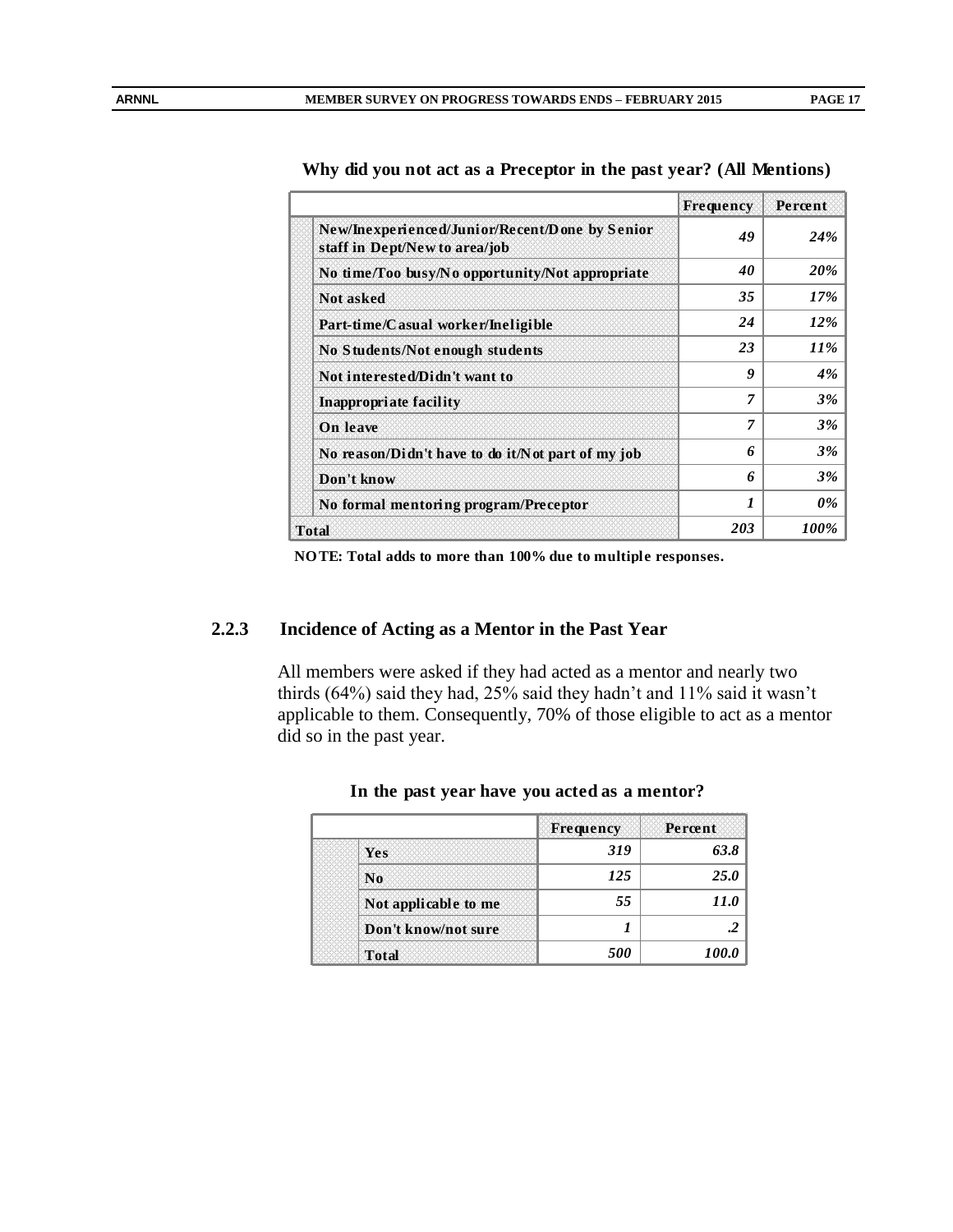|                                                                                 | <b>Frequency</b> | Percent    |
|---------------------------------------------------------------------------------|------------------|------------|
| New/Inexperienced/Junior/Recent/Done by Senior<br>staff in Dept/New to area/job | 49               | <b>24%</b> |
| No time/Too busy/No opportunity/Not appropriate                                 | 40               | 20%        |
| Not asked                                                                       | 35               | 17%        |
| Part-time/Casual worker/Ineligible                                              | 24               | 12%        |
| No Students/Not enough students                                                 | 23               | <i>11%</i> |
| Not interested/Didn't want to                                                   | $\boldsymbol{g}$ | 4%         |
| Inappropriate facility                                                          | 7                | <b>3%</b>  |
| On leave                                                                        | 7                | 3%         |
| No reason/Didn't have to do it/Not part of my job                               | 6                | 3%         |
| Don't know                                                                      | 6                | 3%         |
| No formal mentoring program/Preceptor                                           | $\boldsymbol{l}$ | 0%         |
| Total                                                                           | 203              | 100%       |

**Why did you not act as a Preceptor in the past year? (All Mentions)**

Total<br>NO TE: Total adds to more than 100% due to multiple responses.

#### **2.2.3 Incidence of Acting as a Mentor in the Past Year**

All members were asked if they had acted as a mentor and nearly two thirds (64%) said they had, 25% said they hadn't and 11% said it wasn't applicable to them. Consequently, 70% of those eligible to act as a mentor did so in the past year.

|                      | Frequency | Percent |
|----------------------|-----------|---------|
| Yes                  | 319       | 63.8    |
| N <sub>0</sub>       | 125       | 25.0    |
| Not applicable to me | 55        | 11.0    |
| Don't know/not sure  |           |         |
| <b>Total</b>         | 500       | 100.0   |

#### **In the past year have you acted as a mentor?**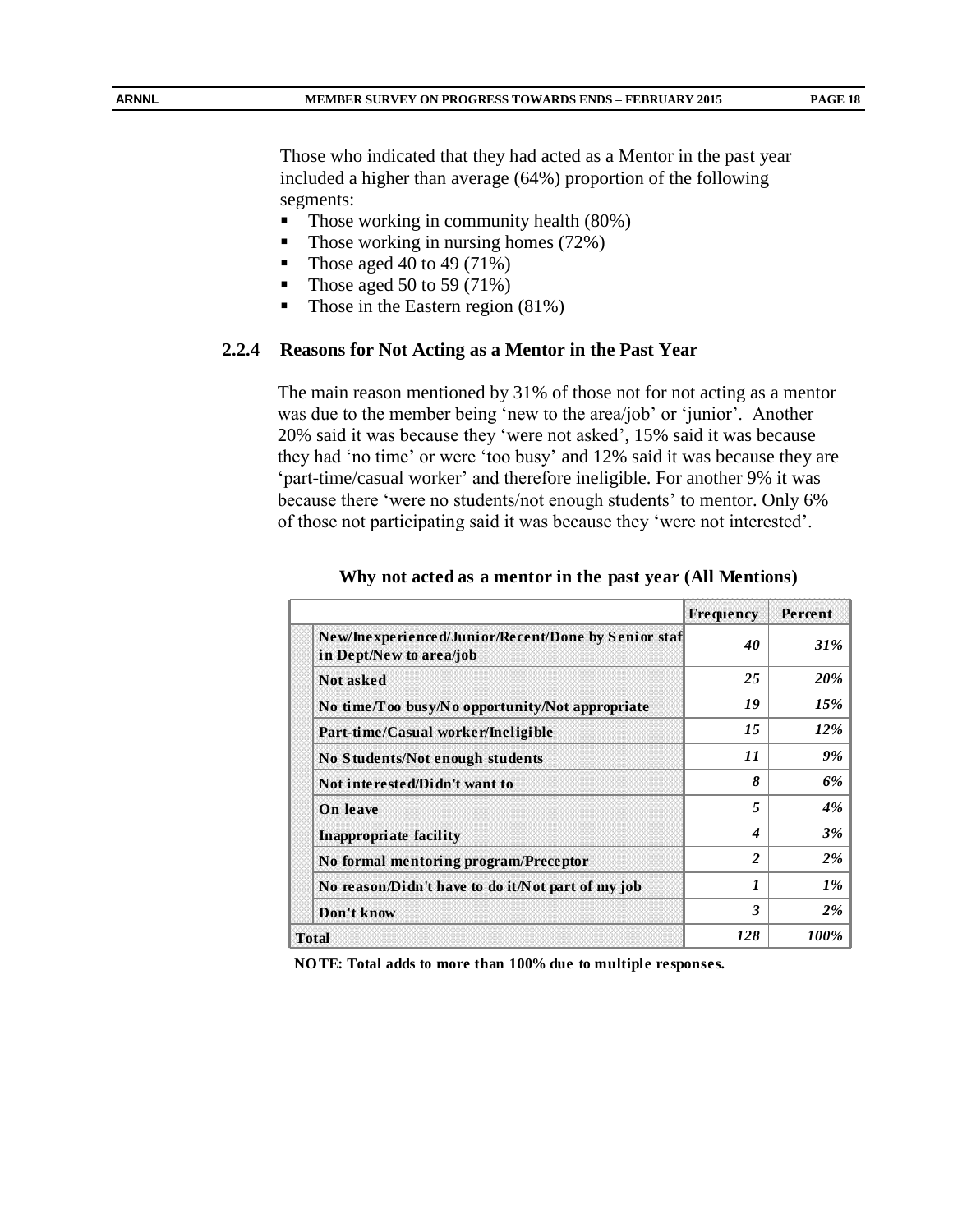Those who indicated that they had acted as a Mentor in the past year included a higher than average (64%) proportion of the following segments:

- Those working in community health (80%)
- Those working in nursing homes  $(72%)$
- Those aged 40 to 49 (71%)
- Those aged 50 to 59 (71%)
- Those in the Eastern region  $(81\%)$

#### **2.2.4 Reasons for Not Acting as a Mentor in the Past Year**

The main reason mentioned by 31% of those not for not acting as a mentor was due to the member being 'new to the area/job' or 'junior'. Another 20% said it was because they 'were not asked', 15% said it was because they had 'no time' or were 'too busy' and 12% said it was because they are 'part-time/casual worker' and therefore ineligible. For another 9% it was because there 'were no students/not enough students' to mentor. Only 6% of those not participating said it was because they 'were not interested'.

|                                                                                | <b>Frequency</b> | Percent    |
|--------------------------------------------------------------------------------|------------------|------------|
| New/Inexperienced/Junior/Recent/Done by Senior staf<br>in Dept/New to area/job | 40               | <b>31%</b> |
| <b>Not asked</b>                                                               | 25               | 20%        |
| No time/Too busy/No opportunity/Not appropriate                                | 19               | 15%        |
| Part-time/Casual worker/Ineligible                                             | 15               | 12%        |
| No Students/Not enough students                                                | 11               | 9%         |
| Not interested/Didn't want to                                                  | 8                | 6%         |
| <b>On</b> leave                                                                | 5                | 4%         |
| Inappropriate facility                                                         | 4                | 3%         |
| No formal mentoring program/Preceptor                                          | $\overline{2}$   | 2%         |
| No reason/Didn't have to do it/Not part of my job                              | 1                | $1\%$      |
| Don't know                                                                     | 3                | $2\%$      |
| <b>Total</b>                                                                   | 128              | 100%       |

#### **Why not acted as a mentor in the past year (All Mentions)**

**NO TE: Total adds to more than 100% due to multiple responses.**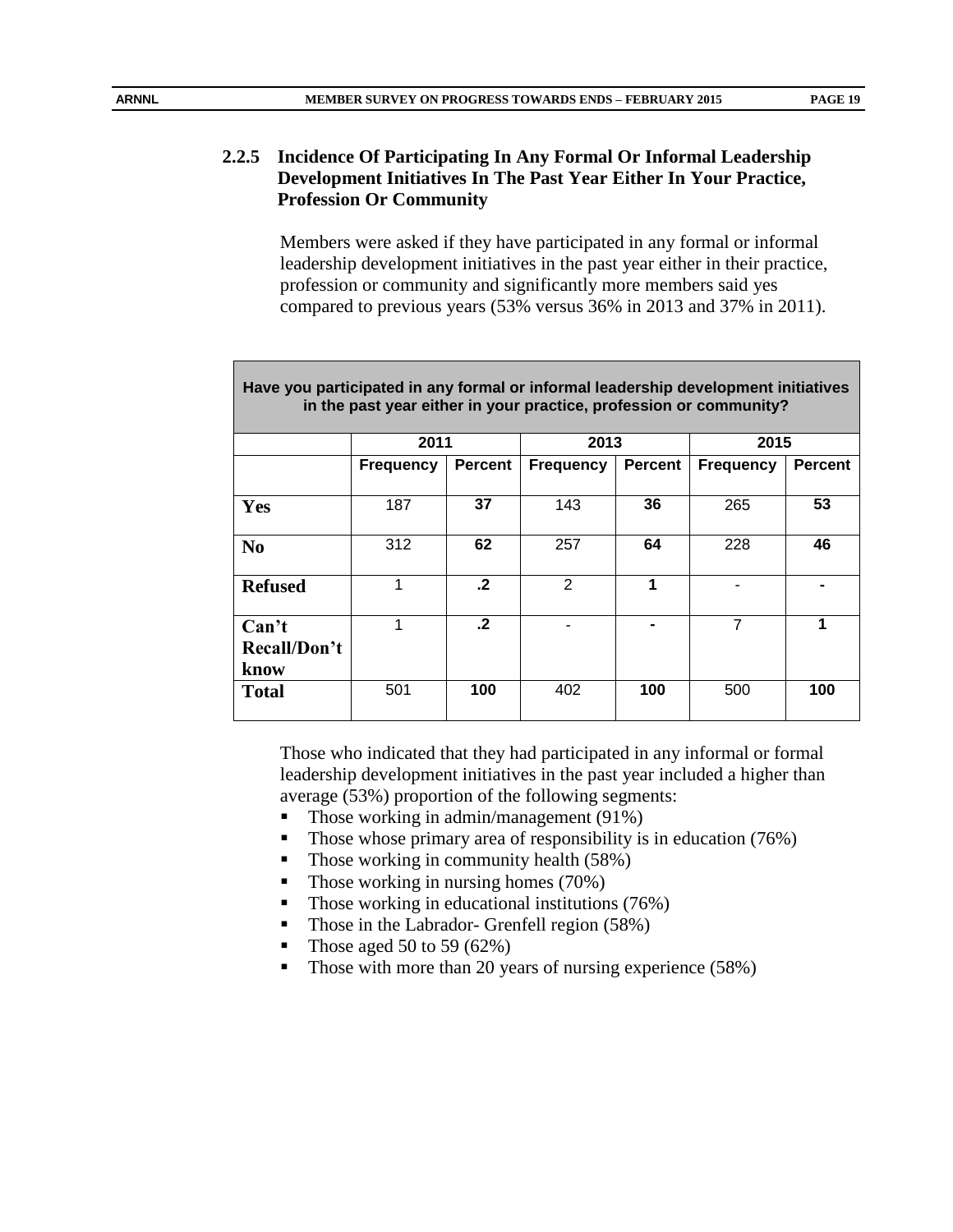# **2.2.5 Incidence Of Participating In Any Formal Or Informal Leadership**

**Profession Or Community** Members were asked if they have participated in any formal or informal

**Development Initiatives In The Past Year Either In Your Practice,** 

leadership development initiatives in the past year either in their practice, profession or community and significantly more members said yes compared to previous years (53% versus 36% in 2013 and 37% in 2011).

| Have you participated in any formal or informal leadership development initiatives<br>in the past year either in your practice, profession or community? |                  |                |                  |                |                  |                |
|----------------------------------------------------------------------------------------------------------------------------------------------------------|------------------|----------------|------------------|----------------|------------------|----------------|
|                                                                                                                                                          | 2011             |                | 2013             |                | 2015             |                |
|                                                                                                                                                          | <b>Frequency</b> | <b>Percent</b> | <b>Frequency</b> | <b>Percent</b> | <b>Frequency</b> | <b>Percent</b> |
| Yes                                                                                                                                                      | 187              | 37             | 143              | 36             | 265              | 53             |
| N <sub>0</sub>                                                                                                                                           | 312              | 62             | 257              | 64             | 228              | 46             |
| <b>Refused</b>                                                                                                                                           | 1                | $\cdot$ .2     | 2                | 1              |                  |                |
| Can't<br>Recall/Don't<br>know                                                                                                                            | 1                | $\cdot$ .2     |                  |                | 7                | 1              |
| <b>Total</b>                                                                                                                                             | 501              | 100            | 402              | 100            | 500              | 100            |

Those who indicated that they had participated in any informal or formal leadership development initiatives in the past year included a higher than average (53%) proportion of the following segments:

- Those working in admin/management  $(91\%)$
- Those whose primary area of responsibility is in education  $(76%)$
- Those working in community health  $(58%)$
- $\blacksquare$  Those working in nursing homes (70%)
- $\blacksquare$  Those working in educational institutions (76%)
- Those in the Labrador- Grenfell region (58%)
- Those aged 50 to 59  $(62\%)$
- Those with more than 20 years of nursing experience (58%)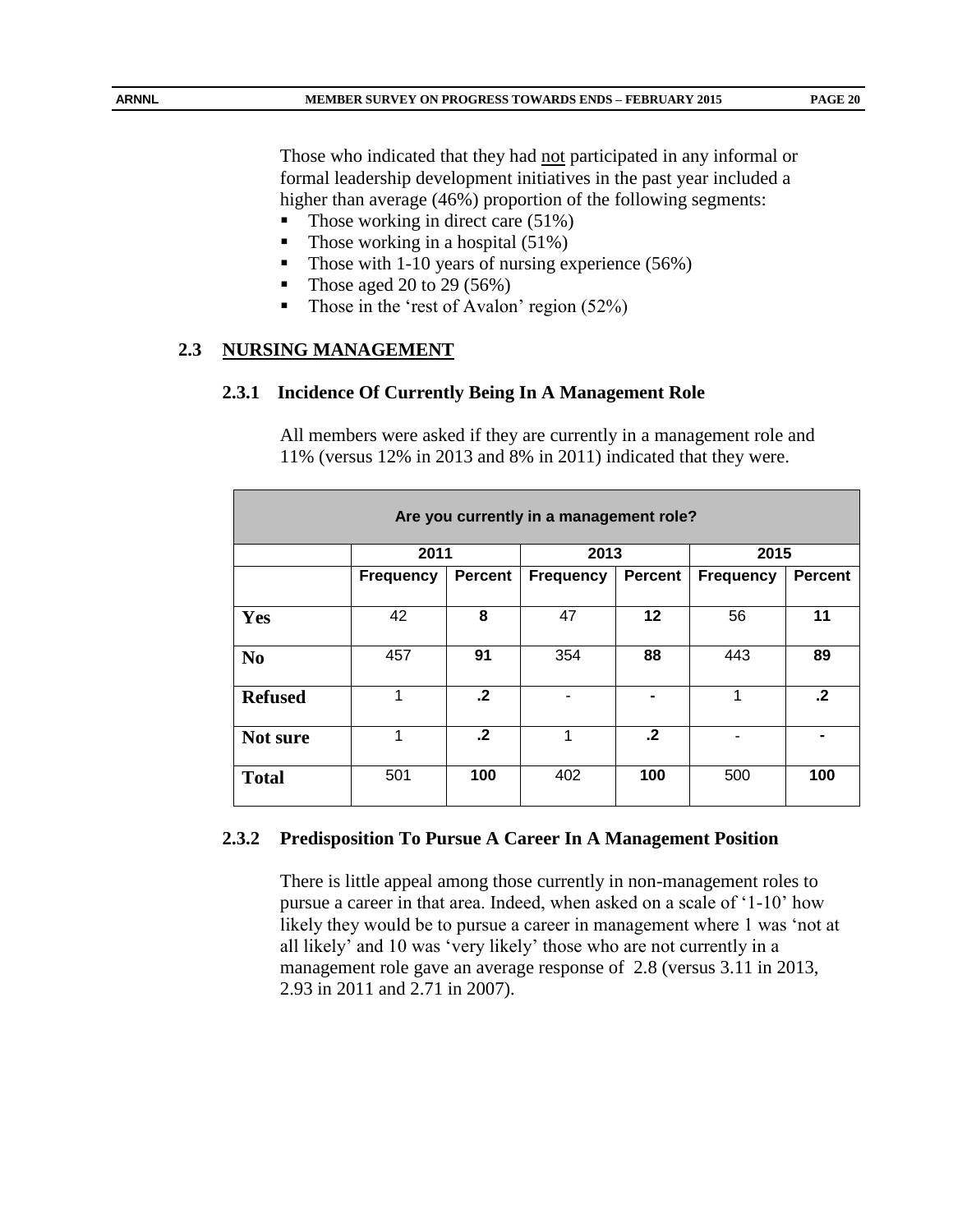Those who indicated that they had not participated in any informal or formal leadership development initiatives in the past year included a higher than average (46%) proportion of the following segments:

- Those working in direct care (51%)
- Those working in a hospital  $(51\%)$
- Those with 1-10 years of nursing experience (56%)
- Those aged 20 to 29 (56%)
- Those in the 'rest of Avalon' region  $(52\%)$

#### **2.3 NURSING MANAGEMENT**

#### **2.3.1 Incidence Of Currently Being In A Management Role**

All members were asked if they are currently in a management role and 11% (versus 12% in 2013 and 8% in 2011) indicated that they were.

| Are you currently in a management role? |                  |                |                  |                |                  |                |  |
|-----------------------------------------|------------------|----------------|------------------|----------------|------------------|----------------|--|
|                                         | 2011             |                | 2013             |                | 2015             |                |  |
|                                         | <b>Frequency</b> | <b>Percent</b> | <b>Frequency</b> | <b>Percent</b> | <b>Frequency</b> | <b>Percent</b> |  |
| Yes                                     | 42               | 8              | 47               | 12             | 56               | 11             |  |
| N <sub>0</sub>                          | 457              | 91             | 354              | 88             | 443              | 89             |  |
| <b>Refused</b>                          | 1                | $\cdot$ .2     |                  |                | 1                | $\cdot$ .2     |  |
| Not sure                                | 1                | $\cdot$        | 1                | $\cdot$ .2     |                  |                |  |
| <b>Total</b>                            | 501              | 100            | 402              | 100            | 500              | 100            |  |

#### **2.3.2 Predisposition To Pursue A Career In A Management Position**

There is little appeal among those currently in non-management roles to pursue a career in that area. Indeed, when asked on a scale of '1-10' how likely they would be to pursue a career in management where 1 was 'not at all likely' and 10 was 'very likely' those who are not currently in a management role gave an average response of 2.8 (versus 3.11 in 2013, 2.93 in 2011 and 2.71 in 2007).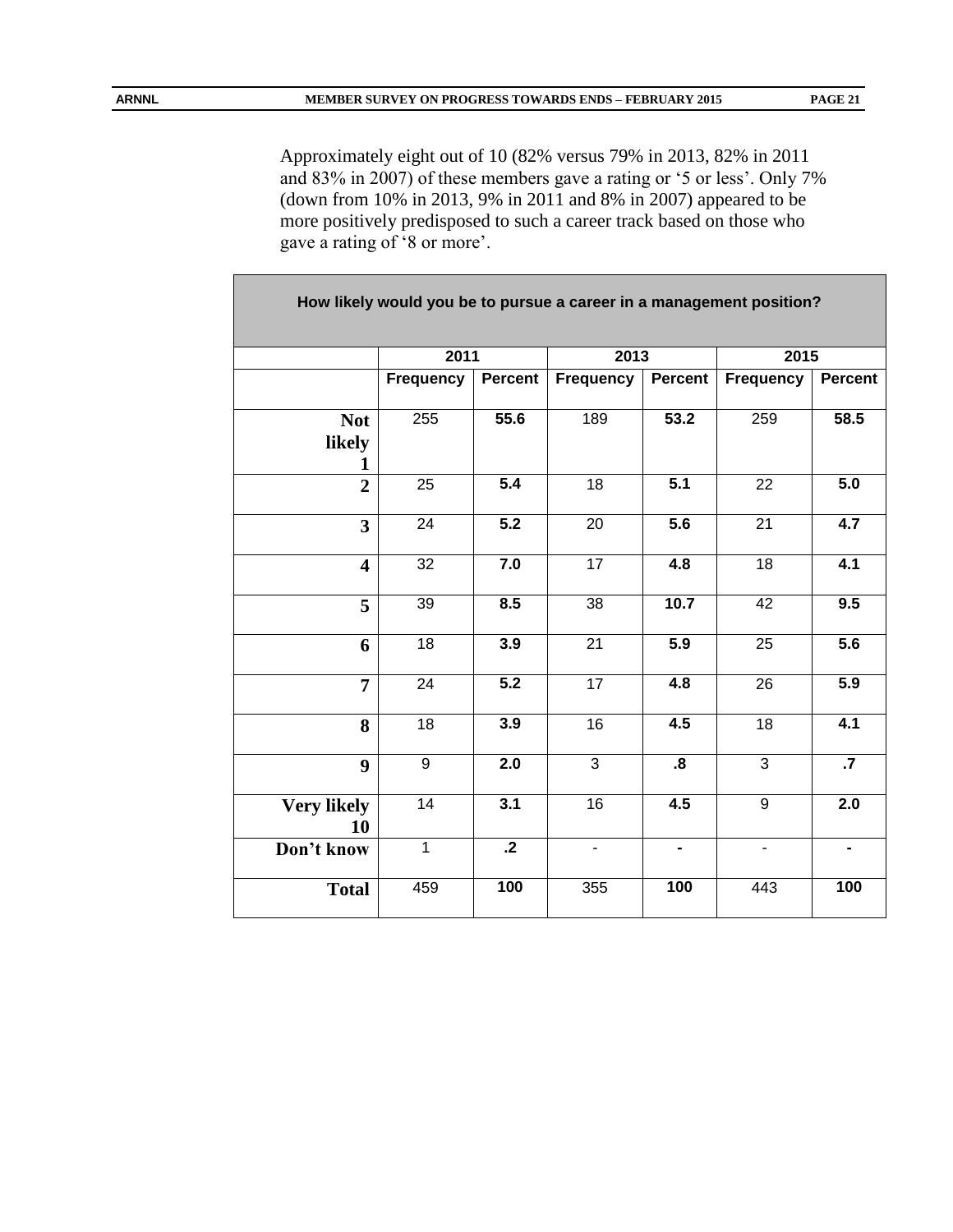Approximately eight out of 10 (82% versus 79% in 2013, 82% in 2011 and 83% in 2007) of these members gave a rating or '5 or less'. Only 7% (down from 10% in 2013, 9% in 2011 and 8% in 2007) appeared to be more positively predisposed to such a career track based on those who gave a rating of '8 or more'.

| How likely would you be to pursue a career in a management position? |                  |                  |                  |                              |                  |                 |  |
|----------------------------------------------------------------------|------------------|------------------|------------------|------------------------------|------------------|-----------------|--|
|                                                                      | 2011             |                  | 2013             |                              | 2015             |                 |  |
|                                                                      | <b>Frequency</b> | Percent          | <b>Frequency</b> | Percent                      | <b>Frequency</b> | <b>Percent</b>  |  |
| <b>Not</b><br>likely                                                 | 255              | 55.6             | 189              | 53.2                         | 259              | 58.5            |  |
| $\overline{2}$                                                       | $\overline{25}$  | 5.4              | $\overline{18}$  | $\overline{5.1}$             | $\overline{22}$  | 5.0             |  |
| $\overline{\mathbf{3}}$                                              | 24               | $\overline{5.2}$ | 20               | 5.6                          | 21               | 4.7             |  |
| $\overline{\mathbf{4}}$                                              | 32               | 7.0              | $\overline{17}$  | $\overline{4.8}$             | 18               | 4.1             |  |
| 5                                                                    | 39               | 8.5              | 38               | 10.7                         | 42               | 9.5             |  |
| 6                                                                    | 18               | 3.9              | $\overline{21}$  | 5.9                          | 25               | 5.6             |  |
| $\overline{7}$                                                       | 24               | $\overline{5.2}$ | $\overline{17}$  | 4.8                          | 26               | 5.9             |  |
| 8                                                                    | $\overline{18}$  | $\overline{3.9}$ | 16               | 4.5                          | 18               | 4.1             |  |
| 9                                                                    | $\overline{9}$   | $\overline{2.0}$ | $\overline{3}$   | $\boldsymbol{.8}$            | $\overline{3}$   | $\overline{.7}$ |  |
| <b>Very likely</b><br>10                                             | 14               | $\overline{3.1}$ | 16               | 4.5                          | $\overline{9}$   | 2.0             |  |
| Don't know                                                           | $\overline{1}$   | $\overline{.2}$  | $\blacksquare$   | $\qquad \qquad \blacksquare$ | $\blacksquare$   | $\blacksquare$  |  |
| <b>Total</b>                                                         | 459              | 100              | 355              | 100                          | 443              | 100             |  |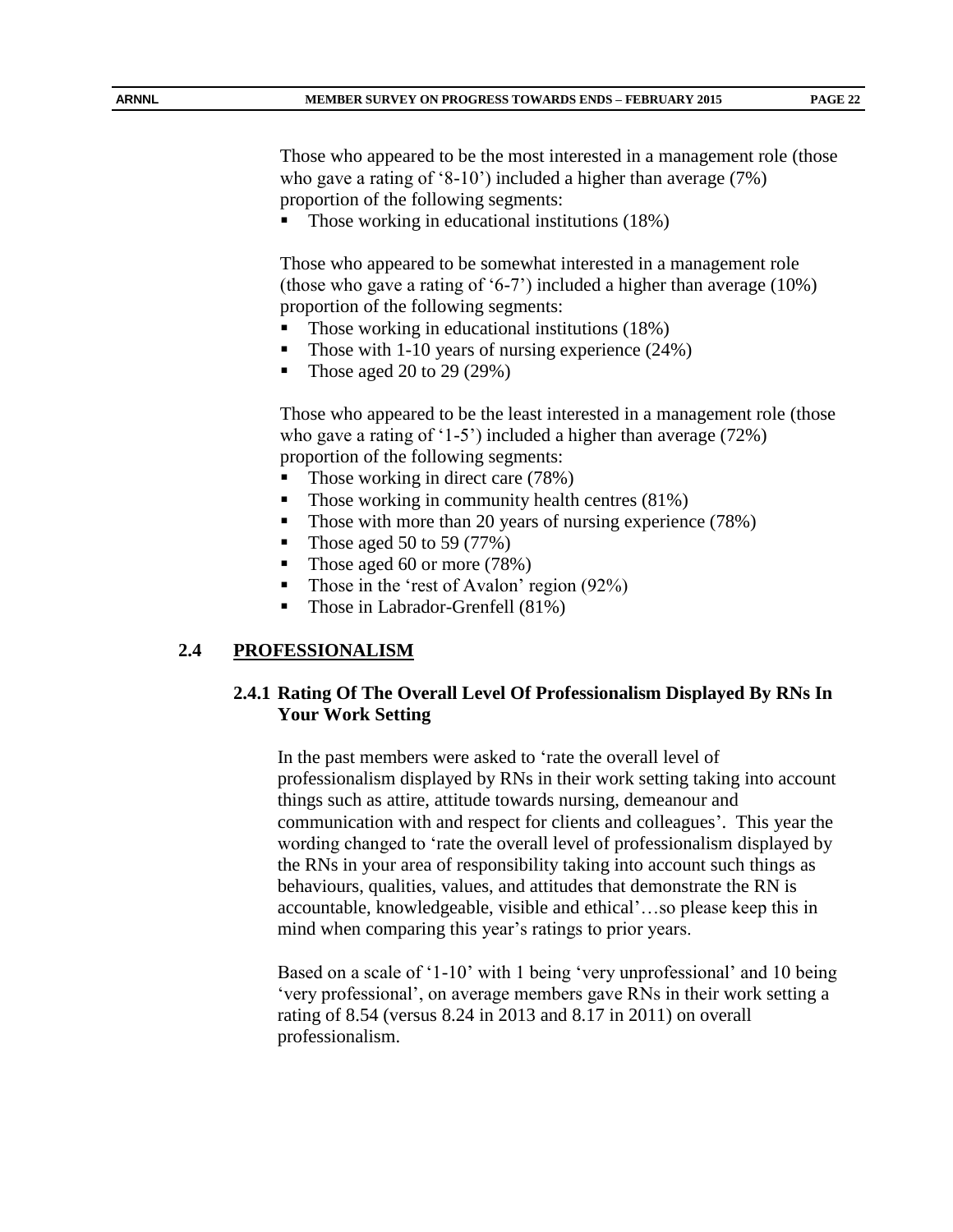Those who appeared to be the most interested in a management role (those who gave a rating of '8-10') included a higher than average (7%) proportion of the following segments:

Those working in educational institutions (18%)

Those who appeared to be somewhat interested in a management role (those who gave a rating of '6-7') included a higher than average (10%) proportion of the following segments:

- Those working in educational institutions (18%)
- Those with 1-10 years of nursing experience (24%)
- Those aged 20 to 29 (29%)

Those who appeared to be the least interested in a management role (those who gave a rating of '1-5') included a higher than average (72%) proportion of the following segments:

- Those working in direct care (78%)
- Those working in community health centres (81%)
- Those with more than 20 years of nursing experience (78%)
- Those aged 50 to 59 (77%)
- Those aged 60 or more (78%)
- Those in the 'rest of Avalon' region  $(92\%)$
- Those in Labrador-Grenfell (81%)

#### **2.4 PROFESSIONALISM**

#### **2.4.1 Rating Of The Overall Level Of Professionalism Displayed By RNs In Your Work Setting**

In the past members were asked to 'rate the overall level of professionalism displayed by RNs in their work setting taking into account things such as attire, attitude towards nursing, demeanour and communication with and respect for clients and colleagues'. This year the wording changed to 'rate the overall level of professionalism displayed by the RNs in your area of responsibility taking into account such things as behaviours, qualities, values, and attitudes that demonstrate the RN is accountable, knowledgeable, visible and ethical'…so please keep this in mind when comparing this year's ratings to prior years.

Based on a scale of '1-10' with 1 being 'very unprofessional' and 10 being 'very professional', on average members gave RNs in their work setting a rating of 8.54 (versus 8.24 in 2013 and 8.17 in 2011) on overall professionalism.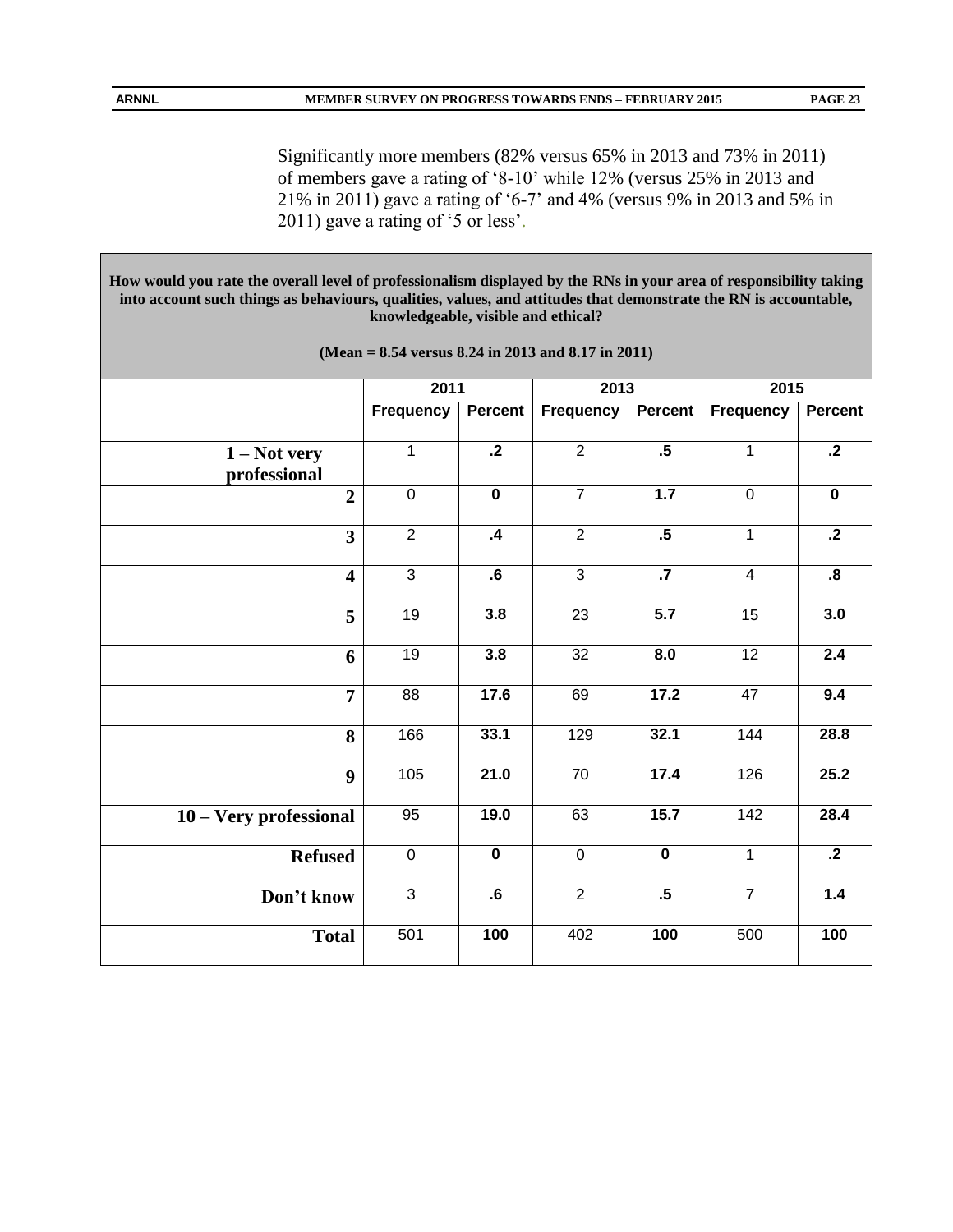Significantly more members (82% versus 65% in 2013 and 73% in 2011) of members gave a rating of '8-10' while 12% (versus 25% in 2013 and 21% in 2011) gave a rating of '6-7' and 4% (versus 9% in 2013 and 5% in 2011) gave a rating of '5 or less'.

**How would you rate the overall level of professionalism displayed by the RNs in your area of responsibility taking into account such things as behaviours, qualities, values, and attitudes that demonstrate the RN is accountable, knowledgeable, visible and ethical?** 

|                                | 2011            |                         | 2013            |                         | 2015            |                         |
|--------------------------------|-----------------|-------------------------|-----------------|-------------------------|-----------------|-------------------------|
|                                | Frequency       | <b>Percent</b>          | Frequency       | <b>Percent</b>          | Frequency       | <b>Percent</b>          |
| $1 - Not$ very<br>professional | $\mathbf{1}$    | $\cdot$ .2              | 2               | $\overline{.5}$         | $\mathbf{1}$    | $\cdot$ .2              |
| $\overline{2}$                 | $\overline{0}$  | $\overline{\mathbf{0}}$ | $\overline{7}$  | 1.7                     | $\overline{0}$  | $\overline{\mathbf{0}}$ |
| $\overline{\mathbf{3}}$        | $\overline{2}$  | $\mathbf{A}$            | $\overline{2}$  | .5                      | $\overline{1}$  | $\overline{.2}$         |
| $\overline{\mathbf{4}}$        | $\overline{3}$  | $\overline{\mathbf{6}}$ | $\overline{3}$  | $\overline{.7}$         | $\overline{4}$  | $\overline{\mathbf{8}}$ |
| 5                              | 19              | 3.8                     | $\overline{23}$ | 5.7                     | $\overline{15}$ | 3.0                     |
| 6                              | 19              | 3.8                     | 32              | 8.0                     | 12              | 2.4                     |
| $\overline{7}$                 | $\overline{88}$ | 17.6                    | 69              | 17.2                    | 47              | 9.4                     |
| 8                              | 166             | 33.1                    | 129             | 32.1                    | 144             | 28.8                    |
| 9                              | 105             | 21.0                    | $\overline{70}$ | 17.4                    | 126             | 25.2                    |
| 10 - Very professional         | 95              | 19.0                    | 63              | 15.7                    | 142             | 28.4                    |
| <b>Refused</b>                 | $\overline{0}$  | $\overline{\mathbf{0}}$ | $\mathbf 0$     | $\overline{\mathbf{0}}$ | $\overline{1}$  | $\overline{.2}$         |
| Don't know                     | $\overline{3}$  | $\cdot 6$               | $\overline{2}$  | $\overline{.5}$         | $\overline{7}$  | 1.4                     |
| <b>Total</b>                   | 501             | 100                     | 402             | 100                     | 500             | 100                     |
|                                |                 |                         |                 |                         |                 |                         |

**(Mean = 8.54 versus 8.24 in 2013 and 8.17 in 2011)**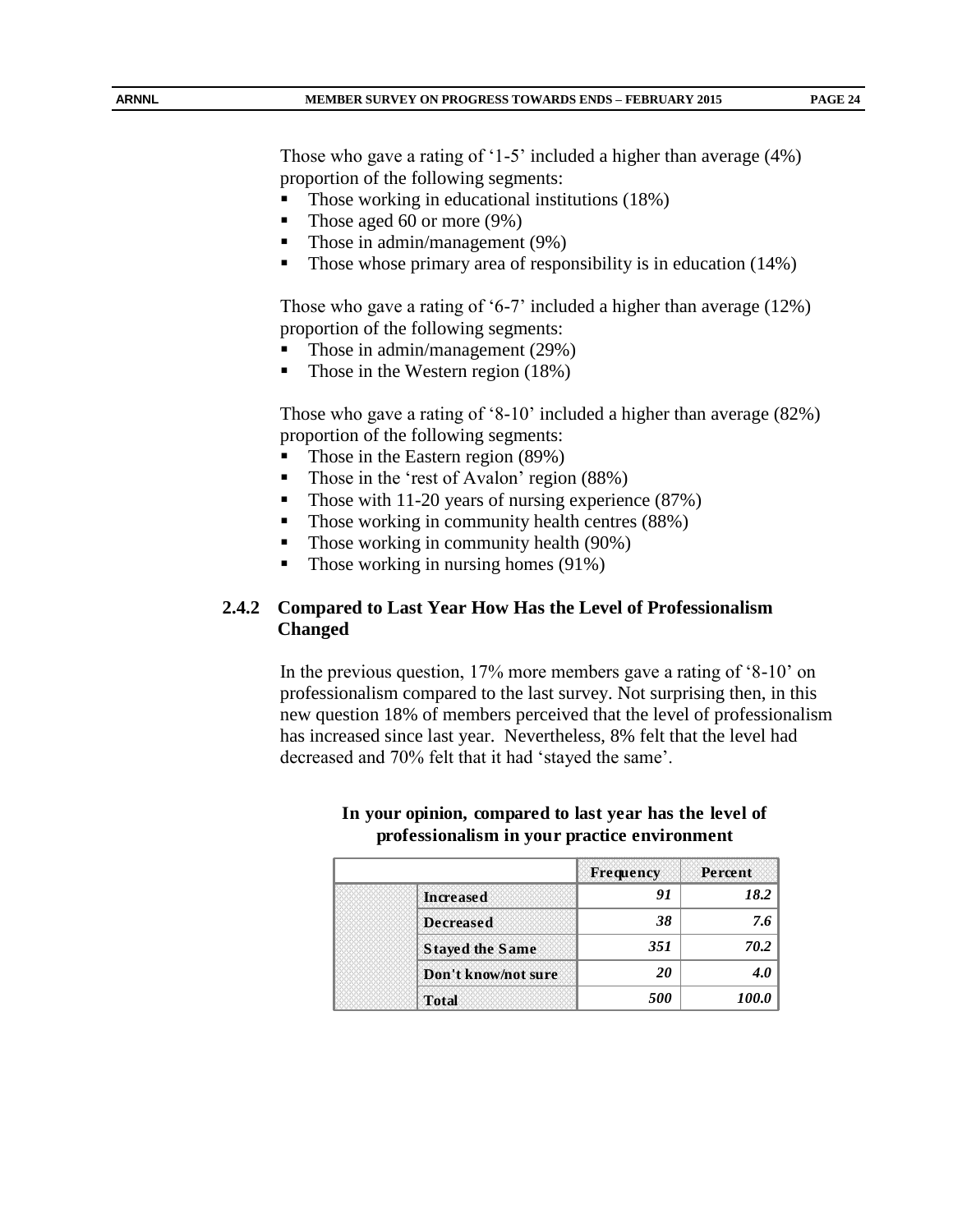Those who gave a rating of '1-5' included a higher than average (4%) proportion of the following segments:

- Those working in educational institutions (18%)
- Those aged 60 or more  $(9\%)$
- Those in admin/management (9%)
- Those whose primary area of responsibility is in education (14%)

Those who gave a rating of '6-7' included a higher than average (12%) proportion of the following segments:

- Those in admin/management (29%)
- Those in the Western region (18%)

Those who gave a rating of '8-10' included a higher than average (82%) proportion of the following segments:

- Those in the Eastern region (89%)
- Those in the 'rest of Avalon' region (88%)
- Those with 11-20 years of nursing experience (87%)
- $\blacksquare$  Those working in community health centres (88%)
- Those working in community health (90%)
- $\blacksquare$  Those working in nursing homes (91%)

# **2.4.2 Compared to Last Year How Has the Level of Professionalism Changed**

In the previous question, 17% more members gave a rating of '8-10' on professionalism compared to the last survey. Not surprising then, in this new question 18% of members perceived that the level of professionalism has increased since last year. Nevertheless, 8% felt that the level had decreased and 70% felt that it had 'stayed the same'.

|                        | <b>Frequency</b> | Percent |
|------------------------|------------------|---------|
| <b>Increased</b>       | 91               | 18.2    |
| <b>Decreased</b>       | 38               | 7.6     |
| <b>Stayed the Same</b> | 351              | 70.2    |
| Don't know/not sure    | 20               |         |
| <b>Total</b>           | 500              |         |

#### **In your opinion, compared to last year has the level of professionalism in your practice environment**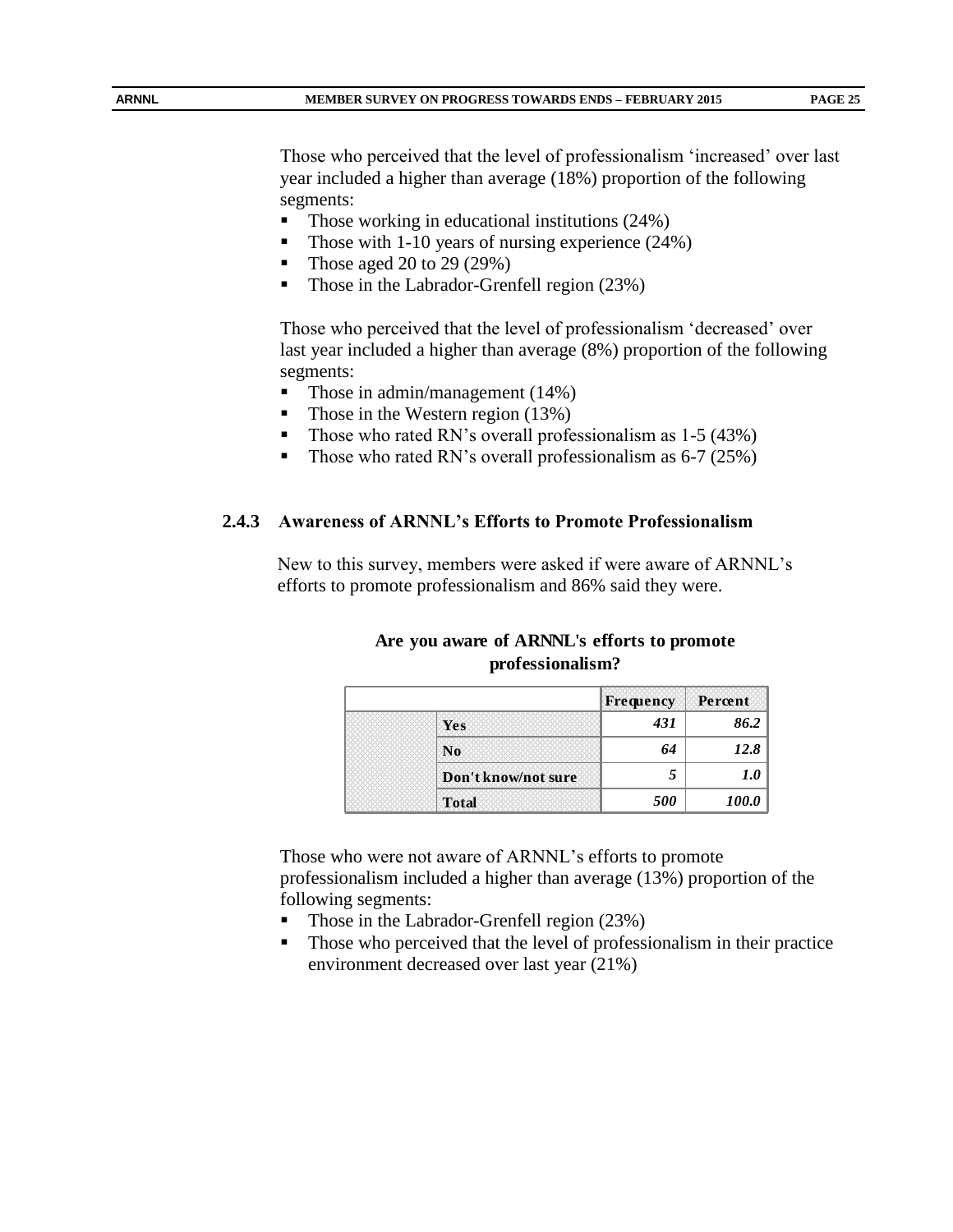Those who perceived that the level of professionalism 'increased' over last year included a higher than average (18%) proportion of the following segments:

- $\blacksquare$  Those working in educational institutions (24%)
- Those with 1-10 years of nursing experience  $(24%)$
- Those aged 20 to 29 (29%)
- Those in the Labrador-Grenfell region (23%)

Those who perceived that the level of professionalism 'decreased' over last year included a higher than average (8%) proportion of the following segments:

- Those in admin/management (14%)
- Those in the Western region (13%)
- Those who rated RN's overall professionalism as 1-5 (43%)
- Those who rated RN's overall professionalism as  $6-7$  (25%)

#### **2.4.3 Awareness of ARNNL's Efforts to Promote Professionalism**

New to this survey, members were asked if were aware of ARNNL's efforts to promote professionalism and 86% said they were.

|  | Are you aware of ARNNL's efforts to promote |  |
|--|---------------------------------------------|--|
|  | professionalism?                            |  |

|                     | Frequency | Percent      |
|---------------------|-----------|--------------|
| Yes                 | 431       | 86.2         |
| N <sub>0</sub>      | 64        | 12.8         |
| Don't know/not sure |           | 1.0          |
| <b>Total</b>        | 500       | <i>100.0</i> |

Those who were not aware of ARNNL's efforts to promote professionalism included a higher than average (13%) proportion of the following segments:

- Those in the Labrador-Grenfell region (23%)
- Those who perceived that the level of professionalism in their practice environment decreased over last year (21%)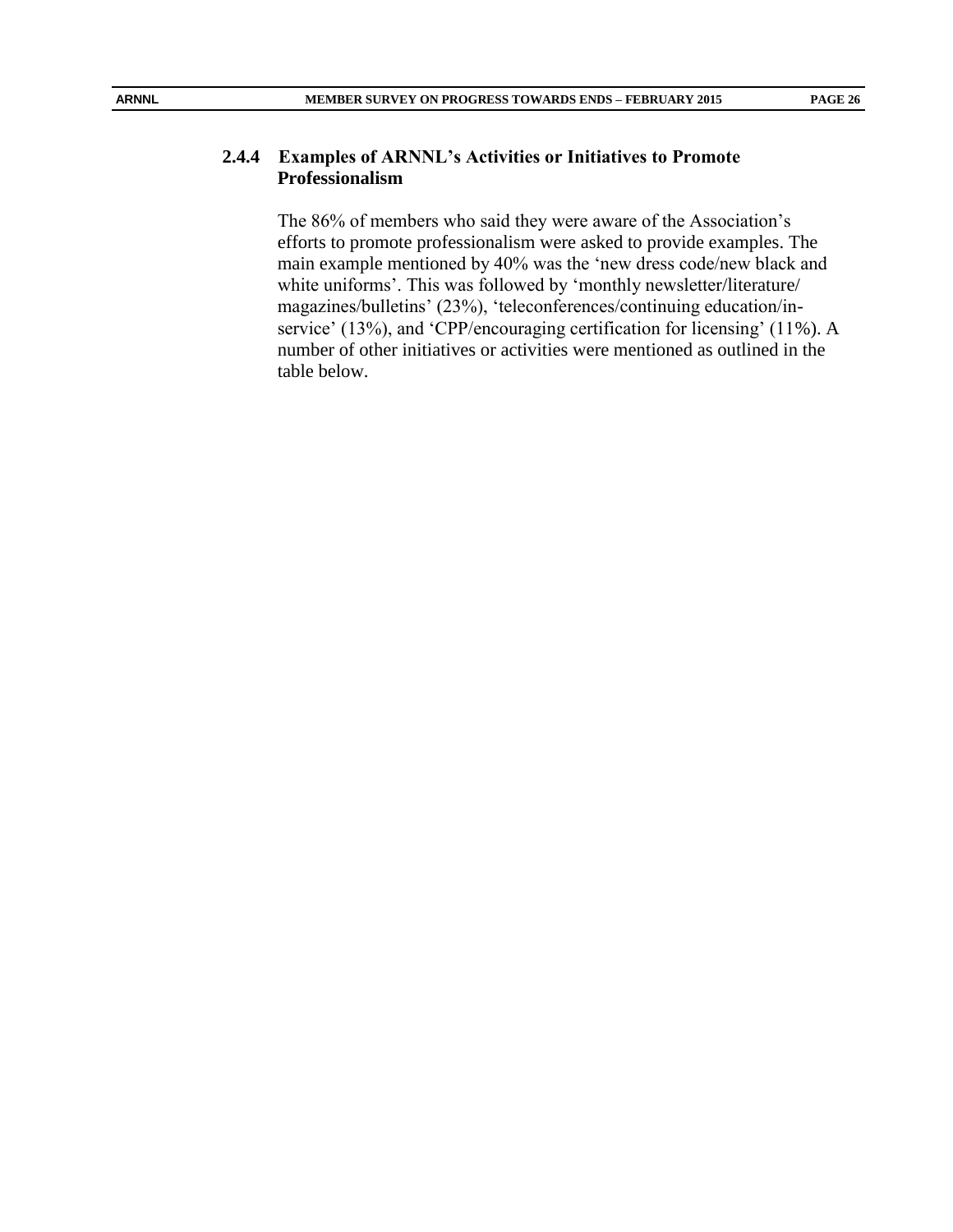#### **2.4.4 Examples of ARNNL's Activities or Initiatives to Promote Professionalism**

The 86% of members who said they were aware of the Association's efforts to promote professionalism were asked to provide examples. The main example mentioned by 40% was the 'new dress code/new black and white uniforms'. This was followed by 'monthly newsletter/literature/ magazines/bulletins' (23%), 'teleconferences/continuing education/inservice' (13%), and 'CPP/encouraging certification for licensing' (11%). A number of other initiatives or activities were mentioned as outlined in the table below.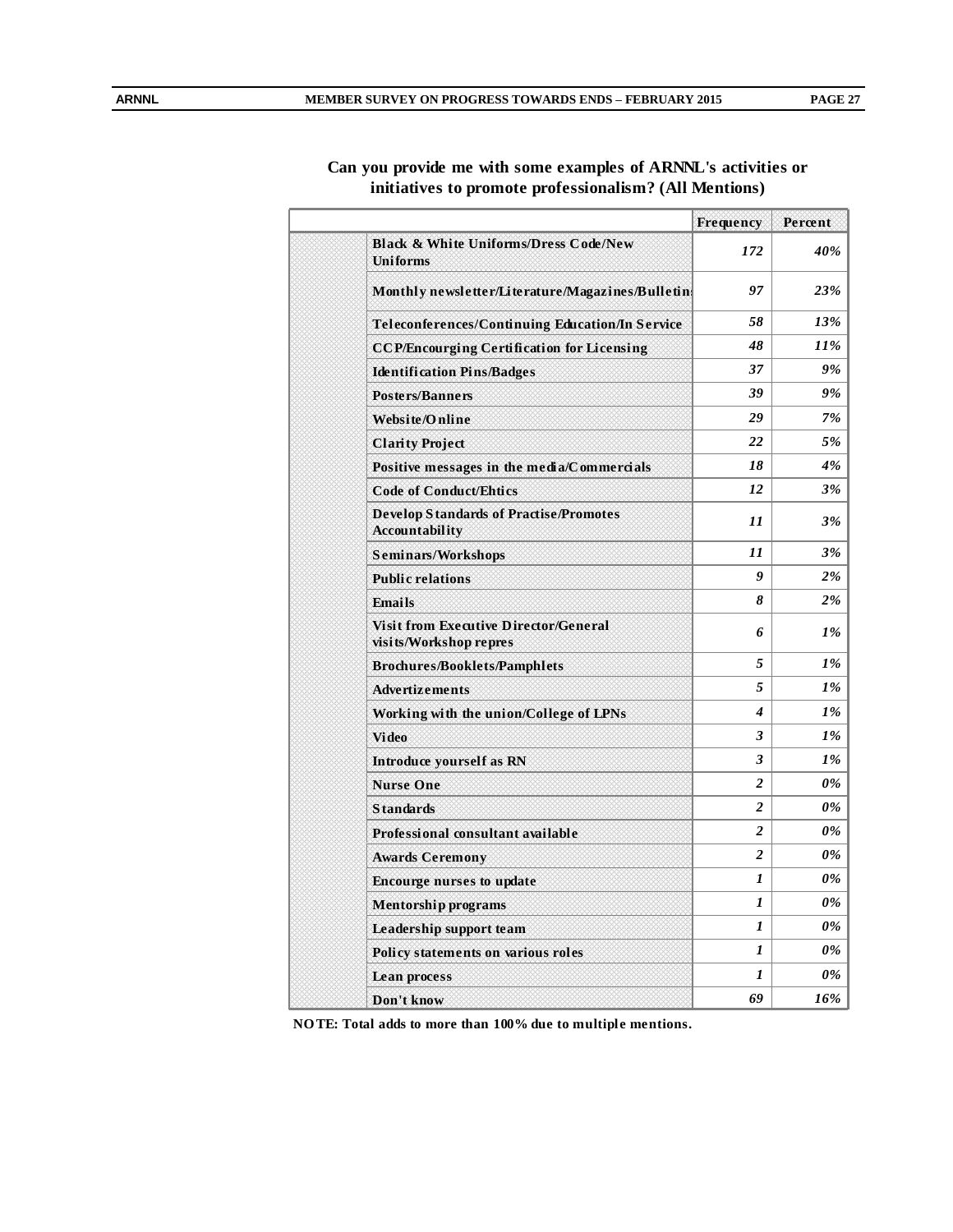#### **Can you provide me with some examples of ARNNL's activities or initiatives to promote professionalism? (All Mentions)**

|                                                                        | Frequency                                                                                                                                                                                                                         | Percent |
|------------------------------------------------------------------------|-----------------------------------------------------------------------------------------------------------------------------------------------------------------------------------------------------------------------------------|---------|
| <b>Black &amp; White Uniforms/Dress Code/New</b><br><b>Uniforms</b>    | 172                                                                                                                                                                                                                               | 40%     |
| Monthly newsletter/Literature/Magazines/Bulleting                      | 97                                                                                                                                                                                                                                | 23%     |
| Teleconferences/Continuing Education/In Service                        | 58<br>13%<br>48<br>37<br>39<br>29<br>22<br>18<br>12<br>11<br>11<br>$\boldsymbol{g}$<br>8<br>6<br>5<br>5<br>$\boldsymbol{4}$<br>3<br>3<br>$\overline{2}$<br>2<br>$\overline{c}$<br>$\boldsymbol{2}$<br>1<br>1<br>1<br>1<br>1<br>69 |         |
| <b>CCP/Encourging Certification for Licensing</b>                      |                                                                                                                                                                                                                                   | $11\%$  |
| <b>Identification Pins/Badges</b>                                      |                                                                                                                                                                                                                                   | 9%      |
| <b>Posters/Banners</b>                                                 |                                                                                                                                                                                                                                   | 9%      |
| Website/Online                                                         |                                                                                                                                                                                                                                   | 7%      |
| <b>Clarity Project</b>                                                 |                                                                                                                                                                                                                                   | 5%      |
| Positive messages in the media/Commercials                             |                                                                                                                                                                                                                                   | 4%      |
| <b>Code of Conduct/Ehtics</b>                                          |                                                                                                                                                                                                                                   | 3%      |
| <b>Develop Standards of Practise/Promotes</b><br><b>Accountability</b> |                                                                                                                                                                                                                                   | 3%      |
| Seminars/Workshops                                                     |                                                                                                                                                                                                                                   | 3%      |
| <b>Public relations</b>                                                |                                                                                                                                                                                                                                   | $2\%$   |
| <b>Emails</b>                                                          |                                                                                                                                                                                                                                   | 2%      |
| <b>Visit from Executive Director/General</b><br>visits/Workshop repres |                                                                                                                                                                                                                                   | $1\%$   |
| <b>Brochures/Booklets/Pamphlets</b>                                    |                                                                                                                                                                                                                                   | 1%      |
| <b>Advertizements</b>                                                  |                                                                                                                                                                                                                                   | 1%      |
| Working with the union/College of LPNs                                 |                                                                                                                                                                                                                                   | 1%      |
| <b>Video</b>                                                           |                                                                                                                                                                                                                                   | 1%      |
| Introduce yourself as RN                                               |                                                                                                                                                                                                                                   | 1%      |
| <b>Nurse One</b>                                                       |                                                                                                                                                                                                                                   | 0%      |
| <b>Standards</b>                                                       |                                                                                                                                                                                                                                   | 0%      |
| Professional consultant available                                      |                                                                                                                                                                                                                                   | 0%      |
| <b>Awards Ceremony</b>                                                 |                                                                                                                                                                                                                                   | 0%      |
| <b>Encourge nurses to update</b>                                       |                                                                                                                                                                                                                                   | 0%      |
| <b>Mentorship programs</b>                                             |                                                                                                                                                                                                                                   | 0%      |
| Leadership support team                                                |                                                                                                                                                                                                                                   | 0%      |
| Policy statements on various roles                                     |                                                                                                                                                                                                                                   | 0%      |
| <b>Lean process</b>                                                    |                                                                                                                                                                                                                                   | 0%      |
| Don't know                                                             |                                                                                                                                                                                                                                   | 16%     |

**NO TE: Total adds to more than 100% due to multiple mentions.**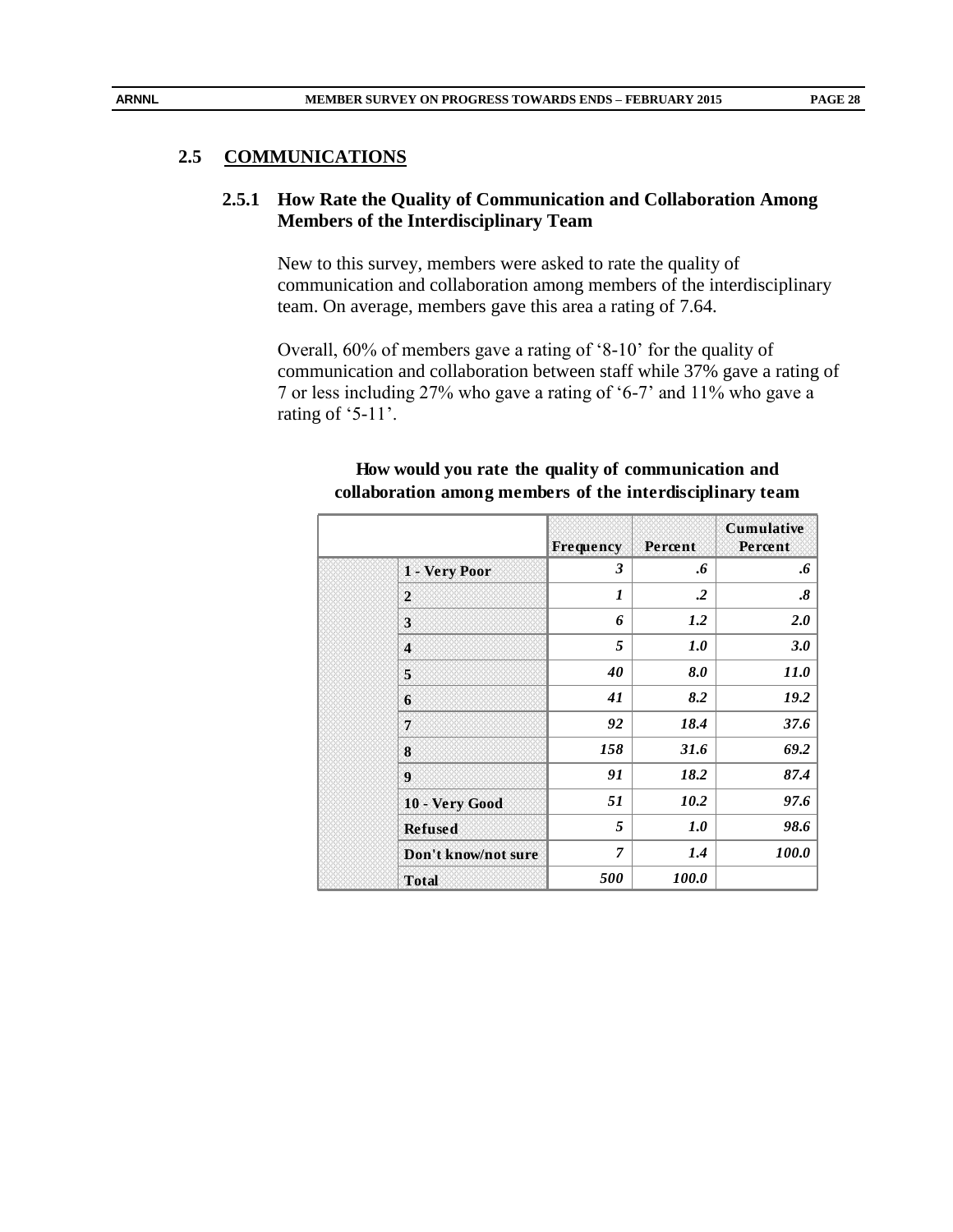#### **2.5 COMMUNICATIONS**

## **2.5.1 How Rate the Quality of Communication and Collaboration Among Members of the Interdisciplinary Team**

New to this survey, members were asked to rate the quality of communication and collaboration among members of the interdisciplinary team. On average, members gave this area a rating of 7.64.

Overall, 60% of members gave a rating of '8-10' for the quality of communication and collaboration between staff while 37% gave a rating of 7 or less including 27% who gave a rating of '6-7' and 11% who gave a rating of '5-11'.

|  |                     | Frequency                 | Percent      | Cumulative<br>Percent  |
|--|---------------------|---------------------------|--------------|------------------------|
|  | 1 - Very Poor       | 3                         | .6           | .6                     |
|  | $\mathbf{2}$        | $\boldsymbol{\mathit{1}}$ | $\cdot$      | $\boldsymbol{\delta}.$ |
|  | 3                   | 6                         | 1.2          | <b>2.0</b>             |
|  | $\overline{\bf{4}}$ | 5                         | 1.0          | 3.0                    |
|  | 5                   | 40                        | 8.0          | <i>11.0</i>            |
|  | 6                   | 41                        | 8.2          | 19.2                   |
|  | 7                   | 92                        | 18.4         | 37.6                   |
|  | 8                   | 158                       | 31.6         | 69.2                   |
|  | 9                   | 91                        | 18.2         | 87.4                   |
|  | 10 - Very Good      | 51                        | 10.2         | 97.6                   |
|  | <b>Refused</b>      | 5                         | 1.0          | 98.6                   |
|  | Don't know/not sure | 7                         | 1.4          | <i>100.0</i>           |
|  | <b>Total</b>        | 500                       | <i>100.0</i> |                        |

## **How would you rate the quality of communication and collaboration among members of the interdisciplinary team**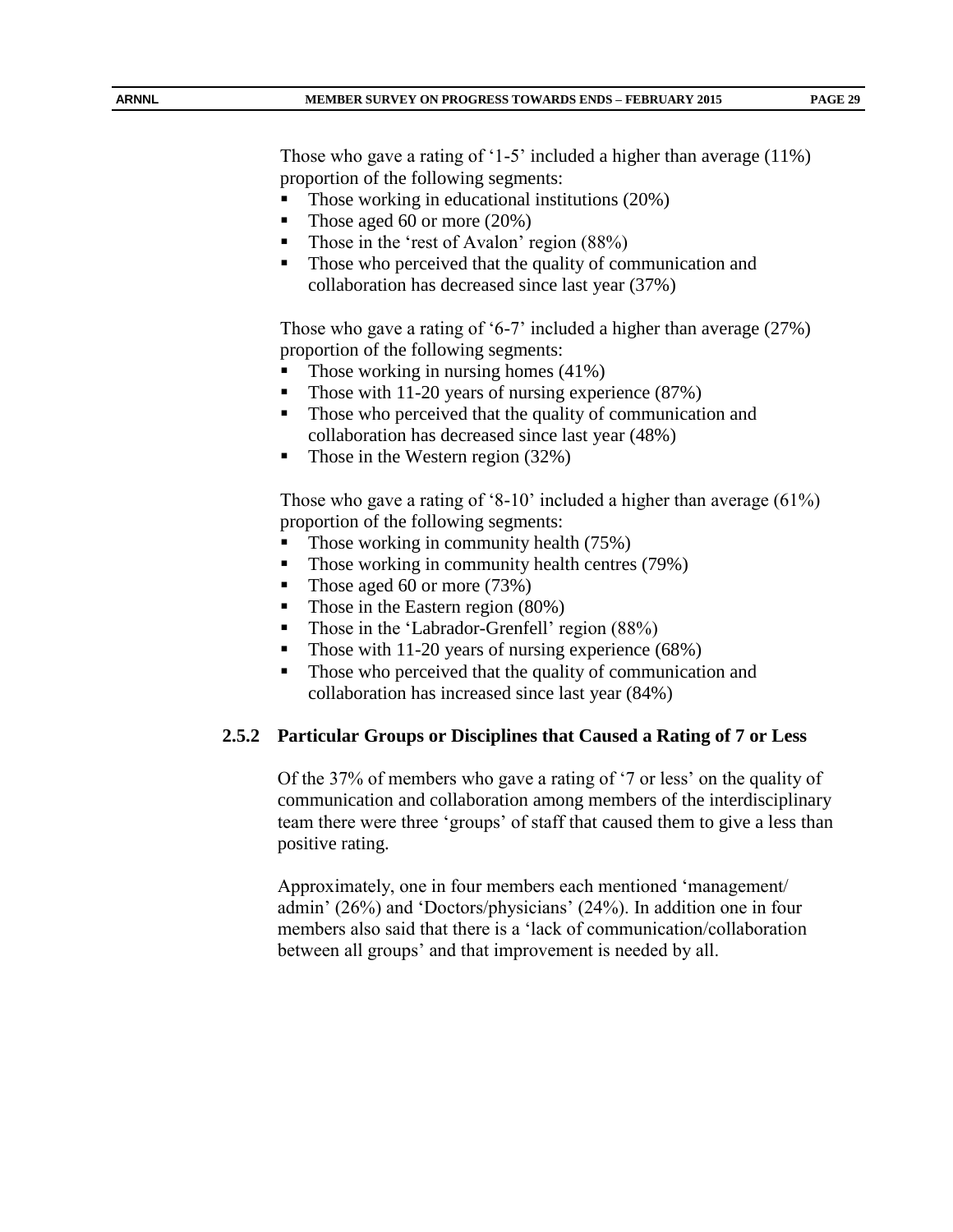Those who gave a rating of '1-5' included a higher than average (11%) proportion of the following segments:

- Those working in educational institutions (20%)
- Those aged 60 or more  $(20\%)$
- Those in the 'rest of Avalon' region  $(88\%)$
- Those who perceived that the quality of communication and collaboration has decreased since last year (37%)

Those who gave a rating of '6-7' included a higher than average (27%) proportion of the following segments:

- Those working in nursing homes (41%)
- Those with 11-20 years of nursing experience (87%)
- Those who perceived that the quality of communication and collaboration has decreased since last year (48%)
- Those in the Western region  $(32%)$

Those who gave a rating of '8-10' included a higher than average (61%) proportion of the following segments:

- Those working in community health (75%)
- Those working in community health centres (79%)
- Those aged 60 or more  $(73%)$
- Those in the Eastern region (80%)
- Those in the 'Labrador-Grenfell' region (88%)
- Those with 11-20 years of nursing experience (68%)
- Those who perceived that the quality of communication and collaboration has increased since last year (84%)

#### **2.5.2 Particular Groups or Disciplines that Caused a Rating of 7 or Less**

Of the 37% of members who gave a rating of '7 or less' on the quality of communication and collaboration among members of the interdisciplinary team there were three 'groups' of staff that caused them to give a less than positive rating.

Approximately, one in four members each mentioned 'management/ admin' (26%) and 'Doctors/physicians' (24%). In addition one in four members also said that there is a 'lack of communication/collaboration between all groups' and that improvement is needed by all.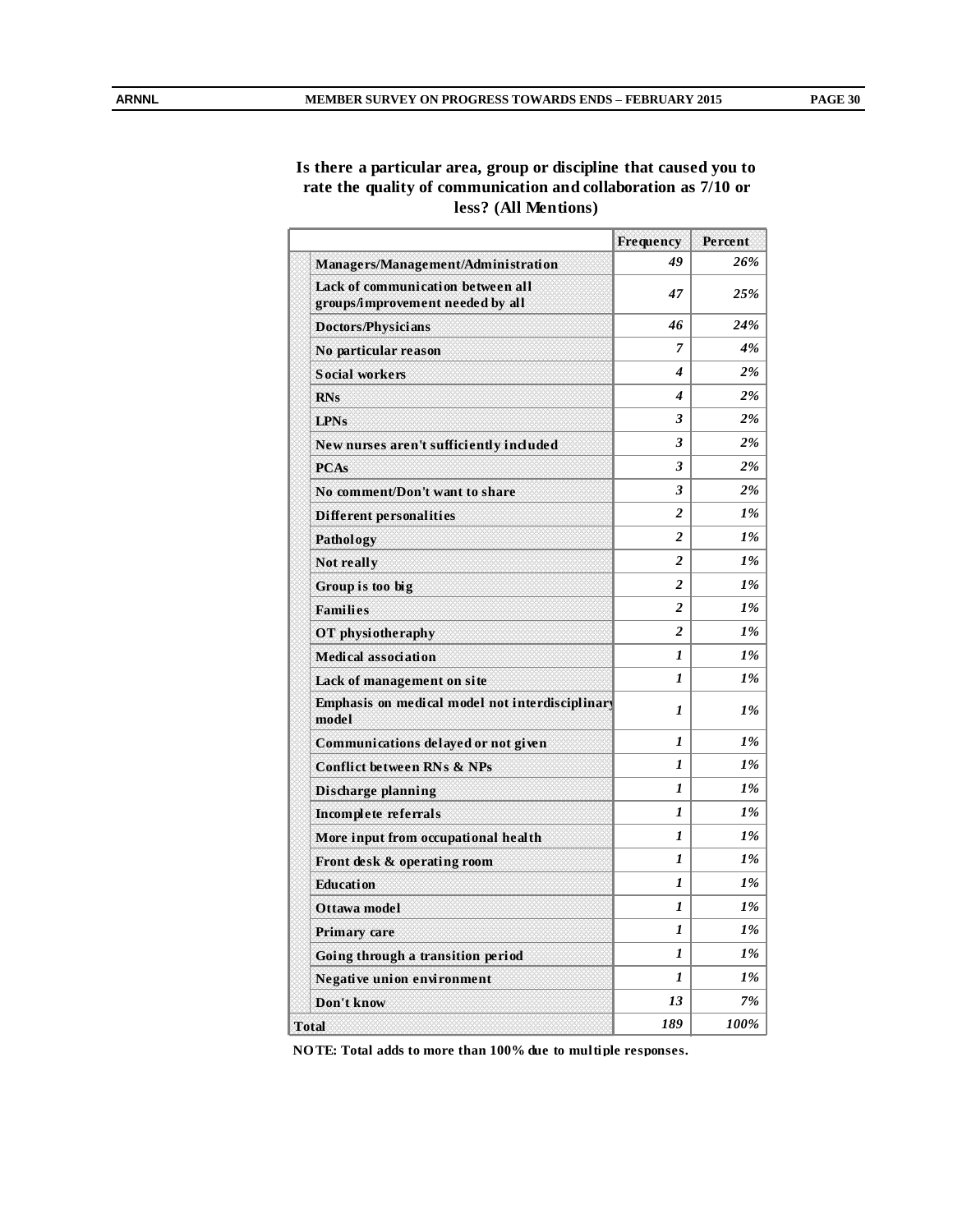#### **Is there a particular area, group or discipline that caused you to rate the quality of communication and collaboration as 7/10 or less? (All Mentions)**

|                                                                       | Frequency        | Percent |
|-----------------------------------------------------------------------|------------------|---------|
| Managers/Management/Administration                                    | 49               | 26%     |
| Lack of communication between all<br>groups/improvement needed by all | 47               | 25%     |
| <b>Doctors/Physicians</b>                                             | 46               | 24%     |
| No particular reason                                                  | 7                | 4%      |
| <b>Social workers</b>                                                 | 4                | $2\%$   |
| <b>RNs</b>                                                            | 4                | $2\%$   |
| <b>LPNs</b>                                                           | 3                | $2\%$   |
| New nurses aren't sufficiently included                               | 3                | $2\%$   |
| <b>PCAs</b>                                                           | 3                | $2\%$   |
| No comment/Don't want to share                                        | 3                | $2\%$   |
| <b>Different personalities</b>                                        | $\overline{c}$   | 1%      |
| Pathology                                                             | $\overline{c}$   | $1\%$   |
| Not really                                                            | 2                | 1%      |
| Group is too big                                                      | 2                | $1\%$   |
| <b>Families</b>                                                       | $\boldsymbol{2}$ | $1\%$   |
| OT physiotheraphy                                                     | $\overline{c}$   | $1\%$   |
| <b>Medical association</b>                                            | 1                | 1%      |
| Lack of management on site                                            | 1                | $1\%$   |
| Emphasis on medical model not interdisciplinary<br>model              | 1                | $1\%$   |
| Communications delayed or not given                                   | 1                | $1\%$   |
| <b>Conflict between RNs &amp; NPs</b>                                 | $\boldsymbol{l}$ | 1%      |
| <b>Discharge planning</b>                                             | 1                | 1%      |
| Incomplete referrals                                                  | 1                | 1%      |
| More input from occupational health                                   | 1                | $1\%$   |
| Front desk & operating room                                           | 1                | 1%      |
| <b>Education</b>                                                      | 1                | $1\%$   |
| Ottawa model                                                          | 1                | 1%      |
| Primary care                                                          | 1                | 1%      |
| Going through a transition period                                     | 1                | 1%      |
| Negative union environment                                            | 1                | 1%      |
| Don't know                                                            | 13               | 7%      |
| <b>Total</b>                                                          | 189              | 100%    |

**NO TE: Total adds to more than 100% due to multiple responses.**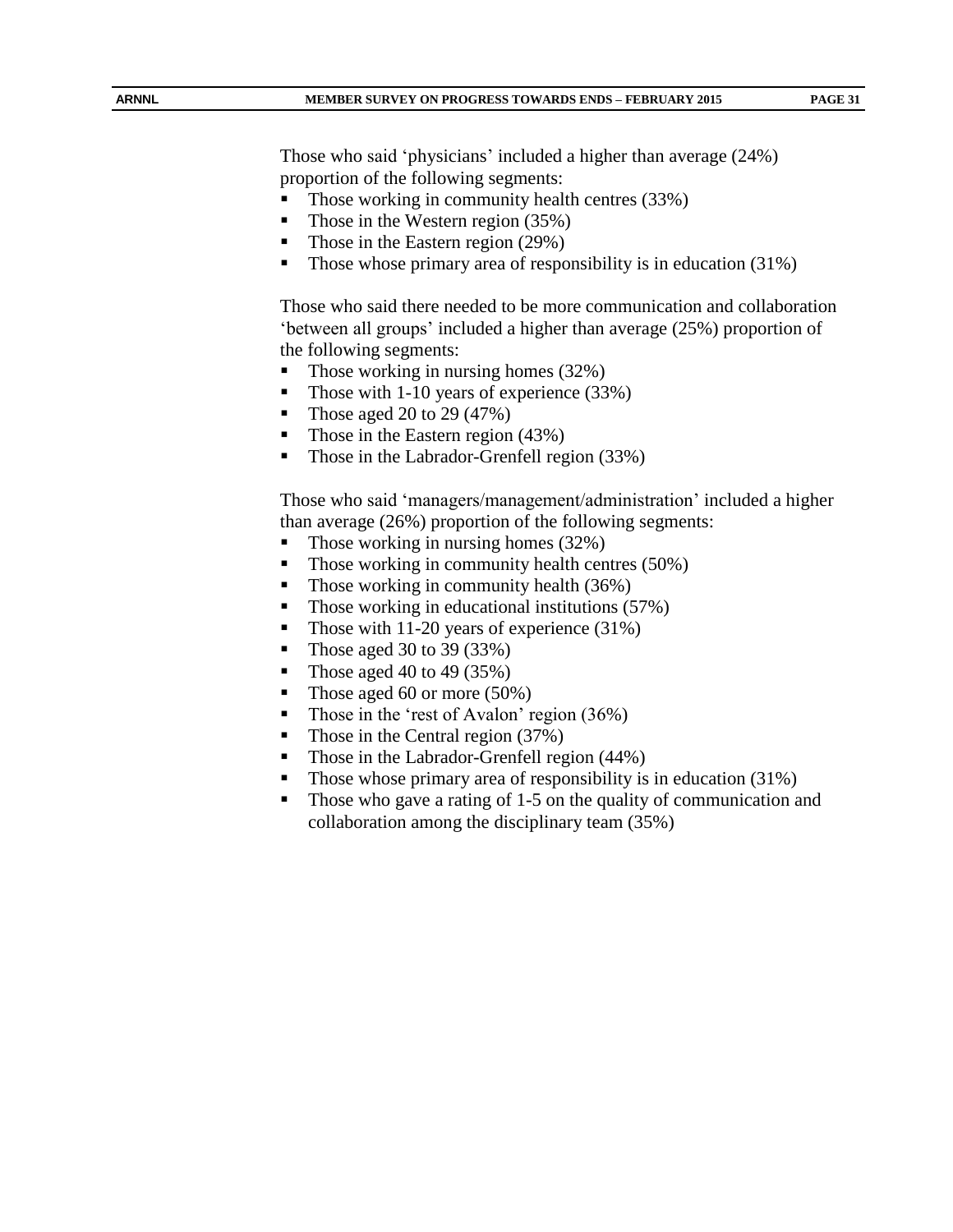Those who said 'physicians' included a higher than average (24%) proportion of the following segments:

- Those working in community health centres (33%)
- Those in the Western region  $(35%)$
- Those in the Eastern region  $(29\%)$
- Those whose primary area of responsibility is in education (31%)

Those who said there needed to be more communication and collaboration 'between all groups' included a higher than average (25%) proportion of the following segments:

- $\blacksquare$  Those working in nursing homes (32%)
- Those with 1-10 years of experience  $(33%)$
- Those aged 20 to 29 (47%)
- Those in the Eastern region (43%)
- Those in the Labrador-Grenfell region (33%)

Those who said 'managers/management/administration' included a higher than average (26%) proportion of the following segments:

- Those working in nursing homes (32%)
- $\blacksquare$  Those working in community health centres (50%)
- Those working in community health  $(36\%)$
- $\blacksquare$  Those working in educational institutions (57%)
- Those with 11-20 years of experience (31%)
- Those aged 30 to 39  $(33\%)$
- Those aged 40 to 49 (35%)
- Those aged 60 or more (50%)
- Those in the 'rest of Avalon' region (36%)
- Those in the Central region (37%)
- Those in the Labrador-Grenfell region (44%)
- Those whose primary area of responsibility is in education (31%)
- Those who gave a rating of 1-5 on the quality of communication and collaboration among the disciplinary team (35%)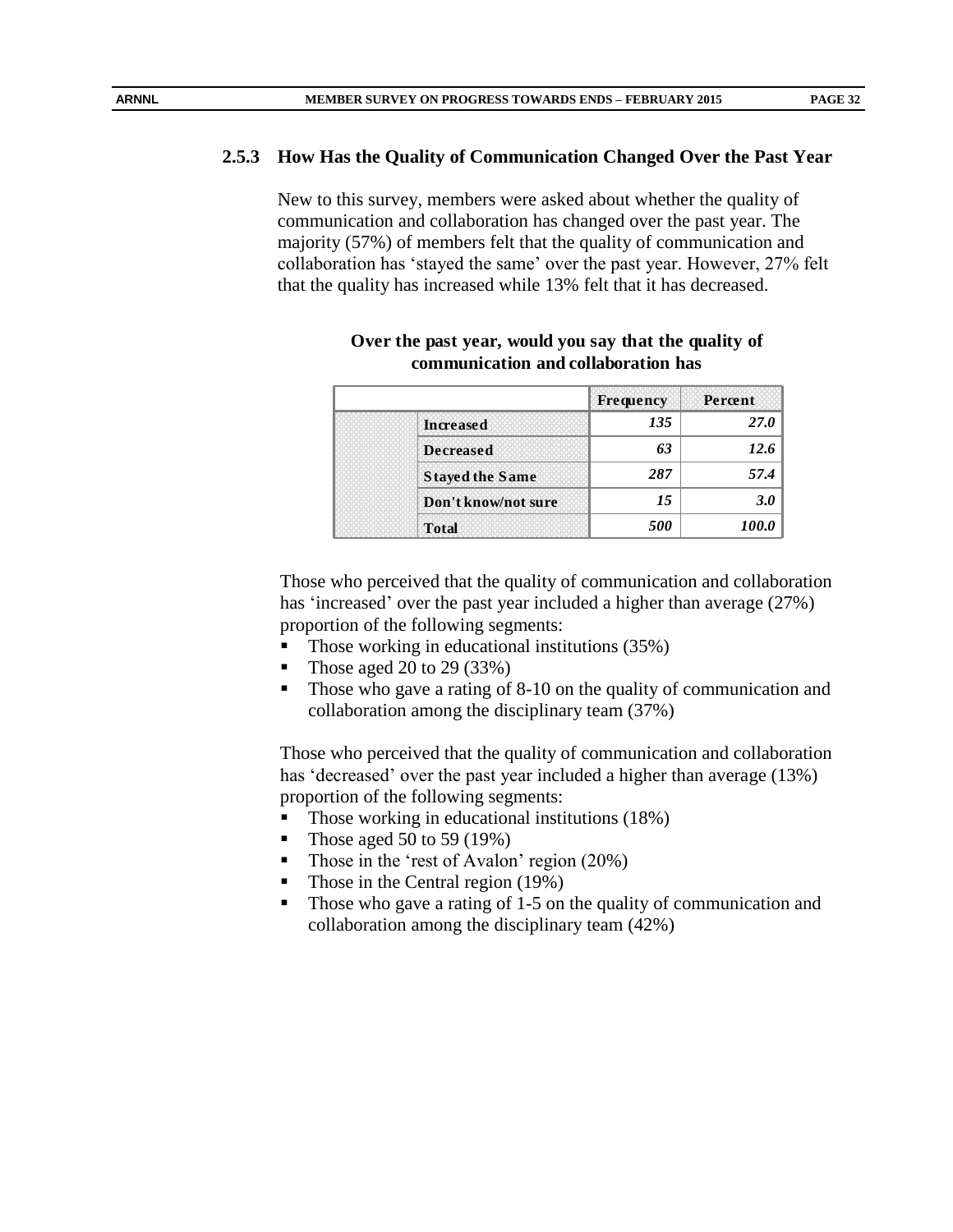#### **2.5.3 How Has the Quality of Communication Changed Over the Past Year**

New to this survey, members were asked about whether the quality of communication and collaboration has changed over the past year. The majority (57%) of members felt that the quality of communication and collaboration has 'stayed the same' over the past year. However, 27% felt that the quality has increased while 13% felt that it has decreased.

|                        | <b>Frequency</b> | Percent     |
|------------------------|------------------|-------------|
| <b>Increased</b>       | 135              | <b>27.0</b> |
| <b>Decreased</b>       | 63               | 12.6        |
| <b>Stayed the Same</b> | 287              | 57.4        |
| Don't know/not sure    | 15               | 3.0         |
| <b>Total</b>           | 500              |             |

#### **Over the past year, would you say that the quality of communication and collaboration has**

Those who perceived that the quality of communication and collaboration has 'increased' over the past year included a higher than average (27%) proportion of the following segments:

- Those working in educational institutions (35%)
- Those aged 20 to 29 (33%)
- Those who gave a rating of 8-10 on the quality of communication and collaboration among the disciplinary team (37%)

Those who perceived that the quality of communication and collaboration has 'decreased' over the past year included a higher than average (13%) proportion of the following segments:

- Those working in educational institutions (18%)
- Those aged 50 to 59 (19%)
- Those in the 'rest of Avalon' region (20%)
- Those in the Central region (19%)
- Those who gave a rating of 1-5 on the quality of communication and collaboration among the disciplinary team (42%)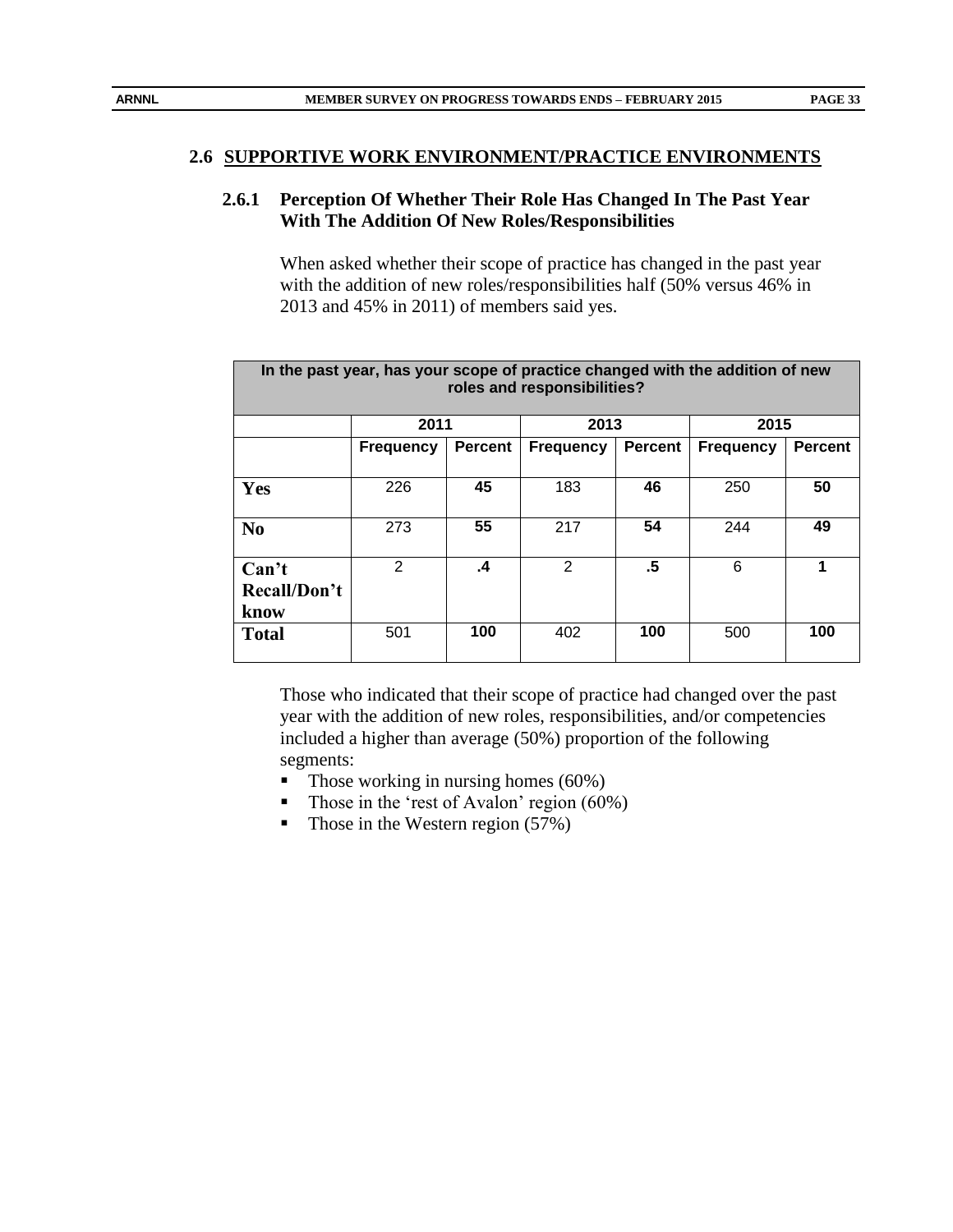#### **2.6.1 Perception Of Whether Their Role Has Changed In The Past Year With The Addition Of New Roles/Responsibilities**

When asked whether their scope of practice has changed in the past year with the addition of new roles/responsibilities half (50% versus 46% in 2013 and 45% in 2011) of members said yes.

| In the past year, has your scope of practice changed with the addition of new<br>roles and responsibilities? |                  |                |                  |                |                  |                |  |
|--------------------------------------------------------------------------------------------------------------|------------------|----------------|------------------|----------------|------------------|----------------|--|
|                                                                                                              | 2011             |                | 2013             |                | 2015             |                |  |
|                                                                                                              | <b>Frequency</b> | <b>Percent</b> | <b>Frequency</b> | <b>Percent</b> | <b>Frequency</b> | <b>Percent</b> |  |
|                                                                                                              |                  |                |                  |                |                  |                |  |
| Yes                                                                                                          | 226              | 45             | 183              | 46             | 250              | 50             |  |
|                                                                                                              |                  |                |                  |                |                  |                |  |
| N <sub>0</sub>                                                                                               | 273              | 55             | 217              | 54             | 244              | 49             |  |
| Can't                                                                                                        | 2                | $\cdot$        | 2                | .5             | 6                | 1              |  |
|                                                                                                              |                  |                |                  |                |                  |                |  |
| Recall/Don't                                                                                                 |                  |                |                  |                |                  |                |  |
| know                                                                                                         |                  |                |                  |                |                  |                |  |
| <b>Total</b>                                                                                                 | 501              | 100            | 402              | 100            | 500              | 100            |  |
|                                                                                                              |                  |                |                  |                |                  |                |  |

Those who indicated that their scope of practice had changed over the past year with the addition of new roles, responsibilities, and/or competencies included a higher than average (50%) proportion of the following segments:

- $\blacksquare$  Those working in nursing homes (60%)
- Those in the 'rest of Avalon' region  $(60\%)$
- Those in the Western region  $(57%)$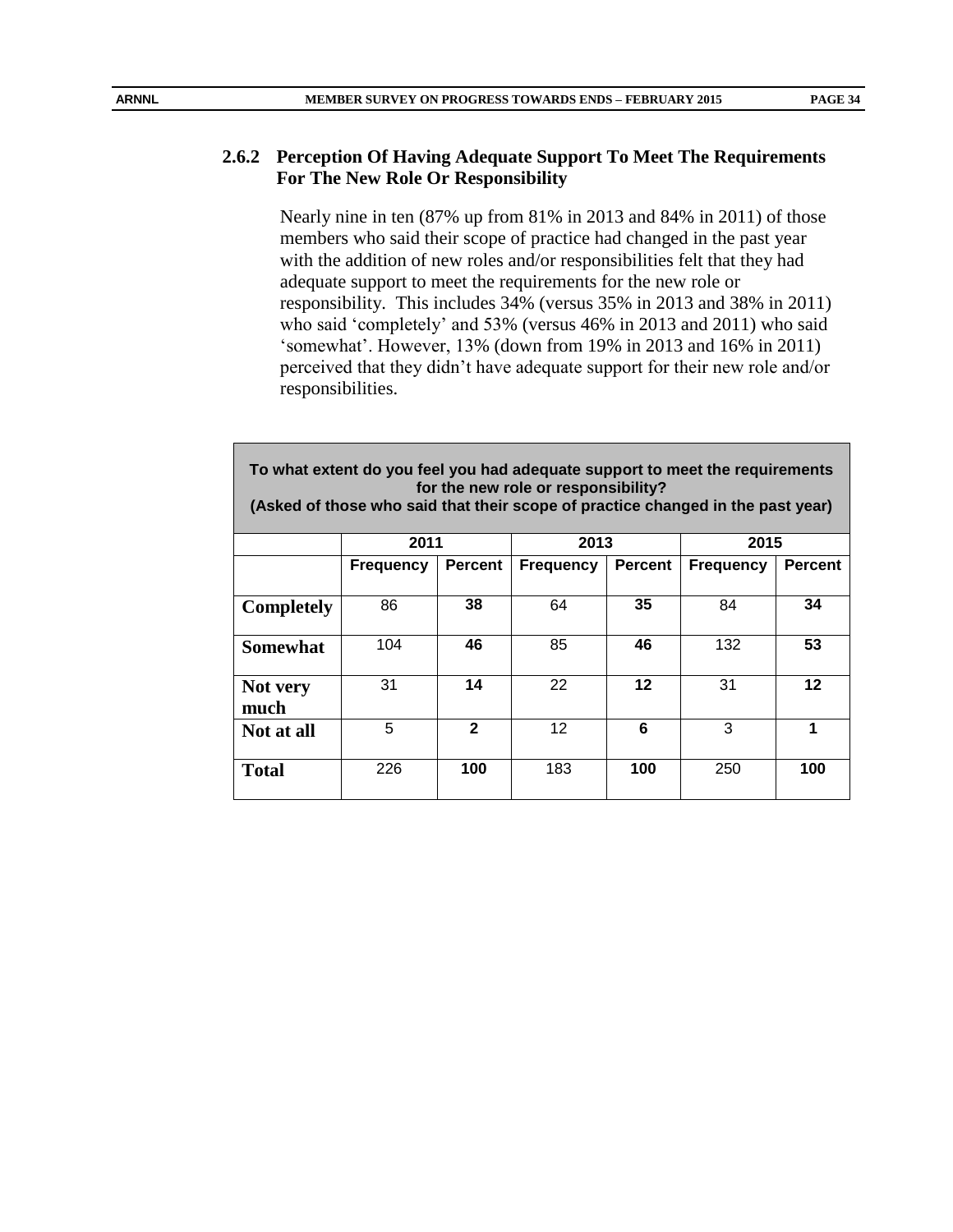Nearly nine in ten (87% up from 81% in 2013 and 84% in 2011) of those members who said their scope of practice had changed in the past year with the addition of new roles and/or responsibilities felt that they had adequate support to meet the requirements for the new role or responsibility. This includes 34% (versus 35% in 2013 and 38% in 2011) who said 'completely' and 53% (versus 46% in 2013 and 2011) who said 'somewhat'. However, 13% (down from 19% in 2013 and 16% in 2011) perceived that they didn't have adequate support for their new role and/or responsibilities.

**To what extent do you feel you had adequate support to meet the requirements for the new role or responsibility? (Asked of those who said that their scope of practice changed in the past year) 2011 2013 2015 Frequency Percent Frequency Percent Frequency Percent Completely** 86 **38** 64 **35** 84 **34 Somewhat** 104 **46** 85 **46** 132 **53 Not very much** 31 **14** 22 **12** 31 **12 Not at all** 5 **2** 12 **6** 3 **1 Total** 226 **100** 183 **100** 250 **100**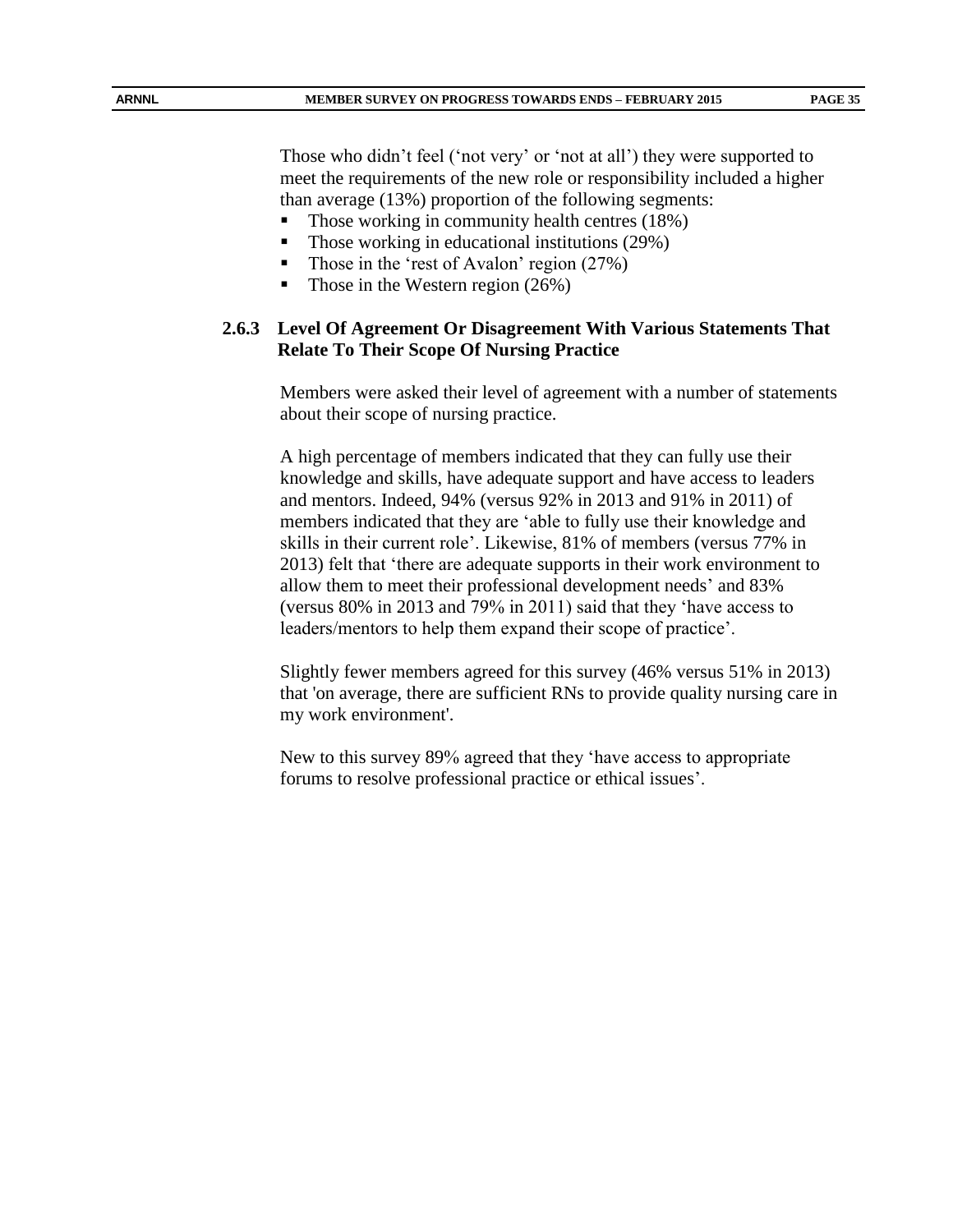Those who didn't feel ('not very' or 'not at all') they were supported to meet the requirements of the new role or responsibility included a higher than average (13%) proportion of the following segments:

- Those working in community health centres (18%)
- $\blacksquare$  Those working in educational institutions (29%)
- Those in the 'rest of Avalon' region (27%)
- Those in the Western region  $(26%)$

#### **2.6.3 Level Of Agreement Or Disagreement With Various Statements That Relate To Their Scope Of Nursing Practice**

Members were asked their level of agreement with a number of statements about their scope of nursing practice.

A high percentage of members indicated that they can fully use their knowledge and skills, have adequate support and have access to leaders and mentors. Indeed, 94% (versus 92% in 2013 and 91% in 2011) of members indicated that they are 'able to fully use their knowledge and skills in their current role'. Likewise, 81% of members (versus 77% in 2013) felt that 'there are adequate supports in their work environment to allow them to meet their professional development needs' and 83% (versus 80% in 2013 and 79% in 2011) said that they 'have access to leaders/mentors to help them expand their scope of practice'.

Slightly fewer members agreed for this survey (46% versus 51% in 2013) that 'on average, there are sufficient RNs to provide quality nursing care in my work environment'.

New to this survey 89% agreed that they 'have access to appropriate forums to resolve professional practice or ethical issues'.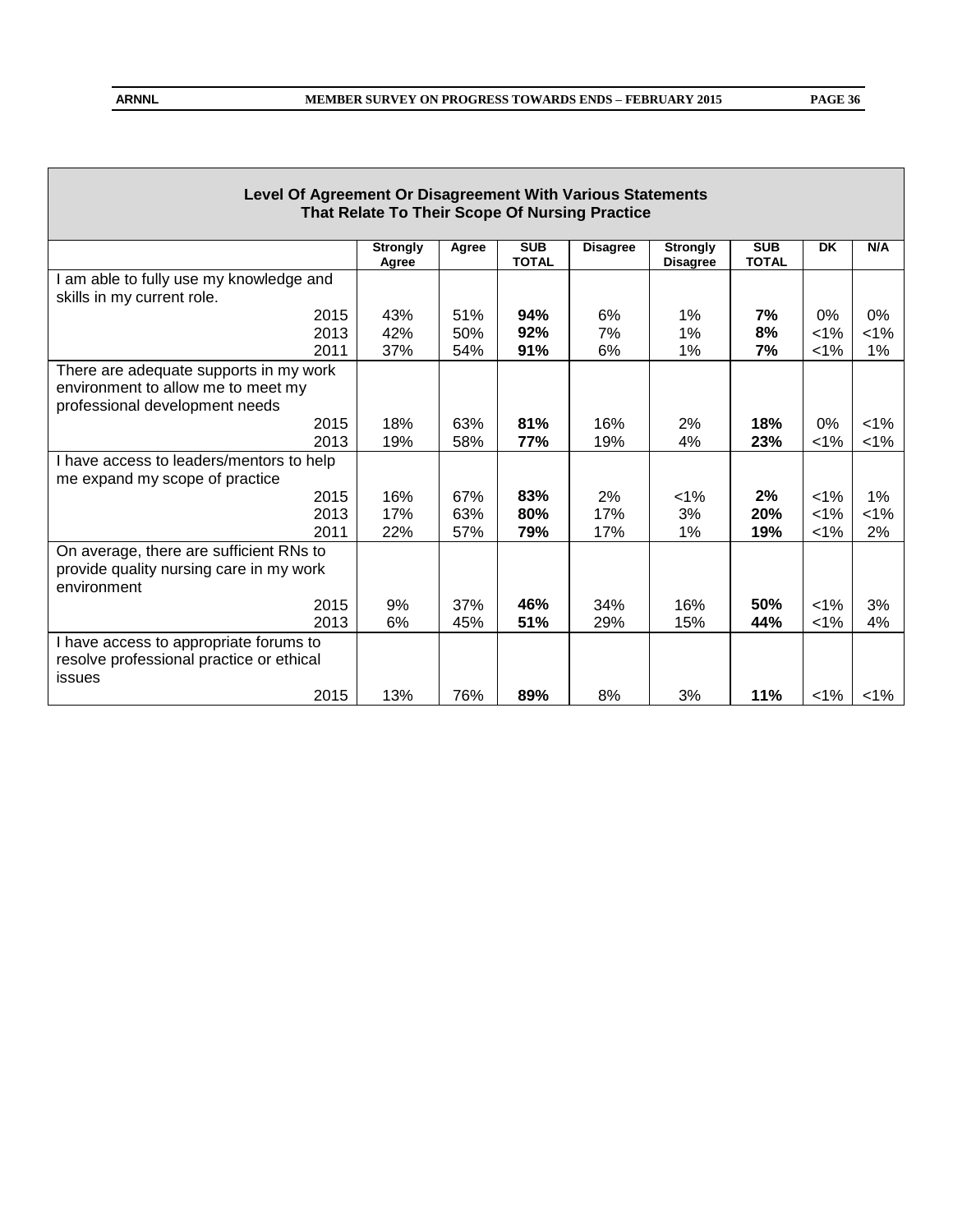| Level Of Agreement Or Disagreement With Various Statements |                          |       |                            |                                                |                                    |                            |           |         |
|------------------------------------------------------------|--------------------------|-------|----------------------------|------------------------------------------------|------------------------------------|----------------------------|-----------|---------|
|                                                            |                          |       |                            | That Relate To Their Scope Of Nursing Practice |                                    |                            |           |         |
|                                                            | <b>Strongly</b><br>Agree | Agree | <b>SUB</b><br><b>TOTAL</b> | <b>Disagree</b>                                | <b>Strongly</b><br><b>Disagree</b> | <b>SUB</b><br><b>TOTAL</b> | <b>DK</b> | N/A     |
| am able to fully use my knowledge and                      |                          |       |                            |                                                |                                    |                            |           |         |
| skills in my current role.                                 |                          |       |                            |                                                |                                    |                            |           |         |
| 2015                                                       | 43%                      | 51%   | 94%                        | 6%                                             | 1%                                 | 7%                         | 0%        | 0%      |
| 2013                                                       | 42%                      | 50%   | 92%                        | 7%                                             | 1%                                 | 8%                         | 1%        | $< 1\%$ |
| 2011                                                       | 37%                      | 54%   | 91%                        | 6%                                             | 1%                                 | 7%                         | 1%        | 1%      |
| There are adequate supports in my work                     |                          |       |                            |                                                |                                    |                            |           |         |
| environment to allow me to meet my                         |                          |       |                            |                                                |                                    |                            |           |         |
| professional development needs                             |                          |       |                            |                                                |                                    |                            |           |         |
| 2015                                                       | 18%                      | 63%   | 81%                        | 16%                                            | 2%                                 | 18%                        | 0%        | $< 1\%$ |
| 2013                                                       | 19%                      | 58%   | 77%                        | 19%                                            | 4%                                 | 23%                        | $< 1\%$   | $< 1\%$ |
| I have access to leaders/mentors to help                   |                          |       |                            |                                                |                                    |                            |           |         |
| me expand my scope of practice                             |                          |       |                            |                                                |                                    |                            |           |         |
| 2015                                                       | 16%                      | 67%   | 83%                        | 2%                                             | $< 1\%$                            | 2%                         | $< 1\%$   | 1%      |
| 2013                                                       | 17%                      | 63%   | 80%                        | 17%                                            | 3%                                 | 20%                        | $< 1\%$   | $< 1\%$ |
| 2011                                                       | 22%                      | 57%   | 79%                        | 17%                                            | 1%                                 | 19%                        | $< 1\%$   | 2%      |
| On average, there are sufficient RNs to                    |                          |       |                            |                                                |                                    |                            |           |         |
| provide quality nursing care in my work                    |                          |       |                            |                                                |                                    |                            |           |         |
| environment                                                |                          |       |                            |                                                |                                    |                            |           |         |
| 2015                                                       | 9%                       | 37%   | 46%                        | 34%                                            | 16%                                | 50%                        | $< 1\%$   | 3%      |
| 2013                                                       | 6%                       | 45%   | 51%                        | 29%                                            | 15%                                | 44%                        | 1%        | 4%      |
| I have access to appropriate forums to                     |                          |       |                            |                                                |                                    |                            |           |         |
| resolve professional practice or ethical                   |                          |       |                            |                                                |                                    |                            |           |         |
| issues                                                     |                          |       |                            |                                                |                                    |                            |           |         |
| 2015                                                       | 13%                      | 76%   | 89%                        | 8%                                             | 3%                                 | 11%                        | $< 1\%$   | 1%      |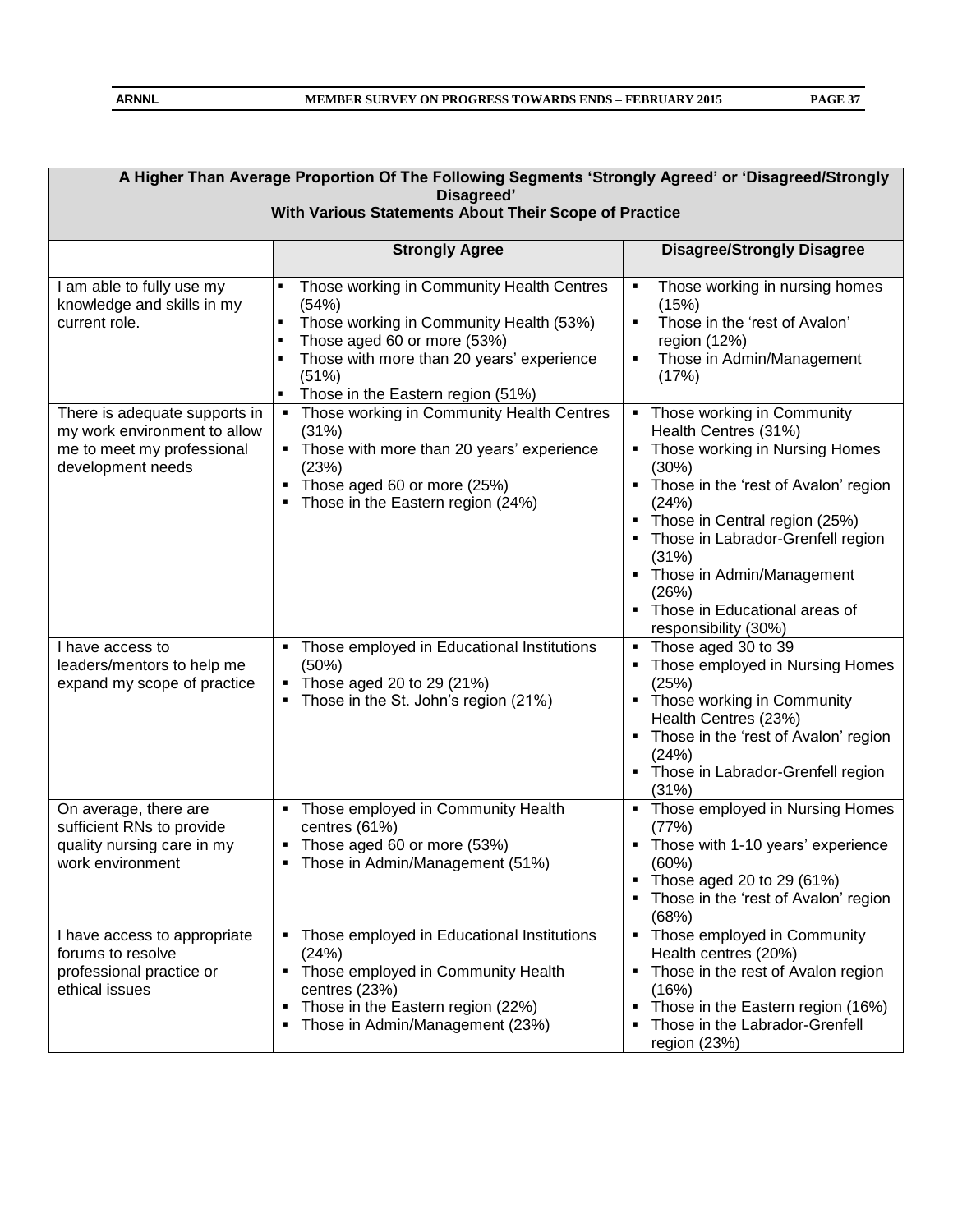|                                                                                                                  | A Higher Than Average Proportion Of The Following Segments 'Strongly Agreed' or 'Disagreed/Strongly<br>Disagreed'<br>With Various Statements About Their Scope of Practice                                                                                                         |                                                                                                                                                                                                                                                                                                                                                           |  |  |  |  |  |  |
|------------------------------------------------------------------------------------------------------------------|------------------------------------------------------------------------------------------------------------------------------------------------------------------------------------------------------------------------------------------------------------------------------------|-----------------------------------------------------------------------------------------------------------------------------------------------------------------------------------------------------------------------------------------------------------------------------------------------------------------------------------------------------------|--|--|--|--|--|--|
|                                                                                                                  | <b>Strongly Agree</b>                                                                                                                                                                                                                                                              | <b>Disagree/Strongly Disagree</b>                                                                                                                                                                                                                                                                                                                         |  |  |  |  |  |  |
| I am able to fully use my<br>knowledge and skills in my<br>current role.                                         | Those working in Community Health Centres<br>(54%)<br>Those working in Community Health (53%)<br>$\blacksquare$<br>Those aged 60 or more (53%)<br>$\blacksquare$<br>Those with more than 20 years' experience<br>٠<br>(51%)<br>Those in the Eastern region (51%)<br>$\blacksquare$ | Those working in nursing homes<br>٠<br>(15%)<br>Those in the 'rest of Avalon'<br>region (12%)<br>Those in Admin/Management<br>(17%)                                                                                                                                                                                                                       |  |  |  |  |  |  |
| There is adequate supports in<br>my work environment to allow<br>me to meet my professional<br>development needs | Those working in Community Health Centres<br>٠<br>(31%)<br>• Those with more than 20 years' experience<br>(23%)<br>Those aged 60 or more (25%)<br>Those in the Eastern region (24%)                                                                                                | Those working in Community<br>$\blacksquare$<br>Health Centres (31%)<br>• Those working in Nursing Homes<br>(30%)<br>Those in the 'rest of Avalon' region<br>(24%)<br>Those in Central region (25%)<br>٠<br>Those in Labrador-Grenfell region<br>(31%)<br>• Those in Admin/Management<br>(26%)<br>• Those in Educational areas of<br>responsibility (30%) |  |  |  |  |  |  |
| I have access to<br>leaders/mentors to help me<br>expand my scope of practice                                    | Those employed in Educational Institutions<br>(50%)<br>Those aged 20 to 29 (21%)<br>٠<br>Those in the St. John's region (21%)                                                                                                                                                      | Those aged 30 to 39<br>Those employed in Nursing Homes<br>(25%)<br>Those working in Community<br>Health Centres (23%)<br>Those in the 'rest of Avalon' region<br>(24%)<br>Those in Labrador-Grenfell region<br>$\blacksquare$<br>(31%)                                                                                                                    |  |  |  |  |  |  |
| On average, there are<br>sufficient RNs to provide<br>quality nursing care in my<br>work environment             | Those employed in Community Health<br>٠<br>centres (61%)<br>Those aged 60 or more (53%)<br>Those in Admin/Management (51%)<br>$\blacksquare$                                                                                                                                       | • Those employed in Nursing Homes<br>(77%)<br>Those with 1-10 years' experience<br>(60%)<br>Those aged 20 to 29 (61%)<br>Those in the 'rest of Avalon' region<br>(68%)                                                                                                                                                                                    |  |  |  |  |  |  |
| I have access to appropriate<br>forums to resolve<br>professional practice or<br>ethical issues                  | Those employed in Educational Institutions<br>٠<br>(24%)<br>Those employed in Community Health<br>centres (23%)<br>Those in the Eastern region (22%)<br>п<br>Those in Admin/Management (23%)                                                                                       | • Those employed in Community<br>Health centres (20%)<br>Those in the rest of Avalon region<br>٠<br>(16%)<br>Those in the Eastern region (16%)<br>Those in the Labrador-Grenfell<br>region (23%)                                                                                                                                                          |  |  |  |  |  |  |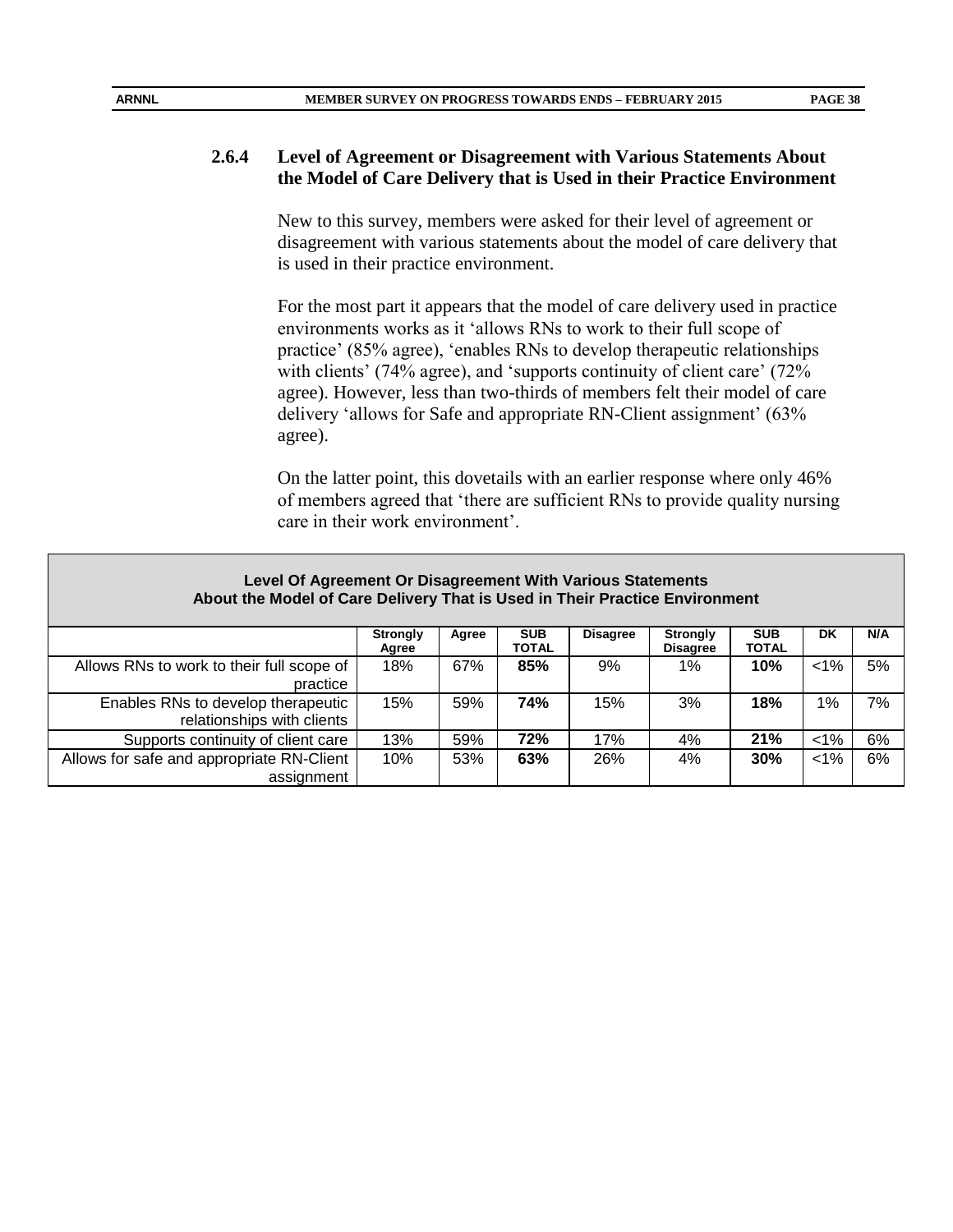#### **2.6.4 Level of Agreement or Disagreement with Various Statements About the Model of Care Delivery that is Used in their Practice Environment**

New to this survey, members were asked for their level of agreement or disagreement with various statements about the model of care delivery that is used in their practice environment.

For the most part it appears that the model of care delivery used in practice environments works as it 'allows RNs to work to their full scope of practice' (85% agree), 'enables RNs to develop therapeutic relationships with clients' (74% agree), and 'supports continuity of client care' (72% agree). However, less than two-thirds of members felt their model of care delivery 'allows for Safe and appropriate RN-Client assignment' (63% agree).

On the latter point, this dovetails with an earlier response where only 46% of members agreed that 'there are sufficient RNs to provide quality nursing care in their work environment'.

| Level Of Agreement Or Disagreement With Various Statements<br>About the Model of Care Delivery That is Used in Their Practice Environment |                          |       |                     |                 |                                    |                            |        |     |
|-------------------------------------------------------------------------------------------------------------------------------------------|--------------------------|-------|---------------------|-----------------|------------------------------------|----------------------------|--------|-----|
|                                                                                                                                           | <b>Strongly</b><br>Agree | Agree | <b>SUB</b><br>TOTAL | <b>Disagree</b> | <b>Strongly</b><br><b>Disagree</b> | <b>SUB</b><br><b>TOTAL</b> | DK     | N/A |
| Allows RNs to work to their full scope of<br>practice                                                                                     | 18%                      | 67%   | 85%                 | 9%              | 1%                                 | 10%                        | $<1\%$ | 5%  |
| Enables RNs to develop therapeutic<br>relationships with clients                                                                          | 15%                      | 59%   | <b>74%</b>          | 15%             | 3%                                 | 18%                        | 1%     | 7%  |
| Supports continuity of client care                                                                                                        | 13%                      | 59%   | 72%                 | 17%             | 4%                                 | 21%                        | $1\%$  | 6%  |
| Allows for safe and appropriate RN-Client<br>6%<br>63%<br>$<1\%$<br>10%<br>53%<br>26%<br>4%<br>30%<br>assignment                          |                          |       |                     |                 |                                    |                            |        |     |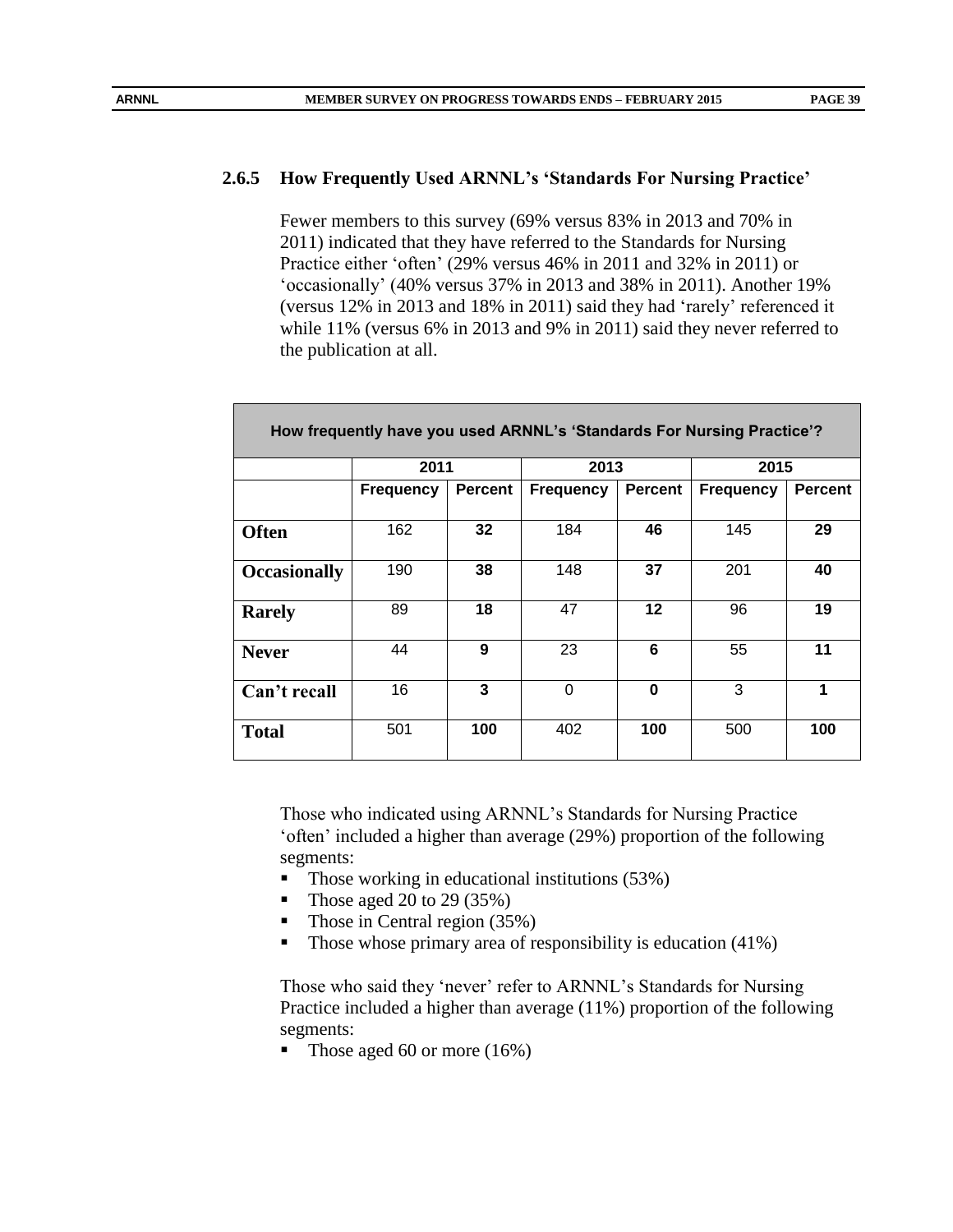## **2.6.5 How Frequently Used ARNNL's 'Standards For Nursing Practice'**

Fewer members to this survey (69% versus 83% in 2013 and 70% in 2011) indicated that they have referred to the Standards for Nursing Practice either 'often' (29% versus 46% in 2011 and 32% in 2011) or 'occasionally' (40% versus 37% in 2013 and 38% in 2011). Another 19% (versus 12% in 2013 and 18% in 2011) said they had 'rarely' referenced it while 11% (versus 6% in 2013 and 9% in 2011) said they never referred to the publication at all.

| How frequently have you used ARNNL's 'Standards For Nursing Practice'? |                  |                |                  |                |                  |                |  |  |
|------------------------------------------------------------------------|------------------|----------------|------------------|----------------|------------------|----------------|--|--|
|                                                                        | 2011             |                | 2013             |                | 2015             |                |  |  |
|                                                                        | <b>Frequency</b> | <b>Percent</b> | <b>Frequency</b> | <b>Percent</b> | <b>Frequency</b> | <b>Percent</b> |  |  |
|                                                                        |                  |                |                  |                |                  |                |  |  |
| <b>Often</b>                                                           | 162              | 32             | 184              | 46             | 145              | 29             |  |  |
|                                                                        |                  |                |                  |                |                  |                |  |  |
| <b>Occasionally</b>                                                    | 190              | 38             | 148              | 37             | 201              | 40             |  |  |
| <b>Rarely</b>                                                          | 89               | 18             | 47               | $12 \,$        | 96               | 19             |  |  |
|                                                                        |                  |                |                  |                |                  |                |  |  |
| <b>Never</b>                                                           | 44               | 9              | 23               | 6              | 55               | 11             |  |  |
|                                                                        |                  |                |                  |                |                  |                |  |  |
| Can't recall                                                           | 16               | 3              | 0                | 0              | 3                | 1              |  |  |
|                                                                        |                  |                |                  |                |                  |                |  |  |
| <b>Total</b>                                                           | 501              | 100            | 402              | 100            | 500              | 100            |  |  |
|                                                                        |                  |                |                  |                |                  |                |  |  |

Those who indicated using ARNNL's Standards for Nursing Practice 'often' included a higher than average (29%) proportion of the following segments:

- $\blacksquare$  Those working in educational institutions (53%)
- Those aged 20 to 29  $(35%)$
- Those in Central region (35%)
- Those whose primary area of responsibility is education  $(41\%)$

Those who said they 'never' refer to ARNNL's Standards for Nursing Practice included a higher than average (11%) proportion of the following segments:

Those aged 60 or more (16%)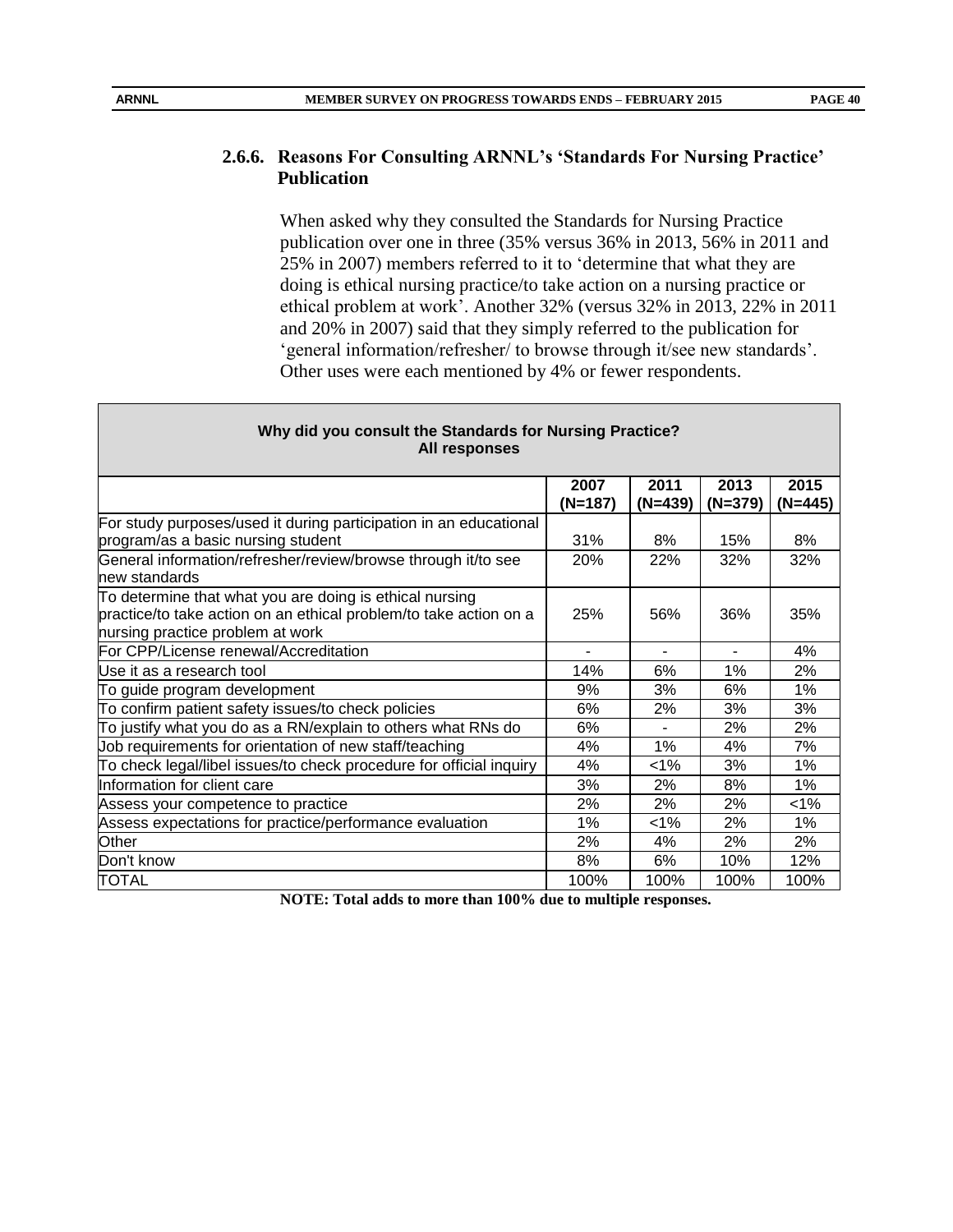#### **2.6.6. Reasons For Consulting ARNNL's 'Standards For Nursing Practice' Publication**

When asked why they consulted the Standards for Nursing Practice publication over one in three (35% versus 36% in 2013, 56% in 2011 and 25% in 2007) members referred to it to 'determine that what they are doing is ethical nursing practice/to take action on a nursing practice or ethical problem at work'. Another 32% (versus 32% in 2013, 22% in 2011 and 20% in 2007) said that they simply referred to the publication for 'general information/refresher/ to browse through it/see new standards'. Other uses were each mentioned by 4% or fewer respondents.

| <b>All responses</b>                                                           |                 |                 |                   |                   |
|--------------------------------------------------------------------------------|-----------------|-----------------|-------------------|-------------------|
|                                                                                | 2007<br>(N=187) | 2011<br>(N=439) | 2013<br>$(N=379)$ | 2015<br>$(N=445)$ |
| For study purposes/used it during participation in an educational              |                 |                 |                   |                   |
| program/as a basic nursing student                                             | 31%             | 8%              | 15%               | 8%                |
| General information/refresher/review/browse through it/to see<br>new standards | 20%             | 22%             | 32%               | 32%               |
| To determine that what you are doing is ethical nursing                        |                 |                 |                   |                   |
| practice/to take action on an ethical problem/to take action on a              | 25%             | 56%             | 36%               | 35%               |
| nursing practice problem at work                                               |                 |                 |                   |                   |
| For CPP/License renewal/Accreditation                                          |                 | $\blacksquare$  |                   | 4%                |
| Use it as a research tool                                                      | 14%             | 6%              | 1%                | 2%                |
| To guide program development                                                   | 9%              | 3%              | 6%                | 1%                |
| To confirm patient safety issues/to check policies                             | 6%              | 2%              | 3%                | 3%                |
| To justify what you do as a RN/explain to others what RNs do                   | 6%              |                 | 2%                | 2%                |
| Job requirements for orientation of new staff/teaching                         | 4%              | 1%              | 4%                | 7%                |
| To check legal/libel issues/to check procedure for official inquiry            | 4%              | $< 1\%$         | 3%                | 1%                |
| Information for client care                                                    | 3%              | 2%              | 8%                | 1%                |
| Assess your competence to practice                                             | 2%              | 2%              | 2%                | $< 1\%$           |
| Assess expectations for practice/performance evaluation                        | 1%              | $1\%$           | 2%                | 1%                |
| Other                                                                          | 2%              | 4%              | 2%                | 2%                |
| Don't know                                                                     | 8%              | 6%              | 10%               | 12%               |
| TOTAL                                                                          | 100%            | 100%            | 100%              | 100%              |

**Why did you consult the Standards for Nursing Practice? All responses** 

**NOTE: Total adds to more than 100% due to multiple responses.**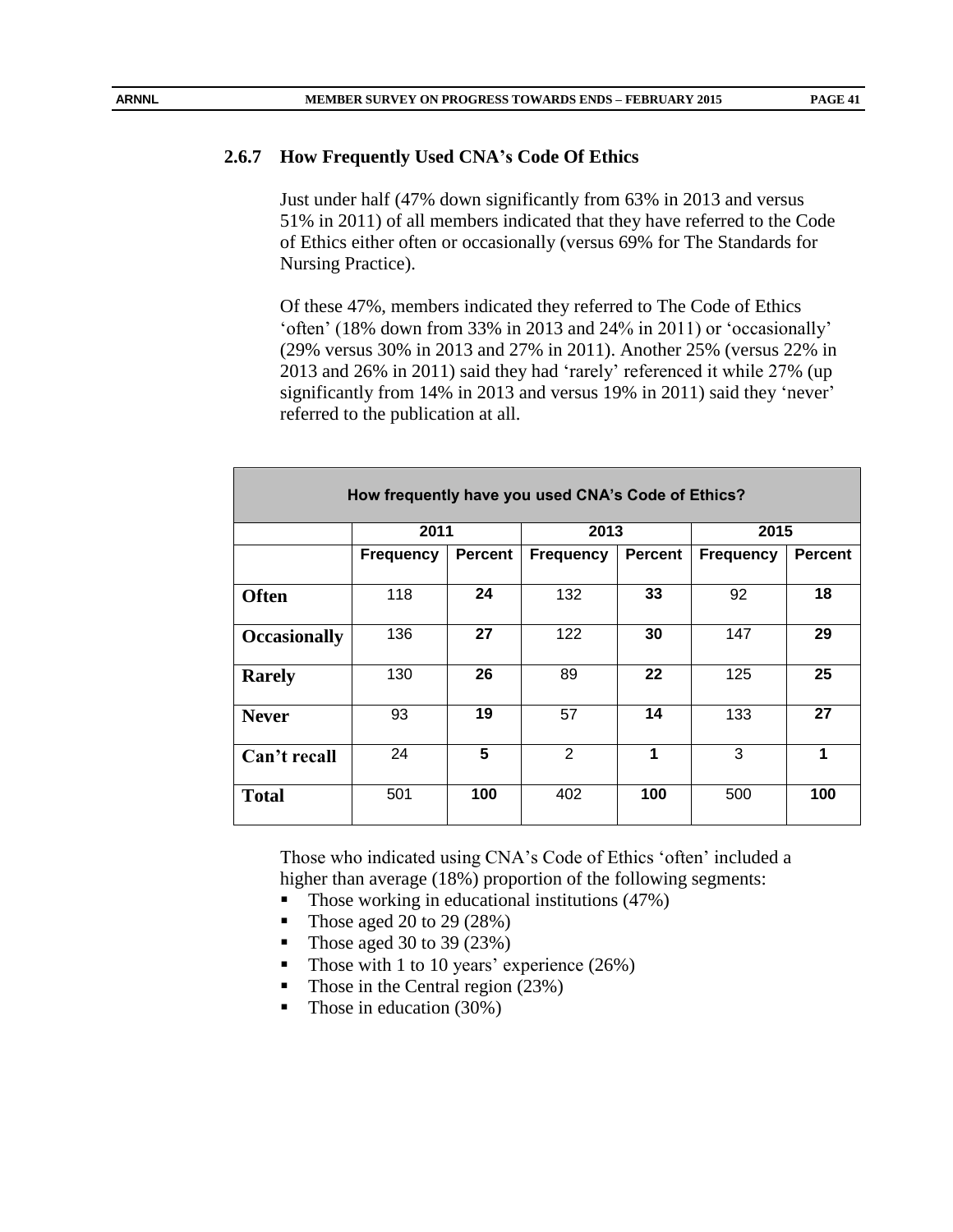#### **2.6.7 How Frequently Used CNA's Code Of Ethics**

Just under half (47% down significantly from 63% in 2013 and versus 51% in 2011) of all members indicated that they have referred to the Code of Ethics either often or occasionally (versus 69% for The Standards for Nursing Practice).

Of these 47%, members indicated they referred to The Code of Ethics 'often' (18% down from 33% in 2013 and 24% in 2011) or 'occasionally' (29% versus 30% in 2013 and 27% in 2011). Another 25% (versus 22% in 2013 and 26% in 2011) said they had 'rarely' referenced it while 27% (up significantly from 14% in 2013 and versus 19% in 2011) said they 'never' referred to the publication at all.

| How frequently have you used CNA's Code of Ethics? |                  |                |                  |                |                  |                |  |  |
|----------------------------------------------------|------------------|----------------|------------------|----------------|------------------|----------------|--|--|
|                                                    | 2011             |                | 2013             |                | 2015             |                |  |  |
|                                                    | <b>Frequency</b> | <b>Percent</b> | <b>Frequency</b> | <b>Percent</b> | <b>Frequency</b> | <b>Percent</b> |  |  |
| <b>Often</b>                                       | 118              | 24             | 132              | 33             | 92               | 18             |  |  |
| <b>Occasionally</b>                                | 136              | 27             | 122              | 30             | 147              | 29             |  |  |
| <b>Rarely</b>                                      | 130              | 26             | 89               | 22             | 125              | 25             |  |  |
| <b>Never</b>                                       | 93               | 19             | 57               | 14             | 133              | 27             |  |  |
| Can't recall                                       | 24               | 5              | 2                | 1              | 3                | 1              |  |  |
| <b>Total</b>                                       | 501              | 100            | 402              | 100            | 500              | 100            |  |  |

Those who indicated using CNA's Code of Ethics 'often' included a higher than average (18%) proportion of the following segments:

- $\blacksquare$  Those working in educational institutions (47%)
- Those aged 20 to 29  $(28%)$
- Those aged 30 to 39 (23%)
- Those with 1 to 10 years' experience  $(26%)$
- Those in the Central region (23%)
- $\blacksquare$  Those in education (30%)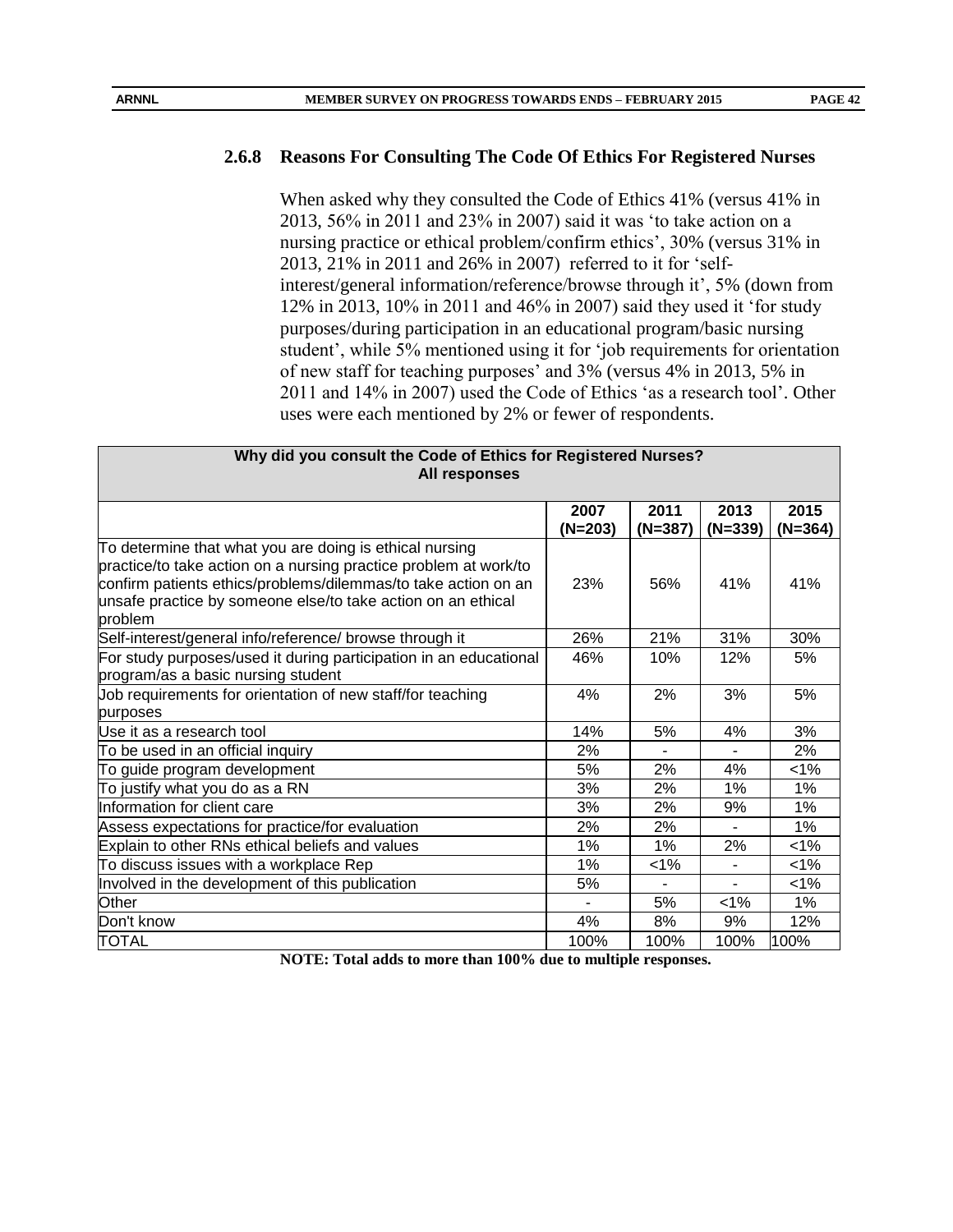#### **2.6.8 Reasons For Consulting The Code Of Ethics For Registered Nurses**

When asked why they consulted the Code of Ethics 41% (versus 41% in 2013, 56% in 2011 and 23% in 2007) said it was 'to take action on a nursing practice or ethical problem/confirm ethics', 30% (versus 31% in 2013, 21% in 2011 and 26% in 2007) referred to it for 'selfinterest/general information/reference/browse through it', 5% (down from 12% in 2013, 10% in 2011 and 46% in 2007) said they used it 'for study purposes/during participation in an educational program/basic nursing student', while 5% mentioned using it for 'job requirements for orientation of new staff for teaching purposes' and 3% (versus 4% in 2013, 5% in 2011 and 14% in 2007) used the Code of Ethics 'as a research tool'. Other uses were each mentioned by 2% or fewer of respondents.

| Why did you consult the Code of Ethics for Registered Nurses?<br>All responses                                                                                                                                                                                           |                 |                   |                   |                   |
|--------------------------------------------------------------------------------------------------------------------------------------------------------------------------------------------------------------------------------------------------------------------------|-----------------|-------------------|-------------------|-------------------|
|                                                                                                                                                                                                                                                                          | 2007<br>(N=203) | 2011<br>$(N=387)$ | 2013<br>$(N=339)$ | 2015<br>$(N=364)$ |
| To determine that what you are doing is ethical nursing<br>practice/to take action on a nursing practice problem at work/to<br>confirm patients ethics/problems/dilemmas/to take action on an<br>unsafe practice by someone else/to take action on an ethical<br>problem | 23%             | 56%               | 41%               | 41%               |
| Self-interest/general info/reference/ browse through it                                                                                                                                                                                                                  | 26%             | 21%               | 31%               | 30%               |
| For study purposes/used it during participation in an educational<br>program/as a basic nursing student                                                                                                                                                                  | 46%             | 10%               | 12%               | 5%                |
| Job requirements for orientation of new staff/for teaching<br>purposes                                                                                                                                                                                                   | 4%              | 2%                | 3%                | 5%                |
| lUse it as a research tool                                                                                                                                                                                                                                               | 14%             | 5%                | 4%                | 3%                |
| To be used in an official inquiry                                                                                                                                                                                                                                        | 2%              |                   |                   | 2%                |
| To guide program development                                                                                                                                                                                                                                             | 5%              | 2%                | 4%                | $< 1\%$           |
| To justify what you do as a RN                                                                                                                                                                                                                                           | 3%              | 2%                | 1%                | 1%                |
| Information for client care                                                                                                                                                                                                                                              | 3%              | 2%                | 9%                | 1%                |
| Assess expectations for practice/for evaluation                                                                                                                                                                                                                          | 2%              | 2%                | ÷.                | $1\%$             |
| Explain to other RNs ethical beliefs and values                                                                                                                                                                                                                          | 1%              | $1\%$             | 2%                | $< 1\%$           |
| To discuss issues with a workplace Rep                                                                                                                                                                                                                                   | 1%              | $< 1\%$           | ۰                 | $< 1\%$           |
| Involved in the development of this publication                                                                                                                                                                                                                          | 5%              |                   |                   | $< 1\%$           |
| Other                                                                                                                                                                                                                                                                    |                 | 5%                | $1\%$             | $1\%$             |
| Don't know                                                                                                                                                                                                                                                               | 4%              | 8%                | 9%                | 12%               |
| TOTAL                                                                                                                                                                                                                                                                    | 100%            | 100%              | 100%              | 100%              |

**NOTE: Total adds to more than 100% due to multiple responses.**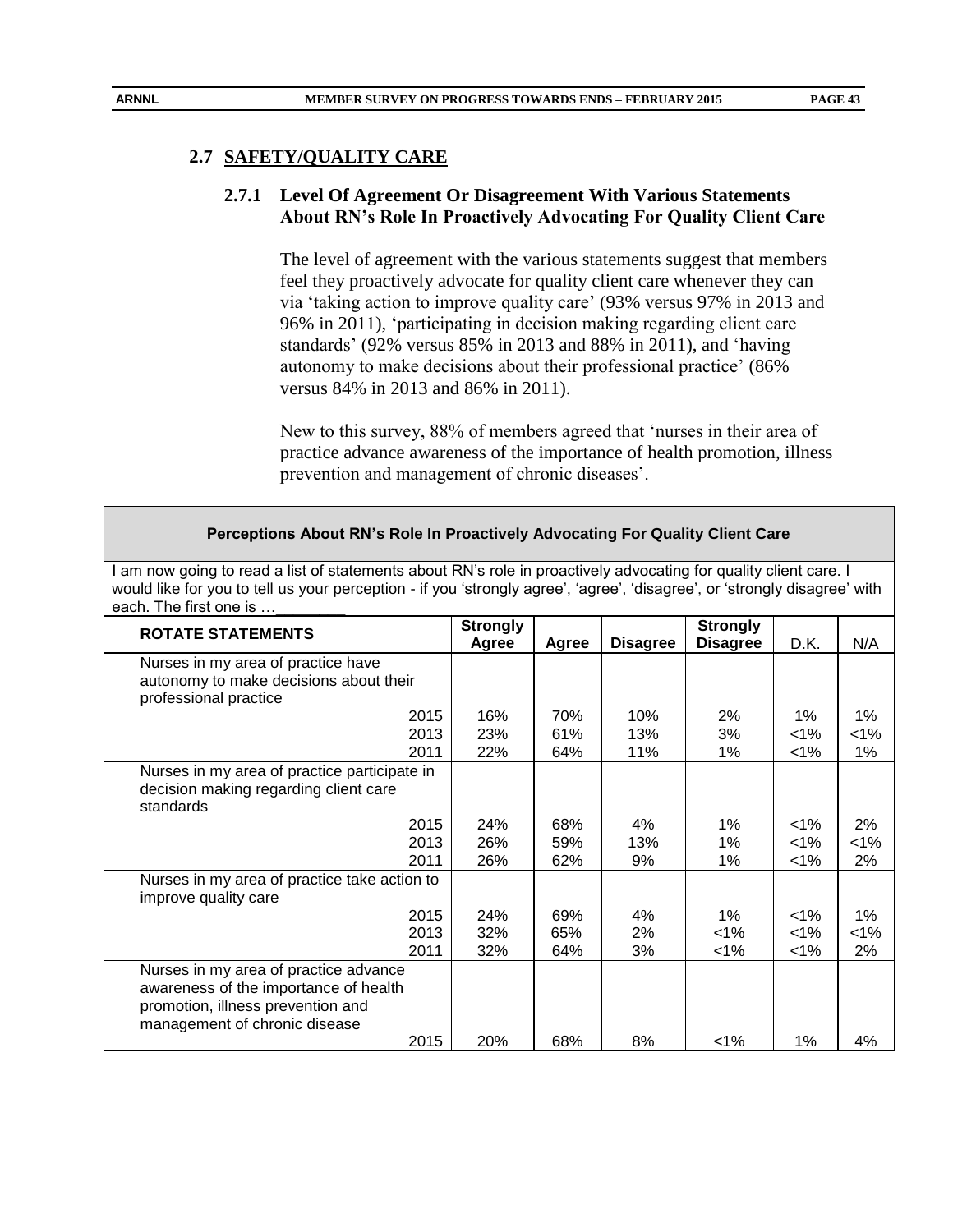# **2.7 SAFETY/QUALITY CARE**

**ARNNL** 

# **2.7.1 Level Of Agreement Or Disagreement With Various Statements About RN's Role In Proactively Advocating For Quality Client Care**

The level of agreement with the various statements suggest that members feel they proactively advocate for quality client care whenever they can via 'taking action to improve quality care' (93% versus 97% in 2013 and 96% in 2011), 'participating in decision making regarding client care standards' (92% versus 85% in 2013 and 88% in 2011), and 'having autonomy to make decisions about their professional practice' (86% versus 84% in 2013 and 86% in 2011).

New to this survey, 88% of members agreed that 'nurses in their area of practice advance awareness of the importance of health promotion, illness prevention and management of chronic diseases'.

| would like for you to tell us your perception - if you 'strongly agree', 'agree', 'disagree', or 'strongly disagree' with<br>each. The first one is  |                          |            |                 |                                    |                    |             |
|------------------------------------------------------------------------------------------------------------------------------------------------------|--------------------------|------------|-----------------|------------------------------------|--------------------|-------------|
| <b>ROTATE STATEMENTS</b>                                                                                                                             | <b>Strongly</b><br>Agree | Agree      | <b>Disagree</b> | <b>Strongly</b><br><b>Disagree</b> | D.K.               | N/A         |
| Nurses in my area of practice have<br>autonomy to make decisions about their<br>professional practice                                                |                          |            |                 |                                    |                    |             |
| 2015                                                                                                                                                 | 16%                      | 70%        | 10%             | $2\%$                              | 1%                 | $1\%$       |
| 2013<br>2011                                                                                                                                         | 23%<br>22%               | 61%<br>64% | 13%<br>11%      | 3%<br>1%                           | $< 1\%$<br>$< 1\%$ | $1\%$<br>1% |
| Nurses in my area of practice participate in<br>decision making regarding client care<br>standards                                                   |                          |            |                 |                                    |                    |             |
| 2015                                                                                                                                                 | 24%                      | 68%        | 4%              | 1%                                 | $1\%$              | 2%          |
| 2013<br>2011                                                                                                                                         | 26%<br>26%               | 59%<br>62% | 13%<br>9%       | 1%<br>1%                           | $1\%$<br>$< 1\%$   | 1%<br>2%    |
| Nurses in my area of practice take action to<br>improve quality care                                                                                 |                          |            |                 |                                    |                    |             |
| 2015                                                                                                                                                 | 24%                      | 69%        | 4%              | $1\%$                              | $1\%$              | $1\%$       |
| 2013                                                                                                                                                 | 32%                      | 65%        | 2%              | 1%                                 | $< 1\%$            | $< 1\%$     |
| 2011                                                                                                                                                 | 32%                      | 64%        | 3%              | <1%                                | $1\%$              | 2%          |
| Nurses in my area of practice advance<br>awareness of the importance of health<br>promotion, illness prevention and<br>management of chronic disease |                          |            |                 |                                    |                    |             |
| 2015                                                                                                                                                 | 20%                      | 68%        | 8%              | $1\%$                              | 1%                 | 4%          |

#### **Perceptions About RN's Role In Proactively Advocating For Quality Client Care**

I am now going to read a list of statements about RN's role in proactively advocating for quality client care. I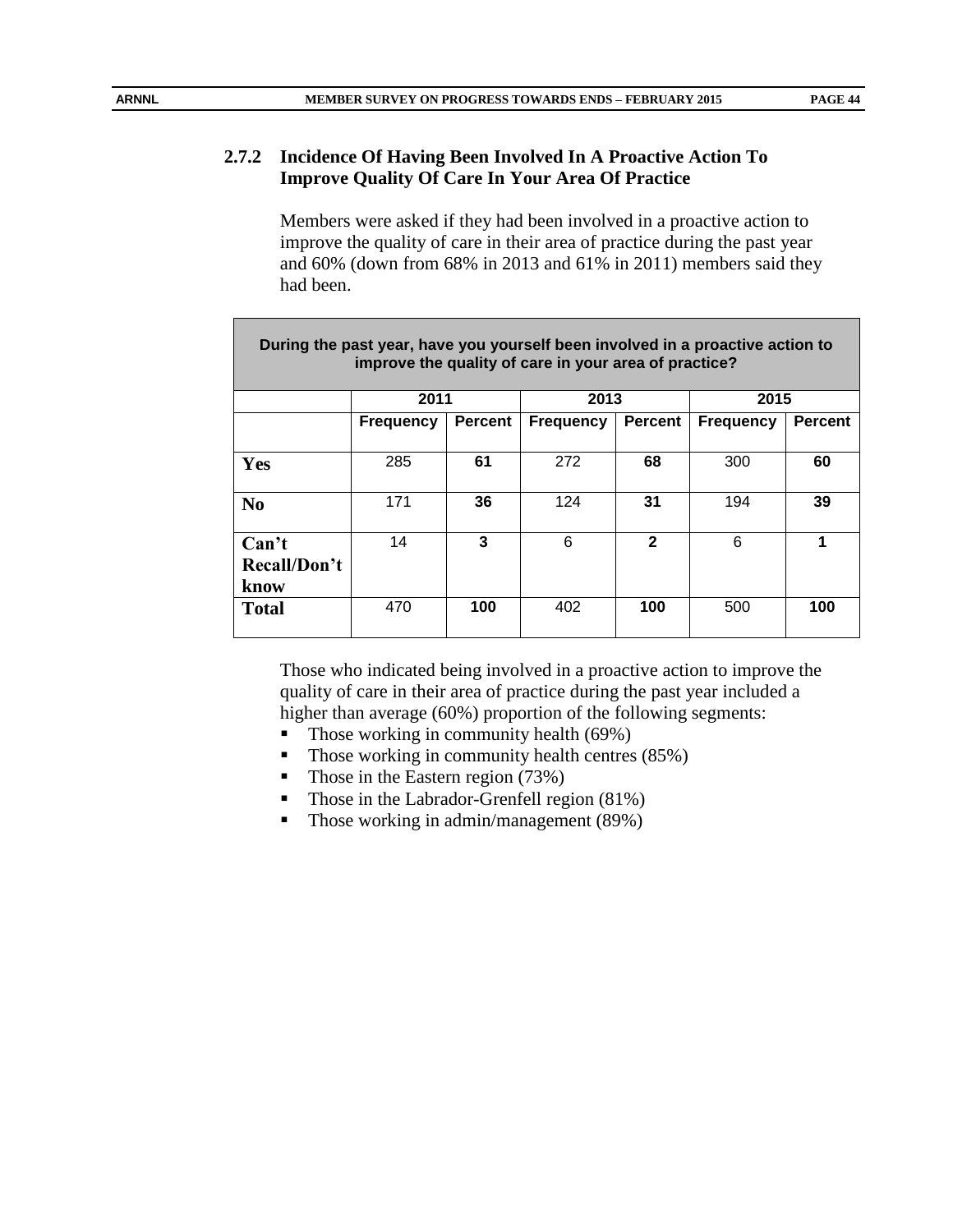# **2.7.2 Incidence Of Having Been Involved In A Proactive Action To Improve Quality Of Care In Your Area Of Practice**

Members were asked if they had been involved in a proactive action to improve the quality of care in their area of practice during the past year and 60% (down from 68% in 2013 and 61% in 2011) members said they had been.

| During the past year, have you yourself been involved in a proactive action to<br>improve the quality of care in your area of practice? |                  |                |                  |                |                  |                |  |  |
|-----------------------------------------------------------------------------------------------------------------------------------------|------------------|----------------|------------------|----------------|------------------|----------------|--|--|
|                                                                                                                                         | 2011             |                | 2013             |                | 2015             |                |  |  |
|                                                                                                                                         | <b>Frequency</b> | <b>Percent</b> | <b>Frequency</b> | <b>Percent</b> | <b>Frequency</b> | <b>Percent</b> |  |  |
|                                                                                                                                         |                  |                |                  |                |                  |                |  |  |
| Yes                                                                                                                                     | 285              | 61             | 272              | 68             | 300              | 60             |  |  |
|                                                                                                                                         |                  |                |                  |                |                  |                |  |  |
| N <sub>0</sub>                                                                                                                          | 171              | 36             | 124              | 31             | 194              | 39             |  |  |
|                                                                                                                                         |                  |                |                  |                |                  |                |  |  |
| Can't                                                                                                                                   | 14               | 3              | 6                | $\mathbf{2}$   | 6                | 1              |  |  |
| Recall/Don't                                                                                                                            |                  |                |                  |                |                  |                |  |  |
| know                                                                                                                                    |                  |                |                  |                |                  |                |  |  |
| <b>Total</b>                                                                                                                            | 470              | 100            | 402              | 100            | 500              | 100            |  |  |
|                                                                                                                                         |                  |                |                  |                |                  |                |  |  |

Those who indicated being involved in a proactive action to improve the quality of care in their area of practice during the past year included a higher than average (60%) proportion of the following segments:

- Those working in community health  $(69\%)$
- $\blacksquare$  Those working in community health centres (85%)
- Those in the Eastern region  $(73%)$
- $\blacksquare$  Those in the Labrador-Grenfell region (81%)
- Those working in admin/management (89%)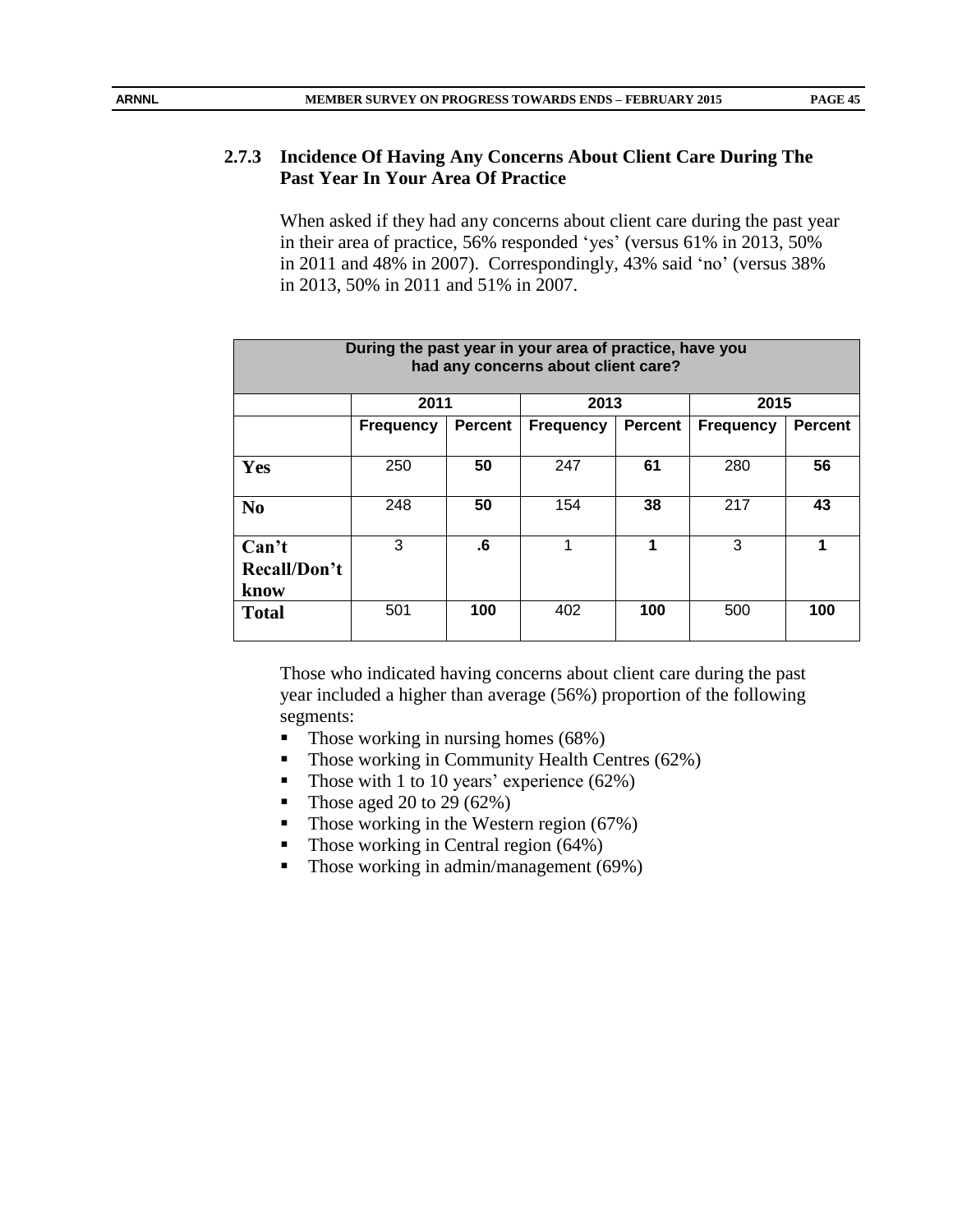# **2.7.3 Incidence Of Having Any Concerns About Client Care During The Past Year In Your Area Of Practice**

When asked if they had any concerns about client care during the past year in their area of practice, 56% responded 'yes' (versus 61% in 2013, 50% in 2011 and 48% in 2007). Correspondingly, 43% said 'no' (versus 38% in 2013, 50% in 2011 and 51% in 2007.

| During the past year in your area of practice, have you<br>had any concerns about client care? |                  |                |                  |                |                  |                |  |  |
|------------------------------------------------------------------------------------------------|------------------|----------------|------------------|----------------|------------------|----------------|--|--|
|                                                                                                | 2011             |                | 2013             |                | 2015             |                |  |  |
|                                                                                                | <b>Frequency</b> | <b>Percent</b> | <b>Frequency</b> | <b>Percent</b> | <b>Frequency</b> | <b>Percent</b> |  |  |
|                                                                                                |                  |                |                  |                |                  |                |  |  |
| Yes                                                                                            | 250              | 50             | 247              | 61             | 280              | 56             |  |  |
| N <sub>0</sub>                                                                                 | 248              | 50             | 154              | 38             | 217              | 43             |  |  |
| Can't                                                                                          | 3                | .6             | 1                | 1              | 3                | 1              |  |  |
| Recall/Don't                                                                                   |                  |                |                  |                |                  |                |  |  |
| know                                                                                           |                  |                |                  |                |                  |                |  |  |
| <b>Total</b>                                                                                   | 501              | 100            | 402              | 100            | 500              | 100            |  |  |

Those who indicated having concerns about client care during the past year included a higher than average (56%) proportion of the following segments:

- $\blacksquare$  Those working in nursing homes (68%)
- Those working in Community Health Centres (62%)
- Those with 1 to 10 years' experience  $(62\%)$
- Those aged 20 to 29  $(62\%)$
- Those working in the Western region  $(67%)$
- Those working in Central region  $(64%)$
- Those working in admin/management  $(69\%)$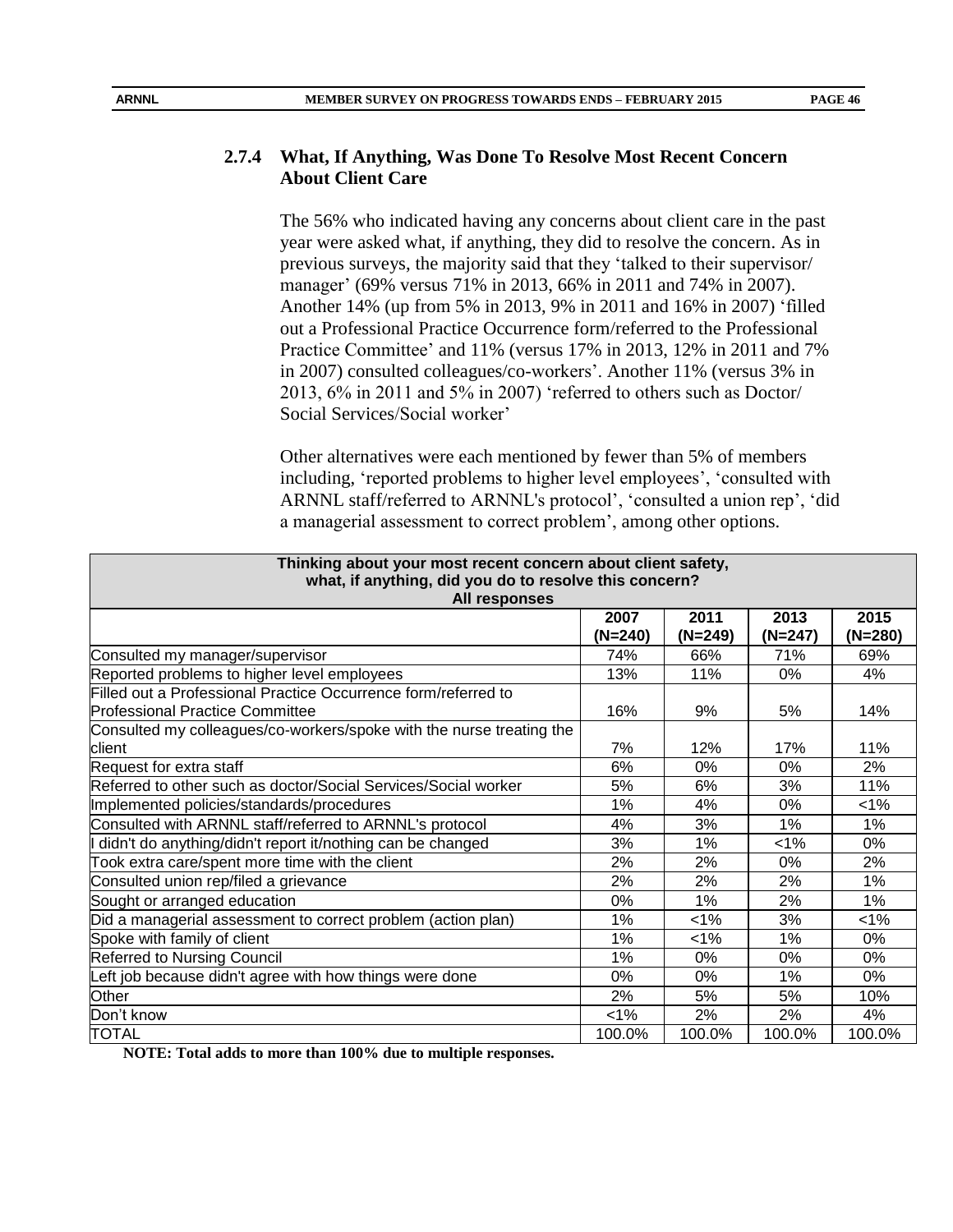#### **2.7.4 What, If Anything, Was Done To Resolve Most Recent Concern About Client Care**

The 56% who indicated having any concerns about client care in the past year were asked what, if anything, they did to resolve the concern. As in previous surveys, the majority said that they 'talked to their supervisor/ manager' (69% versus 71% in 2013, 66% in 2011 and 74% in 2007). Another 14% (up from 5% in 2013, 9% in 2011 and 16% in 2007) 'filled out a Professional Practice Occurrence form/referred to the Professional Practice Committee' and 11% (versus 17% in 2013, 12% in 2011 and 7% in 2007) consulted colleagues/co-workers'. Another 11% (versus 3% in 2013, 6% in 2011 and 5% in 2007) 'referred to others such as Doctor/ Social Services/Social worker'

Other alternatives were each mentioned by fewer than 5% of members including, 'reported problems to higher level employees', 'consulted with ARNNL staff/referred to ARNNL's protocol', 'consulted a union rep', 'did a managerial assessment to correct problem', among other options.

| Thinking about your most recent concern about client safety,<br>what, if anything, did you do to resolve this concern?<br>All responses |                   |                   |                   |                   |  |  |  |
|-----------------------------------------------------------------------------------------------------------------------------------------|-------------------|-------------------|-------------------|-------------------|--|--|--|
|                                                                                                                                         | 2007<br>$(N=240)$ | 2011<br>$(N=249)$ | 2013<br>$(N=247)$ | 2015<br>$(N=280)$ |  |  |  |
| Consulted my manager/supervisor                                                                                                         | 74%               | 66%               | 71%               | 69%               |  |  |  |
| Reported problems to higher level employees                                                                                             | 13%               | 11%               | 0%                | 4%                |  |  |  |
| Filled out a Professional Practice Occurrence form/referred to<br><b>Professional Practice Committee</b>                                | 16%               | 9%                | 5%                | 14%               |  |  |  |
| Consulted my colleagues/co-workers/spoke with the nurse treating the                                                                    |                   |                   |                   |                   |  |  |  |
| client                                                                                                                                  | 7%                | 12%               | 17%               | 11%               |  |  |  |
| Request for extra staff                                                                                                                 | 6%                | 0%                | 0%                | 2%                |  |  |  |
| Referred to other such as doctor/Social Services/Social worker                                                                          | 5%                | 6%                | 3%                | 11%               |  |  |  |
| Implemented policies/standards/procedures                                                                                               | 1%                | 4%                | 0%                | $< 1\%$           |  |  |  |
| Consulted with ARNNL staff/referred to ARNNL's protocol                                                                                 | 4%                | 3%                | 1%                | $1\%$             |  |  |  |
| I didn't do anything/didn't report it/nothing can be changed                                                                            | 3%                | 1%                | 1%                | $0\%$             |  |  |  |
| Took extra care/spent more time with the client                                                                                         | 2%                | 2%                | 0%                | 2%                |  |  |  |
| Consulted union rep/filed a grievance                                                                                                   | 2%                | 2%                | 2%                | 1%                |  |  |  |
| Sought or arranged education                                                                                                            | 0%                | 1%                | 2%                | 1%                |  |  |  |
| Did a managerial assessment to correct problem (action plan)                                                                            | 1%                | $< 1\%$           | 3%                | $1\%$             |  |  |  |
| Spoke with family of client                                                                                                             | 1%                | 1%                | 1%                | $0\%$             |  |  |  |
| Referred to Nursing Council                                                                                                             | 1%                | 0%                | 0%                | $0\%$             |  |  |  |
| Left job because didn't agree with how things were done                                                                                 | 0%                | 0%                | 1%                | 0%                |  |  |  |
| Other                                                                                                                                   | 2%                | 5%                | 5%                | 10%               |  |  |  |
| Don't know                                                                                                                              | 1%                | 2%                | 2%                | 4%                |  |  |  |
| TOTAL                                                                                                                                   | 100.0%            | 100.0%            | 100.0%            | 100.0%            |  |  |  |

**NOTE: Total adds to more than 100% due to multiple responses.**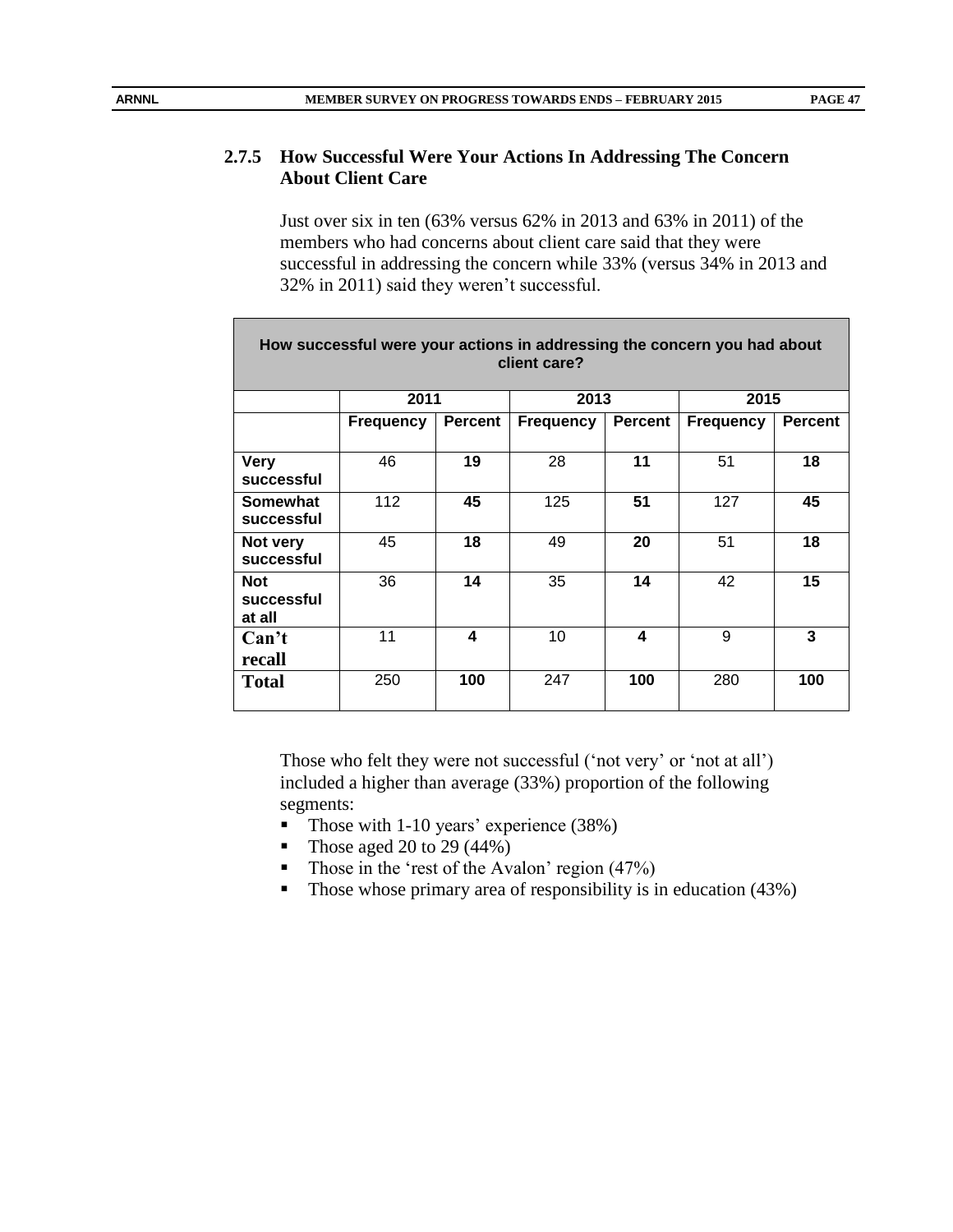# **2.7.5 How Successful Were Your Actions In Addressing The Concern About Client Care**

Just over six in ten (63% versus 62% in 2013 and 63% in 2011) of the members who had concerns about client care said that they were successful in addressing the concern while 33% (versus 34% in 2013 and 32% in 2011) said they weren't successful.

|                                    | How successful were your actions in addressing the concern you had about |                | client care?     |                |                  |                |
|------------------------------------|--------------------------------------------------------------------------|----------------|------------------|----------------|------------------|----------------|
|                                    | 2011                                                                     |                | 2013             |                | 2015             |                |
|                                    | <b>Frequency</b>                                                         | <b>Percent</b> | <b>Frequency</b> | <b>Percent</b> | <b>Frequency</b> | <b>Percent</b> |
| <b>Very</b><br>successful          | 46                                                                       | 19             | 28               | 11             | 51               | 18             |
| Somewhat<br>successful             | 112                                                                      | 45             | 125              | 51             | 127              | 45             |
| Not very<br>successful             | 45                                                                       | 18             | 49               | 20             | 51               | 18             |
| <b>Not</b><br>successful<br>at all | 36                                                                       | 14             | 35               | 14             | 42               | 15             |
| Can't<br>recall                    | 11                                                                       | 4              | 10               | 4              | 9                | 3              |
| <b>Total</b>                       | 250                                                                      | 100            | 247              | 100            | 280              | 100            |

Those who felt they were not successful ('not very' or 'not at all') included a higher than average (33%) proportion of the following segments:

- Those with 1-10 years' experience (38%)
- Those aged 20 to 29  $(44\%)$
- Those in the 'rest of the Avalon' region  $(47%)$
- Those whose primary area of responsibility is in education  $(43%)$

г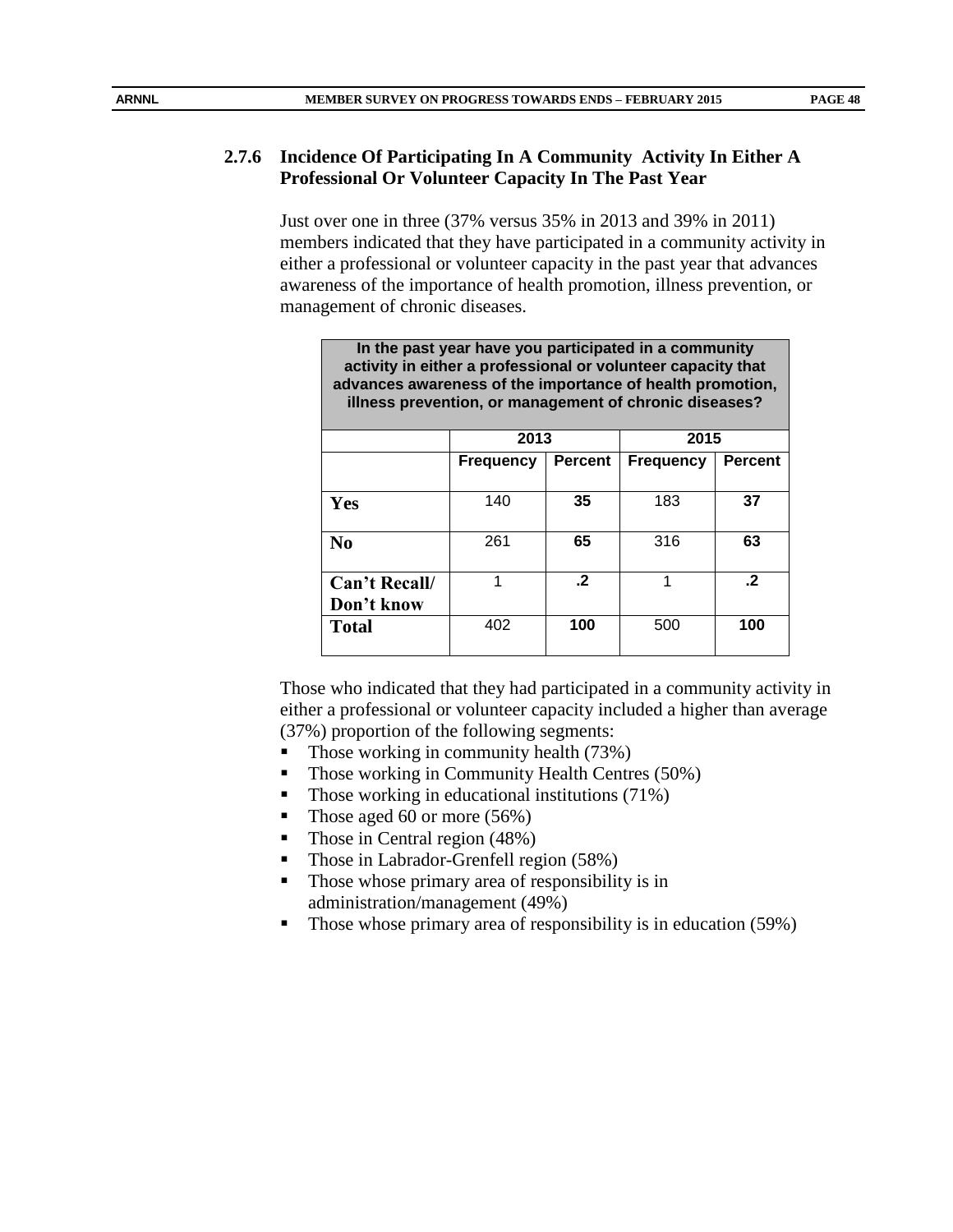# **2.7.6 Incidence Of Participating In A Community Activity In Either A Professional Or Volunteer Capacity In The Past Year**

Just over one in three (37% versus 35% in 2013 and 39% in 2011) members indicated that they have participated in a community activity in either a professional or volunteer capacity in the past year that advances awareness of the importance of health promotion, illness prevention, or management of chronic diseases.

| In the past year have you participated in a community<br>activity in either a professional or volunteer capacity that<br>advances awareness of the importance of health promotion,<br>illness prevention, or management of chronic diseases? |                  |                |                  |                |  |  |  |  |  |  |
|----------------------------------------------------------------------------------------------------------------------------------------------------------------------------------------------------------------------------------------------|------------------|----------------|------------------|----------------|--|--|--|--|--|--|
|                                                                                                                                                                                                                                              | 2013             |                | 2015             |                |  |  |  |  |  |  |
|                                                                                                                                                                                                                                              | <b>Frequency</b> | <b>Percent</b> | <b>Frequency</b> | <b>Percent</b> |  |  |  |  |  |  |
|                                                                                                                                                                                                                                              |                  |                |                  |                |  |  |  |  |  |  |
| Yes                                                                                                                                                                                                                                          | 140              | 35             | 183              | 37             |  |  |  |  |  |  |
| N <sub>0</sub>                                                                                                                                                                                                                               | 261              | 65             | 316              | 63             |  |  |  |  |  |  |
| Can't Recall/                                                                                                                                                                                                                                | 1                | $\cdot$ 2      |                  | $\cdot$        |  |  |  |  |  |  |
| Don't know                                                                                                                                                                                                                                   |                  |                |                  |                |  |  |  |  |  |  |
| <b>Total</b>                                                                                                                                                                                                                                 | 402              | 100            | 500              | 100            |  |  |  |  |  |  |

Those who indicated that they had participated in a community activity in either a professional or volunteer capacity included a higher than average (37%) proportion of the following segments:

- Those working in community health  $(73%)$
- Those working in Community Health Centres (50%)
- Those working in educational institutions (71%)
- Those aged 60 or more  $(56%)$
- Those in Central region (48%)
- Those in Labrador-Grenfell region (58%)
- Those whose primary area of responsibility is in administration/management (49%)
- Those whose primary area of responsibility is in education (59%)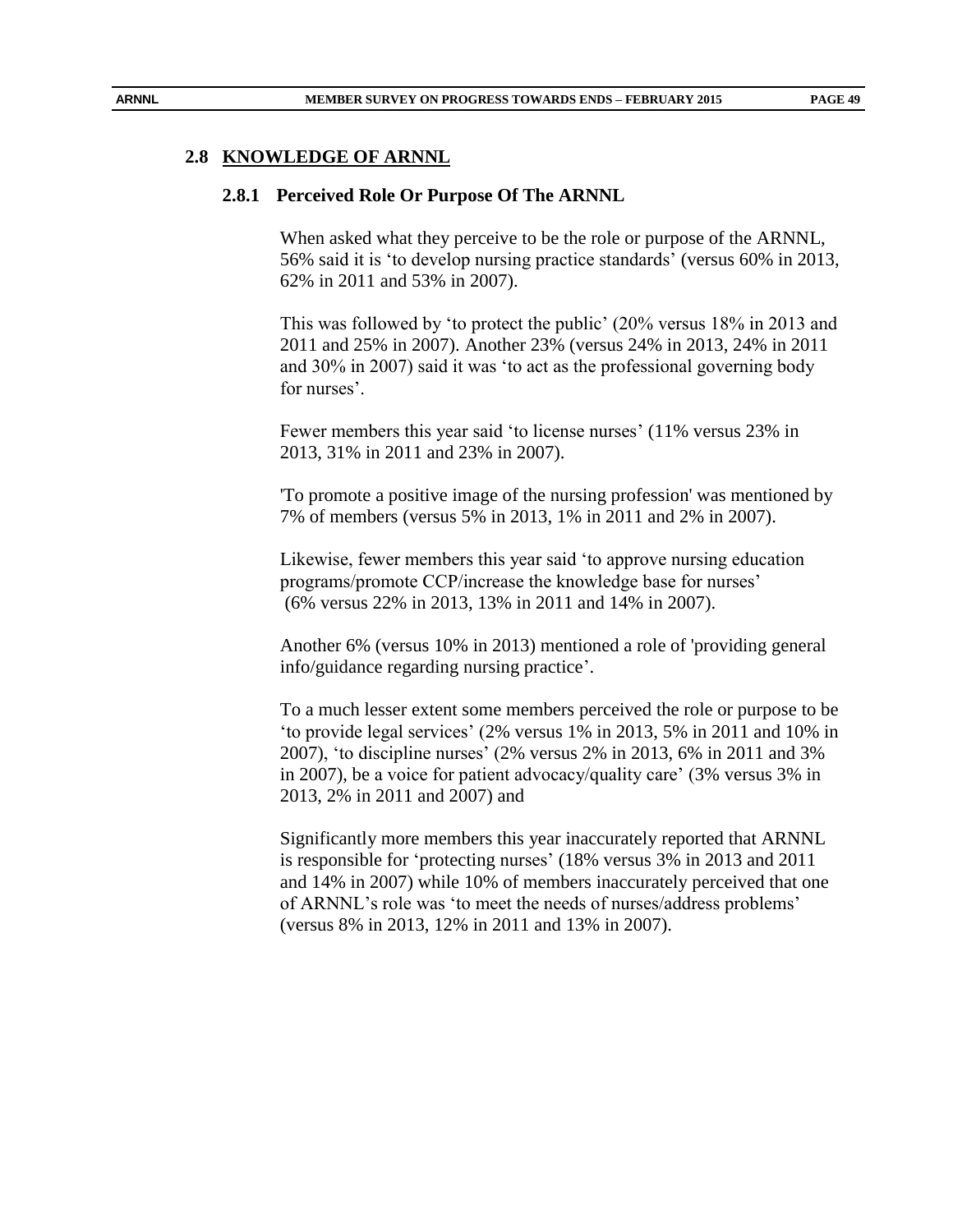#### **2.8 KNOWLEDGE OF ARNNL**

#### **2.8.1 Perceived Role Or Purpose Of The ARNNL**

When asked what they perceive to be the role or purpose of the ARNNL, 56% said it is 'to develop nursing practice standards' (versus 60% in 2013, 62% in 2011 and 53% in 2007).

This was followed by 'to protect the public' (20% versus 18% in 2013 and 2011 and 25% in 2007). Another 23% (versus 24% in 2013, 24% in 2011 and 30% in 2007) said it was 'to act as the professional governing body for nurses'.

Fewer members this year said 'to license nurses' (11% versus 23% in 2013, 31% in 2011 and 23% in 2007).

'To promote a positive image of the nursing profession' was mentioned by 7% of members (versus 5% in 2013, 1% in 2011 and 2% in 2007).

Likewise, fewer members this year said 'to approve nursing education programs/promote CCP/increase the knowledge base for nurses' (6% versus 22% in 2013, 13% in 2011 and 14% in 2007).

Another 6% (versus 10% in 2013) mentioned a role of 'providing general info/guidance regarding nursing practice'.

To a much lesser extent some members perceived the role or purpose to be 'to provide legal services' (2% versus 1% in 2013, 5% in 2011 and 10% in 2007), 'to discipline nurses' (2% versus 2% in 2013, 6% in 2011 and 3% in 2007), be a voice for patient advocacy/quality care' (3% versus 3% in 2013, 2% in 2011 and 2007) and

Significantly more members this year inaccurately reported that ARNNL is responsible for 'protecting nurses' (18% versus 3% in 2013 and 2011 and 14% in 2007) while 10% of members inaccurately perceived that one of ARNNL's role was 'to meet the needs of nurses/address problems' (versus 8% in 2013, 12% in 2011 and 13% in 2007).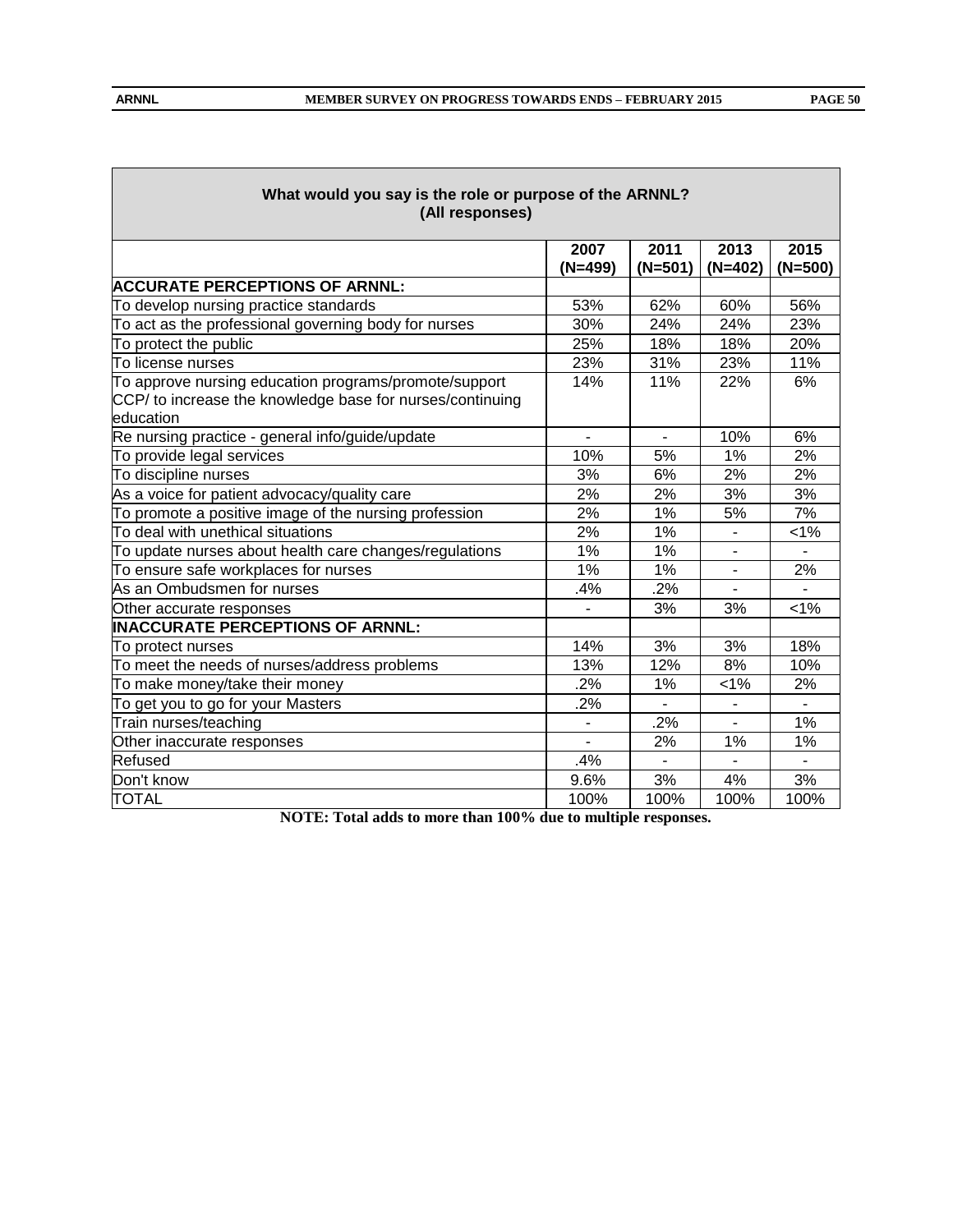| What would you say is the role or purpose of the ARNNL?<br>(All responses)                                                      |                   |                   |                   |                   |  |  |  |  |
|---------------------------------------------------------------------------------------------------------------------------------|-------------------|-------------------|-------------------|-------------------|--|--|--|--|
|                                                                                                                                 | 2007<br>$(N=499)$ | 2011<br>$(N=501)$ | 2013<br>$(N=402)$ | 2015<br>$(N=500)$ |  |  |  |  |
| <b>ACCURATE PERCEPTIONS OF ARNNL:</b>                                                                                           |                   |                   |                   |                   |  |  |  |  |
| To develop nursing practice standards                                                                                           | 53%               | 62%               | 60%               | 56%               |  |  |  |  |
| To act as the professional governing body for nurses                                                                            | 30%               | 24%               | 24%               | 23%               |  |  |  |  |
| To protect the public                                                                                                           | 25%               | 18%               | 18%               | 20%               |  |  |  |  |
| To license nurses                                                                                                               | 23%               | 31%               | 23%               | 11%               |  |  |  |  |
| To approve nursing education programs/promote/support<br>CCP/ to increase the knowledge base for nurses/continuing<br>education | 14%               | 11%               | 22%               | 6%                |  |  |  |  |
| Re nursing practice - general info/guide/update                                                                                 |                   | $\mathbf{r}$      | 10%               | 6%                |  |  |  |  |
| To provide legal services                                                                                                       | 10%               | 5%                | 1%                | 2%                |  |  |  |  |
| To discipline nurses                                                                                                            | 3%                | 6%                | 2%                | 2%                |  |  |  |  |
| As a voice for patient advocacy/quality care                                                                                    | 2%                | 2%                | 3%                | 3%                |  |  |  |  |
| To promote a positive image of the nursing profession                                                                           | 2%                | 1%                | 5%                | 7%                |  |  |  |  |
| To deal with unethical situations                                                                                               | 2%                | 1%                |                   | $< 1\%$           |  |  |  |  |
| To update nurses about health care changes/regulations                                                                          | 1%                | 1%                |                   |                   |  |  |  |  |
| To ensure safe workplaces for nurses                                                                                            | 1%                | 1%                |                   | 2%                |  |  |  |  |
| As an Ombudsmen for nurses                                                                                                      | .4%               | .2%               |                   |                   |  |  |  |  |
| Other accurate responses                                                                                                        |                   | 3%                | 3%                | $< 1\%$           |  |  |  |  |
| INACCURATE PERCEPTIONS OF ARNNL:                                                                                                |                   |                   |                   |                   |  |  |  |  |
| To protect nurses                                                                                                               | 14%               | 3%                | 3%                | 18%               |  |  |  |  |
| To meet the needs of nurses/address problems                                                                                    | 13%               | 12%               | 8%                | 10%               |  |  |  |  |
| To make money/take their money                                                                                                  | .2%               | 1%                | 1%                | 2%                |  |  |  |  |
| To get you to go for your Masters                                                                                               | .2%               |                   |                   |                   |  |  |  |  |
| Train nurses/teaching                                                                                                           | $\blacksquare$    | .2%               |                   | 1%                |  |  |  |  |
| Other inaccurate responses                                                                                                      | $\overline{a}$    | 2%                | 1%                | 1%                |  |  |  |  |
| Refused                                                                                                                         | .4%               |                   |                   |                   |  |  |  |  |
| Don't know                                                                                                                      | 9.6%              | 3%                | 4%                | 3%                |  |  |  |  |
| <b>TOTAL</b>                                                                                                                    | 100%              | 100%              | 100%              | 100%              |  |  |  |  |

**NOTE: Total adds to more than 100% due to multiple responses.**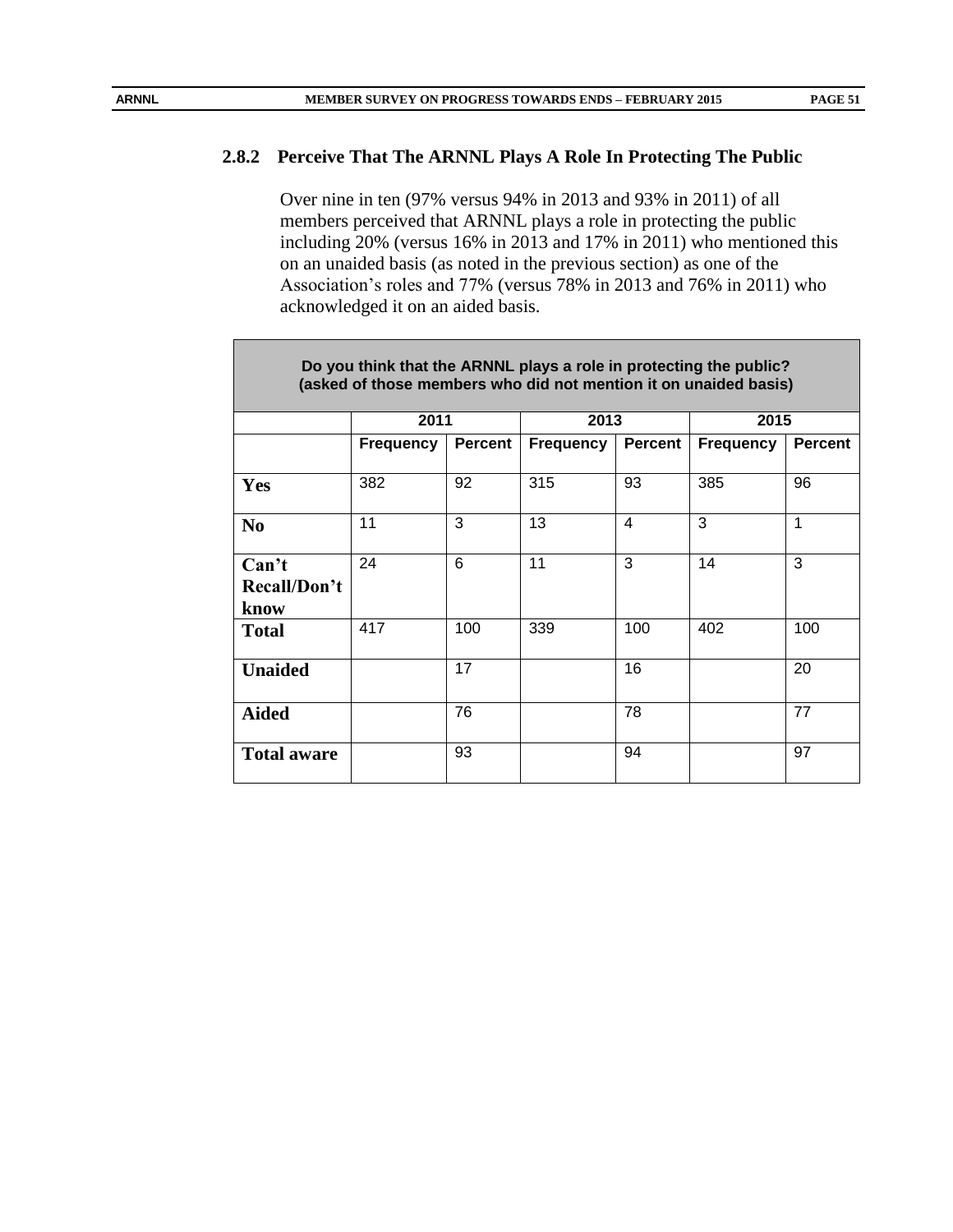#### **2.8.2 Perceive That The ARNNL Plays A Role In Protecting The Public**

Over nine in ten (97% versus 94% in 2013 and 93% in 2011) of all members perceived that ARNNL plays a role in protecting the public including 20% (versus 16% in 2013 and 17% in 2011) who mentioned this on an unaided basis (as noted in the previous section) as one of the Association's roles and 77% (versus 78% in 2013 and 76% in 2011) who acknowledged it on an aided basis.

| Do you think that the ARNNL plays a role in protecting the public?<br>(asked of those members who did not mention it on unaided basis) |                  |                |                  |         |                  |                |  |  |  |  |
|----------------------------------------------------------------------------------------------------------------------------------------|------------------|----------------|------------------|---------|------------------|----------------|--|--|--|--|
|                                                                                                                                        | 2011             |                | 2013             |         | 2015             |                |  |  |  |  |
|                                                                                                                                        | <b>Frequency</b> | <b>Percent</b> | <b>Frequency</b> | Percent | <b>Frequency</b> | <b>Percent</b> |  |  |  |  |
| <b>Yes</b>                                                                                                                             | 382              | 92             | 315              | 93      | 385              | 96             |  |  |  |  |
| N <sub>0</sub>                                                                                                                         | 11               | 3              | 13               | 4       | 3                | 1              |  |  |  |  |
| Can't<br>Recall/Don't<br>know                                                                                                          | 24               | 6              | 11               | 3       | 14               | 3              |  |  |  |  |
| <b>Total</b>                                                                                                                           | 417              | 100            | 339              | 100     | 402              | 100            |  |  |  |  |
| <b>Unaided</b>                                                                                                                         |                  | 17             |                  | 16      |                  | 20             |  |  |  |  |
| <b>Aided</b>                                                                                                                           |                  | 76             |                  | 78      |                  | 77             |  |  |  |  |
| <b>Total aware</b>                                                                                                                     |                  | 93             |                  | 94      |                  | 97             |  |  |  |  |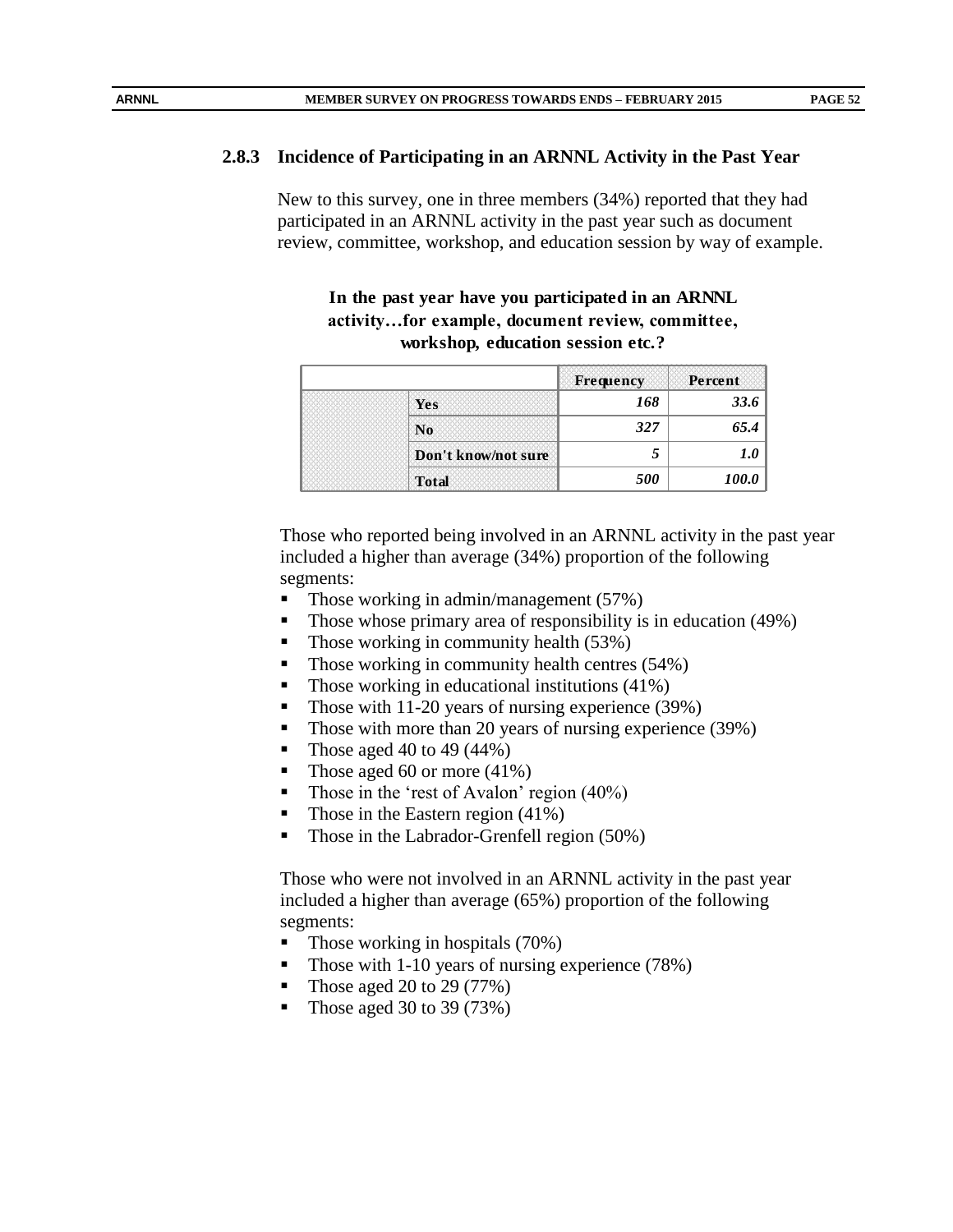### **2.8.3 Incidence of Participating in an ARNNL Activity in the Past Year**

New to this survey, one in three members (34%) reported that they had participated in an ARNNL activity in the past year such as document review, committee, workshop, and education session by way of example.

**In the past year have you participated in an ARNNL activity…for example, document review, committee, workshop, education session etc.?**

|                     | Frequency | Percent |
|---------------------|-----------|---------|
| Yes                 | 168       | 33.6    |
| N <sub>0</sub>      | 327       | 65.4    |
| Don't know/not sure |           |         |
| <b>Total</b>        | 500       | 100.0   |

Those who reported being involved in an ARNNL activity in the past year included a higher than average (34%) proportion of the following segments:

- Those working in admin/management  $(57%)$
- Those whose primary area of responsibility is in education (49%)
- Those working in community health  $(53%)$
- Those working in community health centres (54%)
- $\blacksquare$  Those working in educational institutions (41%)
- Those with 11-20 years of nursing experience (39%)
- Those with more than 20 years of nursing experience (39%)
- Those aged 40 to 49  $(44\%)$
- Those aged 60 or more (41%)
- Those in the 'rest of Avalon' region (40%)
- Those in the Eastern region  $(41\%)$
- Those in the Labrador-Grenfell region (50%)

Those who were not involved in an ARNNL activity in the past year included a higher than average (65%) proportion of the following segments:

- Those working in hospitals (70%)
- Those with 1-10 years of nursing experience (78%)
- Those aged 20 to 29 (77%)
- Those aged 30 to 39  $(73%)$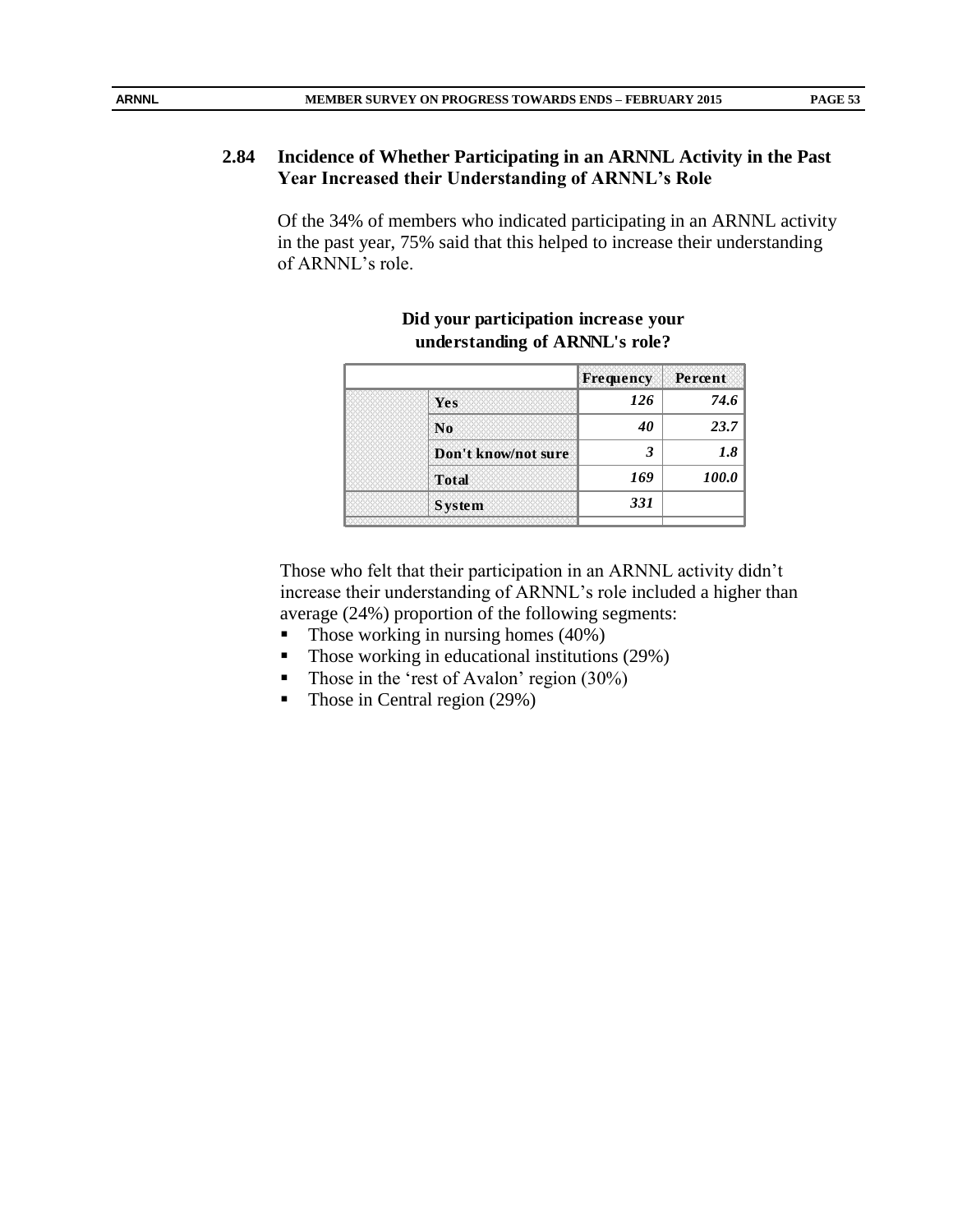# **2.84 Incidence of Whether Participating in an ARNNL Activity in the Past Year Increased their Understanding of ARNNL's Role**

Of the 34% of members who indicated participating in an ARNNL activity in the past year, 75% said that this helped to increase their understanding of ARNNL's role.

|                     | Frequency | Percent |
|---------------------|-----------|---------|
| Yes                 | 126       | 74.6    |
| N <sub>0</sub>      | 40        | 23.7    |
| Don't know/not sure | 3         | 1.8     |
| <b>Total</b>        | 169       | 100.0   |
| <b>System</b>       | 331       |         |
|                     |           |         |

#### **Did your participation increase your understanding of ARNNL's role?**

Those who felt that their participation in an ARNNL activity didn't increase their understanding of ARNNL's role included a higher than average (24%) proportion of the following segments:

- $\blacksquare$  Those working in nursing homes (40%)
- Those working in educational institutions (29%)
- Those in the 'rest of Avalon' region  $(30\%)$
- Those in Central region (29%)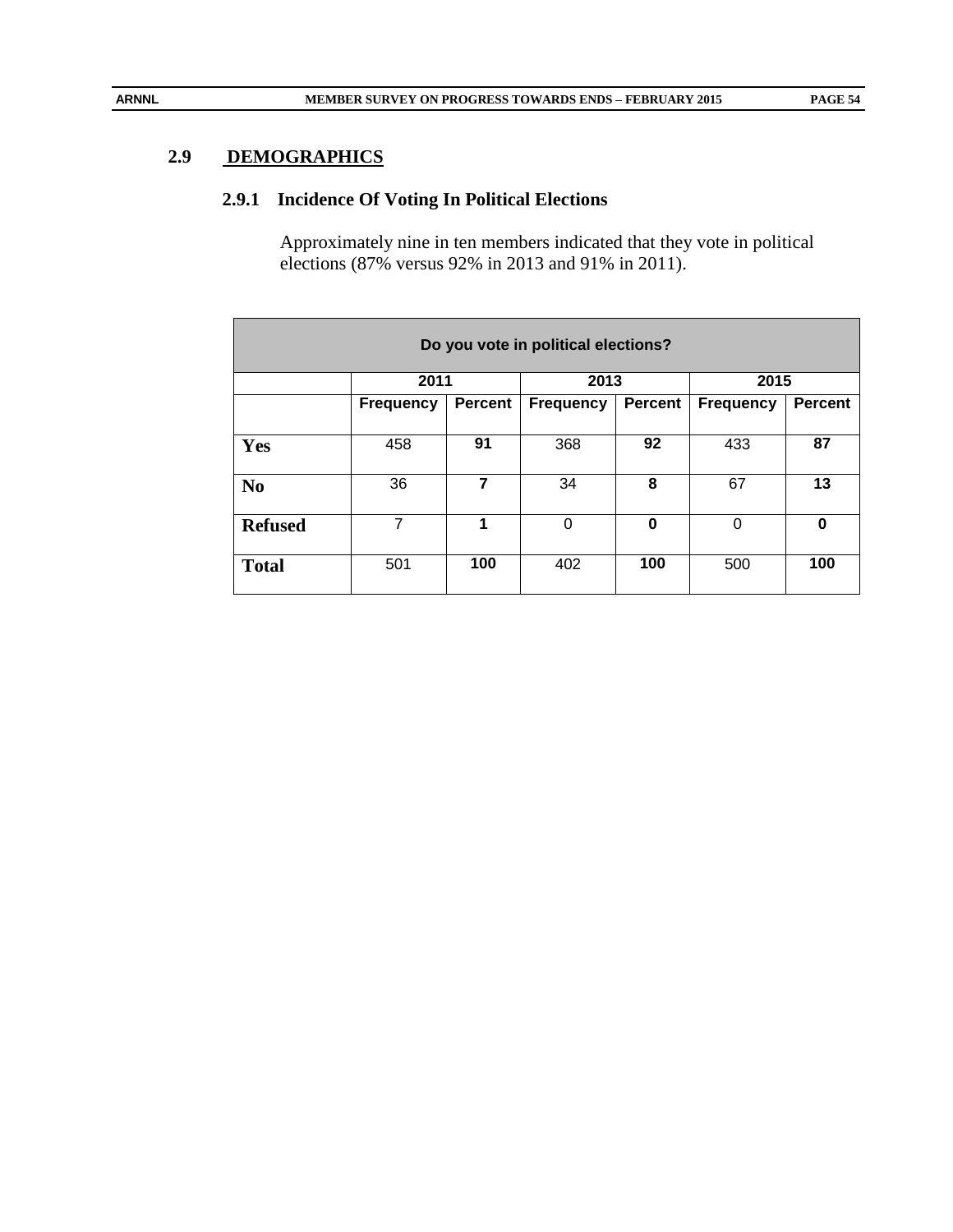# **2.9 DEMOGRAPHICS**

# **2.9.1 Incidence Of Voting In Political Elections**

Approximately nine in ten members indicated that they vote in political elections (87% versus 92% in 2013 and 91% in 2011).

| Do you vote in political elections? |                  |                      |           |                |                  |                |  |  |  |  |  |
|-------------------------------------|------------------|----------------------|-----------|----------------|------------------|----------------|--|--|--|--|--|
|                                     | 2011             |                      | 2013      |                | 2015             |                |  |  |  |  |  |
|                                     | <b>Frequency</b> | <b>Percent</b>       | Frequency | <b>Percent</b> | <b>Frequency</b> | <b>Percent</b> |  |  |  |  |  |
|                                     |                  |                      |           |                |                  |                |  |  |  |  |  |
| Yes                                 | 458              | 91                   | 368       | 92             | 433              | 87             |  |  |  |  |  |
| N <sub>0</sub>                      | 36               | 7                    | 34        | 8              | 67               | 13             |  |  |  |  |  |
| <b>Refused</b>                      | 7                | $\blacktriangleleft$ | 0         | 0              | 0                | $\bf{0}$       |  |  |  |  |  |
| <b>Total</b>                        | 501              | 100                  | 402       | 100            | 500              | 100            |  |  |  |  |  |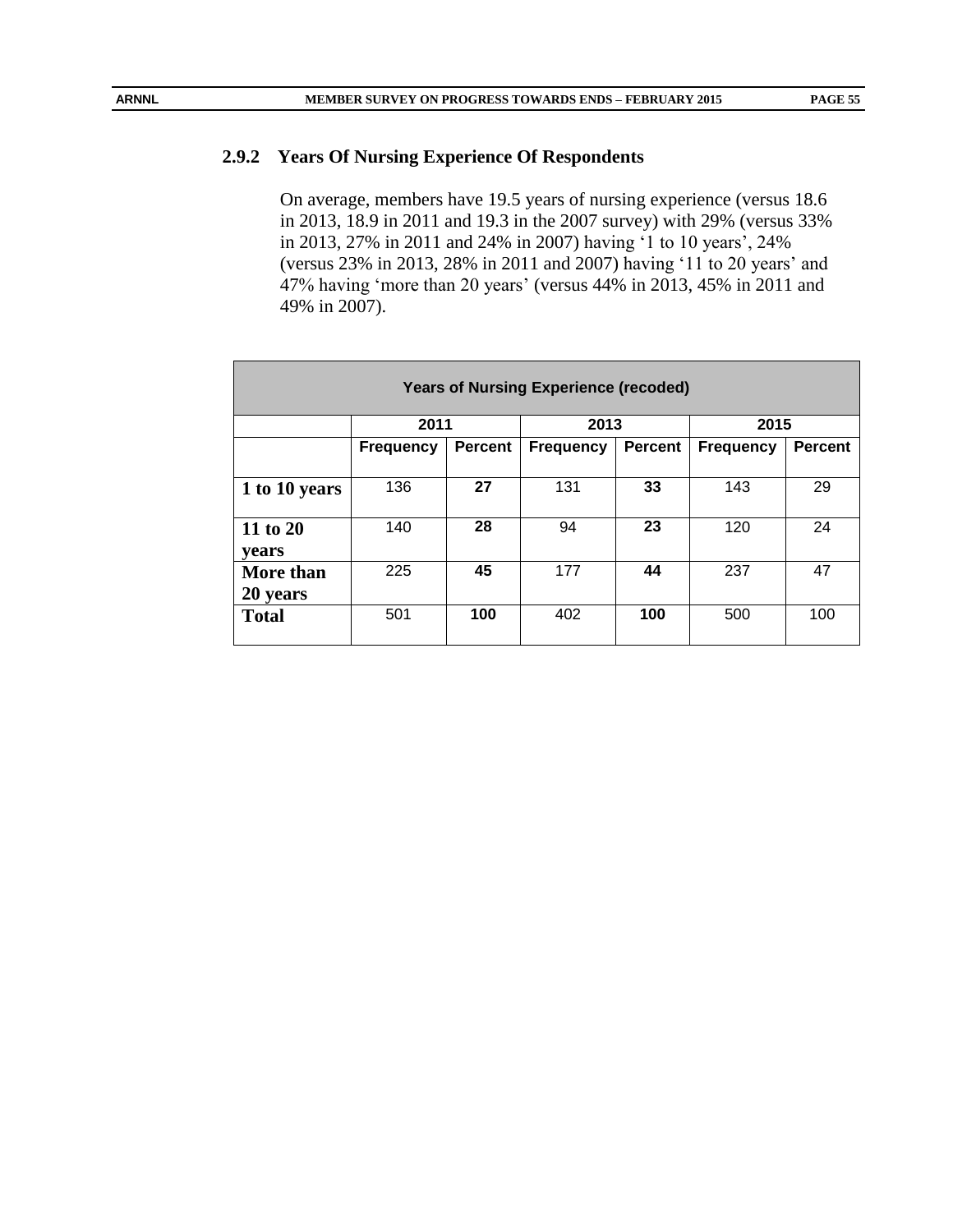### **2.9.2 Years Of Nursing Experience Of Respondents**

On average, members have 19.5 years of nursing experience (versus 18.6 in 2013, 18.9 in 2011 and 19.3 in the 2007 survey) with 29% (versus 33% in 2013, 27% in 2011 and 24% in 2007) having '1 to 10 years', 24% (versus 23% in 2013, 28% in 2011 and 2007) having '11 to 20 years' and 47% having 'more than 20 years' (versus 44% in 2013, 45% in 2011 and 49% in 2007).

| <b>Years of Nursing Experience (recoded)</b> |                  |                |                  |                |                  |                |  |  |  |  |  |
|----------------------------------------------|------------------|----------------|------------------|----------------|------------------|----------------|--|--|--|--|--|
|                                              | 2011             |                | 2013             |                | 2015             |                |  |  |  |  |  |
|                                              | <b>Frequency</b> | <b>Percent</b> | <b>Frequency</b> | <b>Percent</b> | <b>Frequency</b> | <b>Percent</b> |  |  |  |  |  |
|                                              |                  |                |                  |                |                  |                |  |  |  |  |  |
| 1 to 10 years                                | 136              | 27             | 131              | 33             | 143              | 29             |  |  |  |  |  |
| 11 to 20<br>vears                            | 140              | 28             | 94               | 23             | 120              | 24             |  |  |  |  |  |
| <b>More than</b><br>20 years                 | 225              | 45             | 177              | 44             | 237              | 47             |  |  |  |  |  |
| <b>Total</b>                                 | 501              | 100            | 402              | 100            | 500              | 100            |  |  |  |  |  |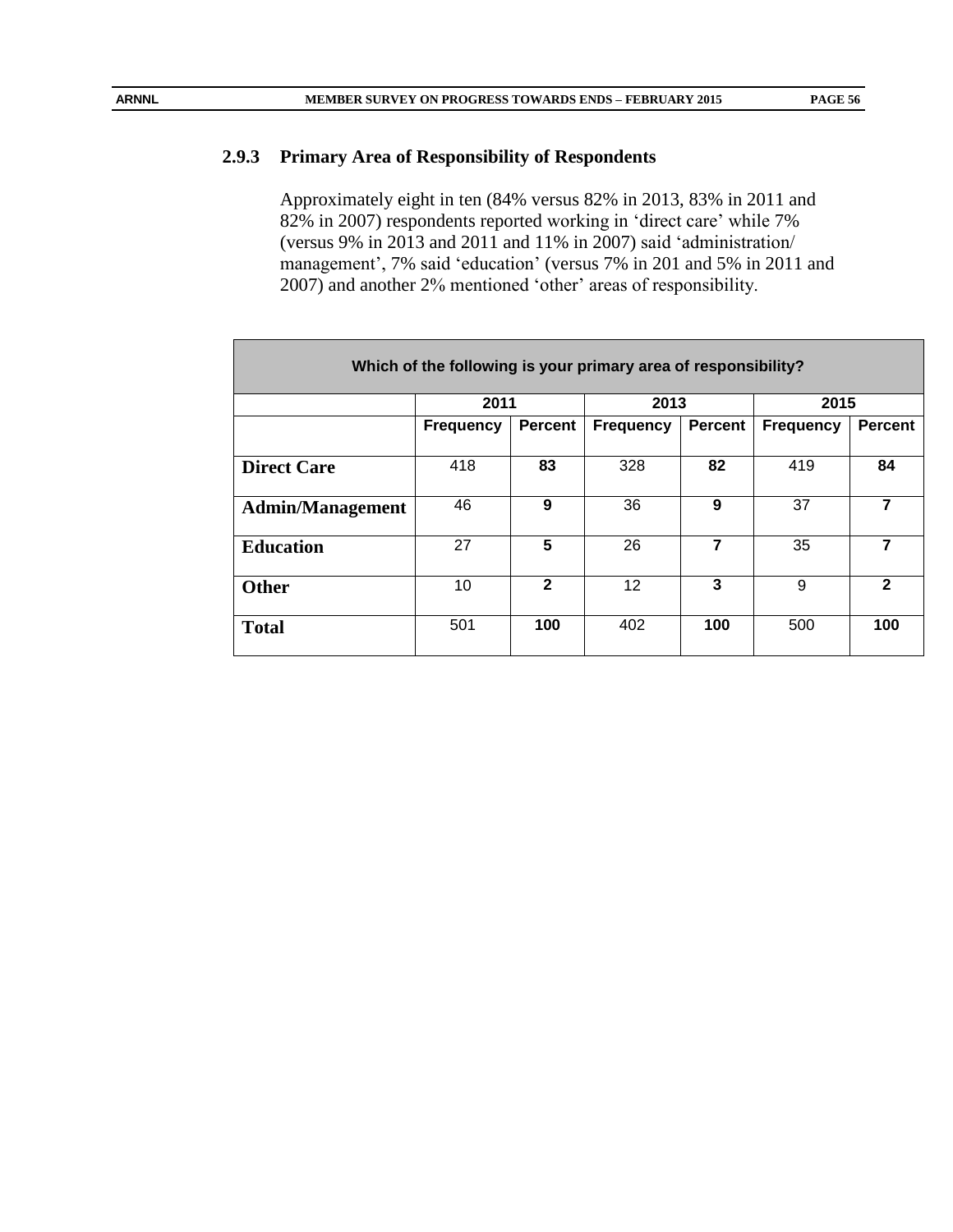# **2.9.3 Primary Area of Responsibility of Respondents**

Approximately eight in ten (84% versus 82% in 2013, 83% in 2011 and 82% in 2007) respondents reported working in 'direct care' while 7% (versus 9% in 2013 and 2011 and 11% in 2007) said 'administration/ management', 7% said 'education' (versus 7% in 201 and 5% in 2011 and 2007) and another 2% mentioned 'other' areas of responsibility.

| Which of the following is your primary area of responsibility? |                  |                |                   |                |                  |                |  |  |  |  |  |
|----------------------------------------------------------------|------------------|----------------|-------------------|----------------|------------------|----------------|--|--|--|--|--|
|                                                                | 2011             |                | 2013              |                | 2015             |                |  |  |  |  |  |
|                                                                | <b>Frequency</b> | <b>Percent</b> | <b>Frequency</b>  | <b>Percent</b> | <b>Frequency</b> | <b>Percent</b> |  |  |  |  |  |
| <b>Direct Care</b>                                             | 418              | 83             | 328               | 82             | 419              | 84             |  |  |  |  |  |
| <b>Admin/Management</b>                                        | 46               | 9              | 36                | 9              | 37               | 7              |  |  |  |  |  |
| <b>Education</b>                                               | 27               | 5              | 26                | $\overline{7}$ | 35               | 7              |  |  |  |  |  |
| <b>Other</b>                                                   | 10               | $\mathbf{2}$   | $12 \overline{ }$ | 3              | 9                | $\mathbf{2}$   |  |  |  |  |  |
| <b>Total</b>                                                   | 501              | 100            | 402               | 100            | 500              | 100            |  |  |  |  |  |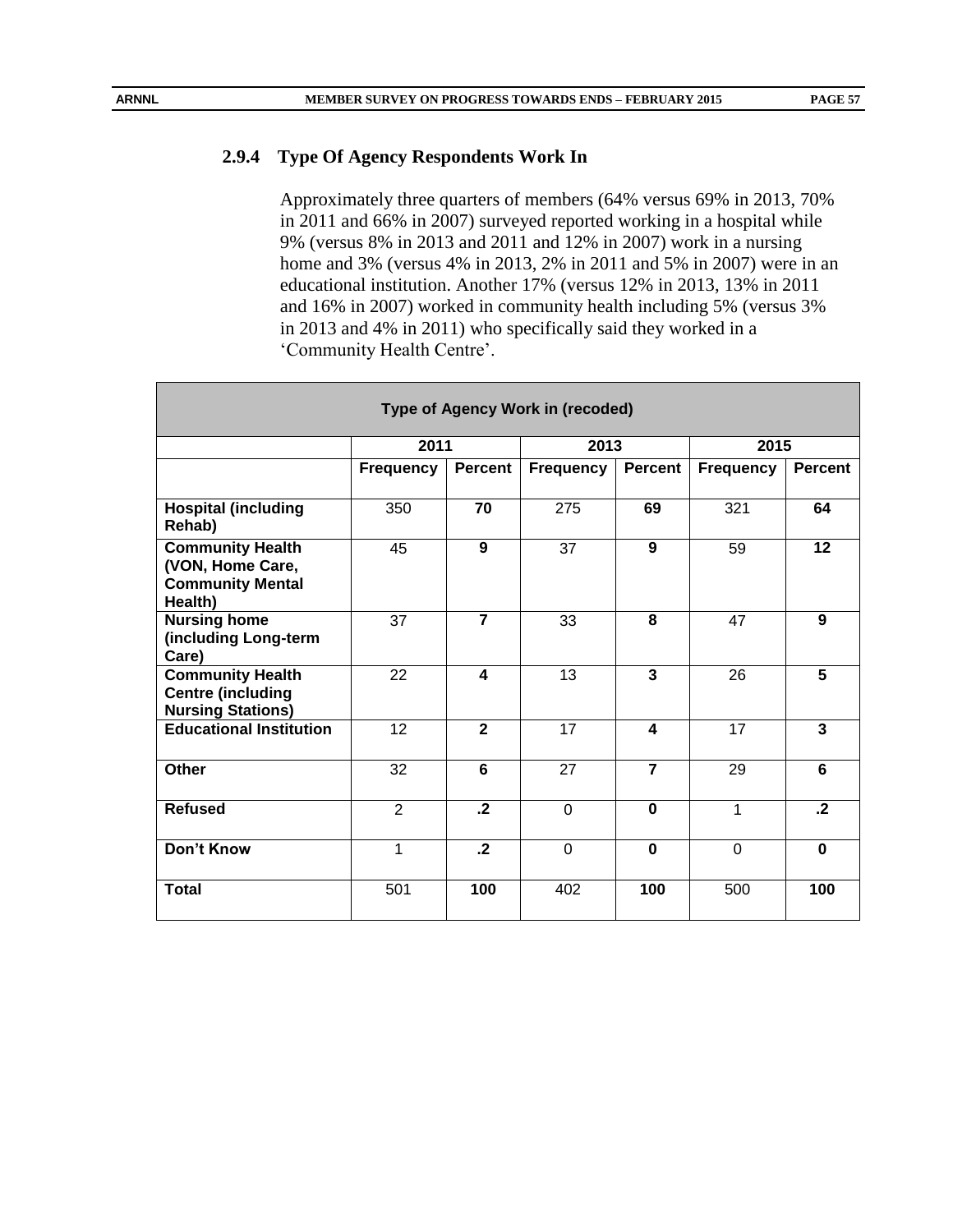# **2.9.4 Type Of Agency Respondents Work In**

Approximately three quarters of members (64% versus 69% in 2013, 70% in 2011 and 66% in 2007) surveyed reported working in a hospital while 9% (versus 8% in 2013 and 2011 and 12% in 2007) work in a nursing home and 3% (versus 4% in 2013, 2% in 2011 and 5% in 2007) were in an educational institution. Another 17% (versus 12% in 2013, 13% in 2011 and 16% in 2007) worked in community health including 5% (versus 3% in 2013 and 4% in 2011) who specifically said they worked in a 'Community Health Centre'.

| <b>Type of Agency Work in (recoded)</b>                                           |                  |                |                  |                |                  |                |  |  |  |  |  |
|-----------------------------------------------------------------------------------|------------------|----------------|------------------|----------------|------------------|----------------|--|--|--|--|--|
|                                                                                   | 2011             |                | 2013             |                | 2015             |                |  |  |  |  |  |
|                                                                                   | <b>Frequency</b> | <b>Percent</b> | <b>Frequency</b> | <b>Percent</b> | <b>Frequency</b> | <b>Percent</b> |  |  |  |  |  |
| <b>Hospital (including</b><br>Rehab)                                              | 350              | 70             | 275              | 69             | 321              | 64             |  |  |  |  |  |
| <b>Community Health</b><br>(VON, Home Care,<br><b>Community Mental</b><br>Health) | 45               | 9              | 37               | 9              | 59               | 12             |  |  |  |  |  |
| <b>Nursing home</b><br>(including Long-term<br>Care)                              | 37               | $\overline{7}$ | 33               | 8              | 47               | 9              |  |  |  |  |  |
| <b>Community Health</b><br><b>Centre (including</b><br><b>Nursing Stations)</b>   | 22               | 4              | 13               | $\overline{3}$ | 26               | $\overline{5}$ |  |  |  |  |  |
| <b>Educational Institution</b>                                                    | 12               | $\overline{2}$ | 17               | 4              | 17               | 3              |  |  |  |  |  |
| Other                                                                             | 32               | 6              | 27               | $\overline{7}$ | 29               | 6              |  |  |  |  |  |
| <b>Refused</b>                                                                    | $\overline{2}$   | $\cdot$        | $\Omega$         | $\bf{0}$       | 1                | $\cdot$        |  |  |  |  |  |
| Don't Know                                                                        | 1                | $\cdot$        | $\Omega$         | $\bf{0}$       | $\Omega$         | $\mathbf 0$    |  |  |  |  |  |
| <b>Total</b>                                                                      | 501              | 100            | 402              | 100            | 500              | 100            |  |  |  |  |  |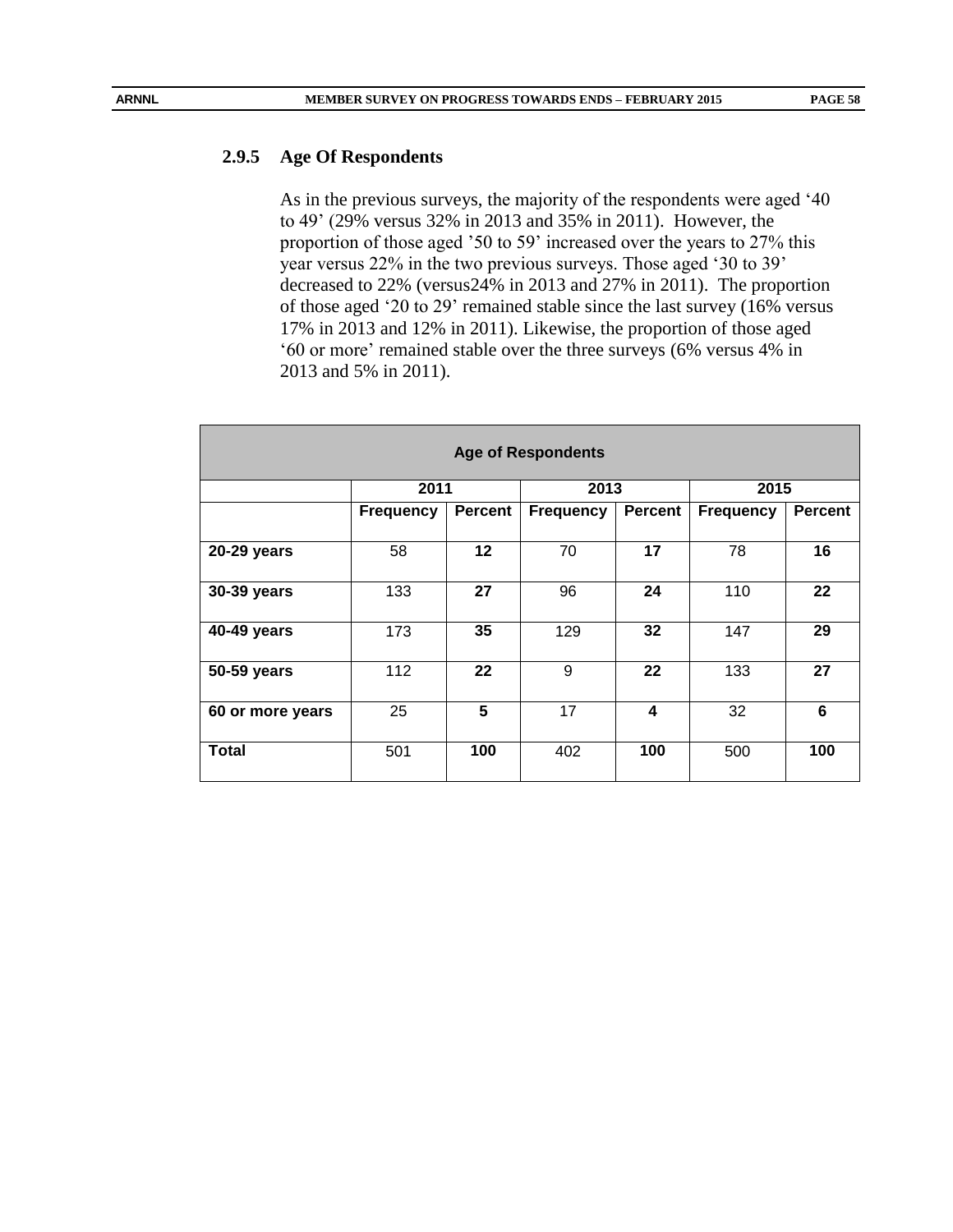#### **2.9.5 Age Of Respondents**

As in the previous surveys, the majority of the respondents were aged '40 to 49' (29% versus 32% in 2013 and 35% in 2011). However, the proportion of those aged '50 to 59' increased over the years to 27% this year versus 22% in the two previous surveys. Those aged '30 to 39' decreased to 22% (versus24% in 2013 and 27% in 2011). The proportion of those aged '20 to 29' remained stable since the last survey (16% versus 17% in 2013 and 12% in 2011). Likewise, the proportion of those aged '60 or more' remained stable over the three surveys (6% versus 4% in 2013 and 5% in 2011).

| <b>Age of Respondents</b> |                  |                |                  |                |                  |                |  |  |  |  |  |
|---------------------------|------------------|----------------|------------------|----------------|------------------|----------------|--|--|--|--|--|
|                           | 2011             |                | 2013             |                | 2015             |                |  |  |  |  |  |
|                           | <b>Frequency</b> | <b>Percent</b> | <b>Frequency</b> | <b>Percent</b> | <b>Frequency</b> | <b>Percent</b> |  |  |  |  |  |
|                           |                  |                |                  |                |                  |                |  |  |  |  |  |
| 20-29 years               | 58               | 12             | 70               | 17             | 78               | 16             |  |  |  |  |  |
|                           |                  |                |                  |                |                  |                |  |  |  |  |  |
| 30-39 years               | 133              | 27             | 96               | 24             | 110              | 22             |  |  |  |  |  |
| 40-49 years               | 173              | 35             | 129              | 32             | 147              | 29             |  |  |  |  |  |
| 50-59 years               | 112              | 22             | 9                | 22             | 133              | 27             |  |  |  |  |  |
|                           |                  |                |                  |                |                  |                |  |  |  |  |  |
| 60 or more years          | 25               | 5              | 17               | 4              | 32               | 6              |  |  |  |  |  |
| Total                     | 501              | 100            | 402              | 100            | 500              | 100            |  |  |  |  |  |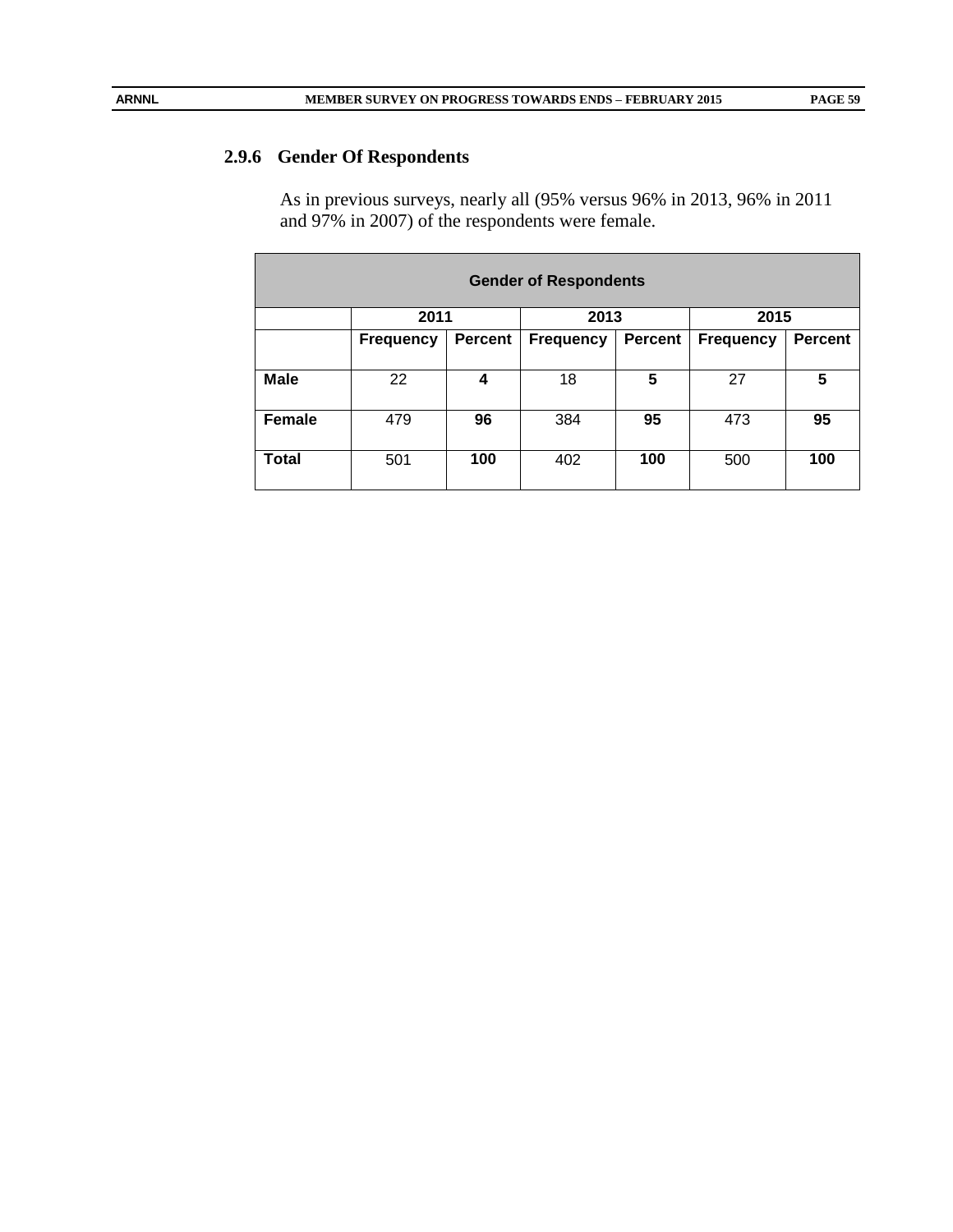# **2.9.6 Gender Of Respondents**

As in previous surveys, nearly all (95% versus 96% in 2013, 96% in 2011 and 97% in 2007) of the respondents were female.

| <b>Gender of Respondents</b> |                  |                |                  |                |                  |                |  |  |  |  |  |
|------------------------------|------------------|----------------|------------------|----------------|------------------|----------------|--|--|--|--|--|
|                              | 2011             |                | 2013             |                | 2015             |                |  |  |  |  |  |
|                              | <b>Frequency</b> | <b>Percent</b> | <b>Frequency</b> | <b>Percent</b> | <b>Frequency</b> | <b>Percent</b> |  |  |  |  |  |
|                              |                  |                |                  |                |                  |                |  |  |  |  |  |
| <b>Male</b>                  | 22               | 4              | 18               | 5              | 27               | 5              |  |  |  |  |  |
| <b>Female</b>                | 479              | 96             | 384              | 95             | 473              | 95             |  |  |  |  |  |
| Total                        | 501              | 100            | 402              | 100            | 500              | 100            |  |  |  |  |  |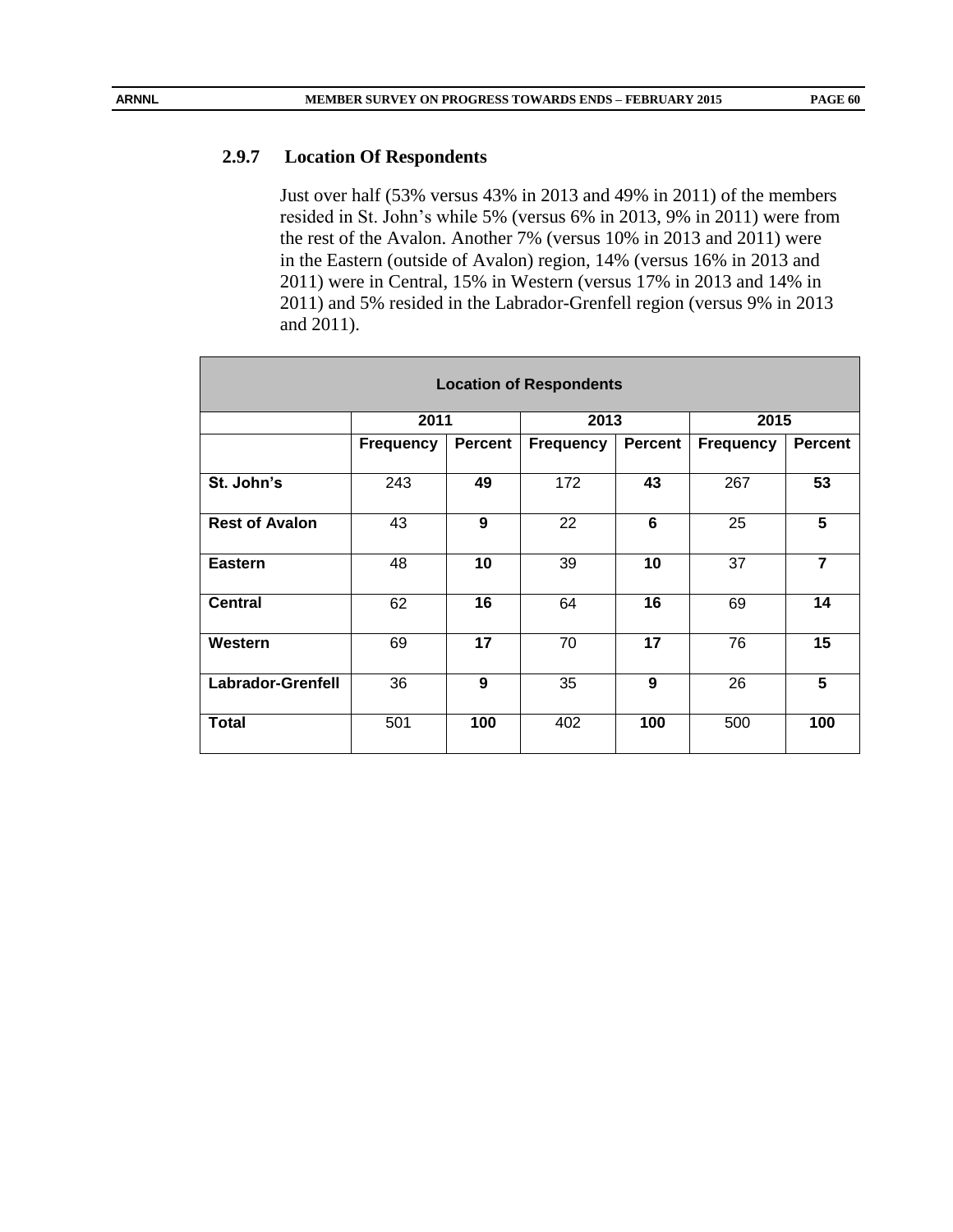#### **2.9.7 Location Of Respondents**

Just over half (53% versus 43% in 2013 and 49% in 2011) of the members resided in St. John's while 5% (versus 6% in 2013, 9% in 2011) were from the rest of the Avalon. Another 7% (versus 10% in 2013 and 2011) were in the Eastern (outside of Avalon) region, 14% (versus 16% in 2013 and 2011) were in Central, 15% in Western (versus 17% in 2013 and 14% in 2011) and 5% resided in the Labrador-Grenfell region (versus 9% in 2013 and 2011).

| <b>Location of Respondents</b> |                  |         |                  |                |           |                |  |  |  |  |
|--------------------------------|------------------|---------|------------------|----------------|-----------|----------------|--|--|--|--|
|                                | 2011             |         | 2013             |                | 2015      |                |  |  |  |  |
|                                | <b>Frequency</b> | Percent | <b>Frequency</b> | <b>Percent</b> | Frequency | <b>Percent</b> |  |  |  |  |
| St. John's                     | 243              | 49      | 172              | 43             | 267       | 53             |  |  |  |  |
| <b>Rest of Avalon</b>          | 43               | 9       | 22               | 6              | 25        | 5              |  |  |  |  |
| <b>Eastern</b>                 | 48               | 10      | 39               | 10             | 37        | $\overline{7}$ |  |  |  |  |
| <b>Central</b>                 | 62               | 16      | 64               | 16             | 69        | 14             |  |  |  |  |
| Western                        | 69               | 17      | 70               | 17             | 76        | 15             |  |  |  |  |
| <b>Labrador-Grenfell</b>       | 36               | 9       | 35               | 9              | 26        | 5              |  |  |  |  |
| Total                          | 501              | 100     | 402              | 100            | 500       | 100            |  |  |  |  |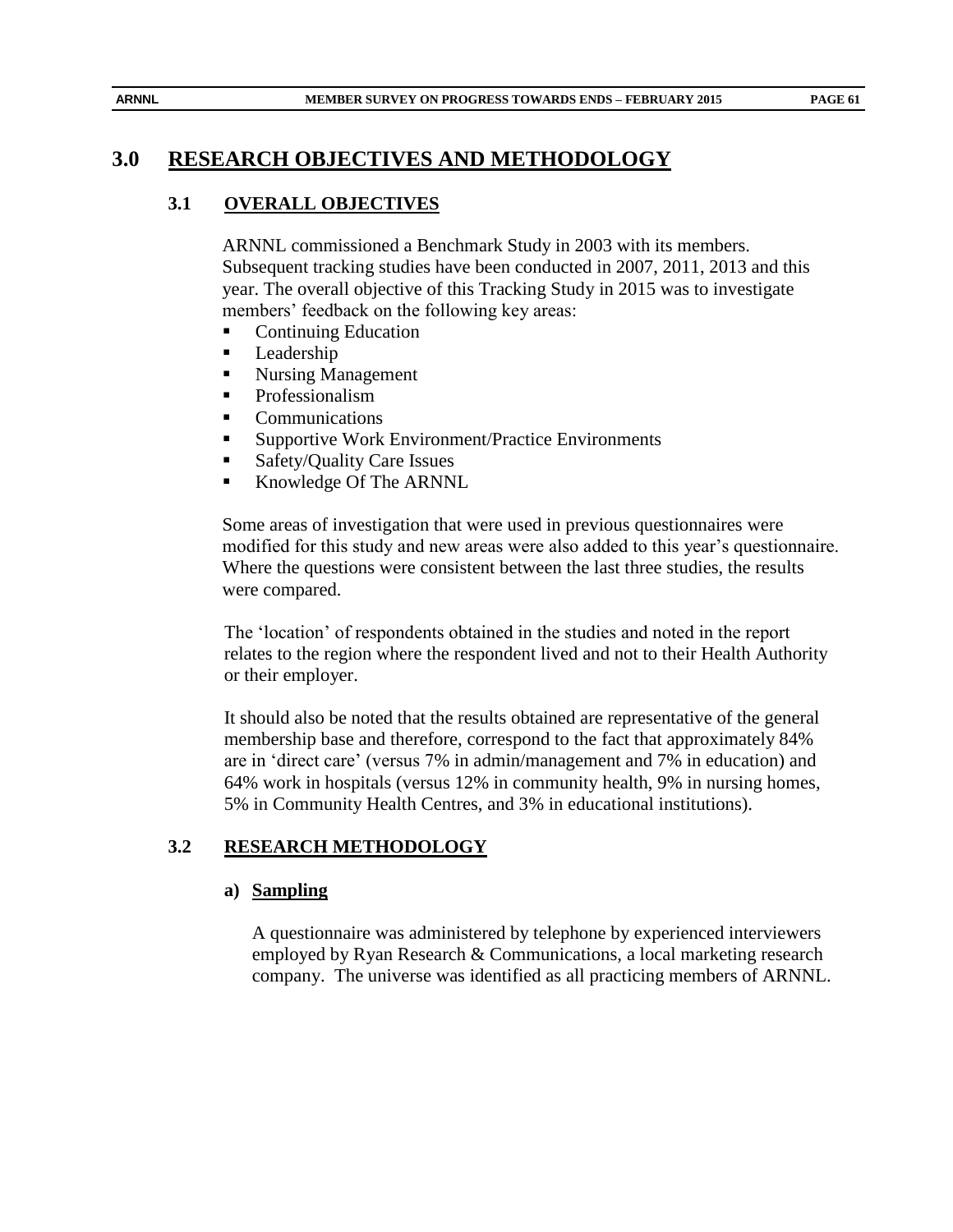# **3.0 RESEARCH OBJECTIVES AND METHODOLOGY**

# **3.1 OVERALL OBJECTIVES**

ARNNL commissioned a Benchmark Study in 2003 with its members. Subsequent tracking studies have been conducted in 2007, 2011, 2013 and this year. The overall objective of this Tracking Study in 2015 was to investigate members' feedback on the following key areas:

- Continuing Education
- **Leadership**
- Nursing Management
- **Professionalism**
- Communications
- Supportive Work Environment/Practice Environments
- Safety/Quality Care Issues
- Knowledge Of The ARNNL

Some areas of investigation that were used in previous questionnaires were modified for this study and new areas were also added to this year's questionnaire. Where the questions were consistent between the last three studies, the results were compared.

The 'location' of respondents obtained in the studies and noted in the report relates to the region where the respondent lived and not to their Health Authority or their employer.

It should also be noted that the results obtained are representative of the general membership base and therefore, correspond to the fact that approximately 84% are in 'direct care' (versus 7% in admin/management and 7% in education) and 64% work in hospitals (versus 12% in community health, 9% in nursing homes, 5% in Community Health Centres, and 3% in educational institutions).

# **3.2 RESEARCH METHODOLOGY**

#### **a) Sampling**

A questionnaire was administered by telephone by experienced interviewers employed by Ryan Research & Communications, a local marketing research company. The universe was identified as all practicing members of ARNNL.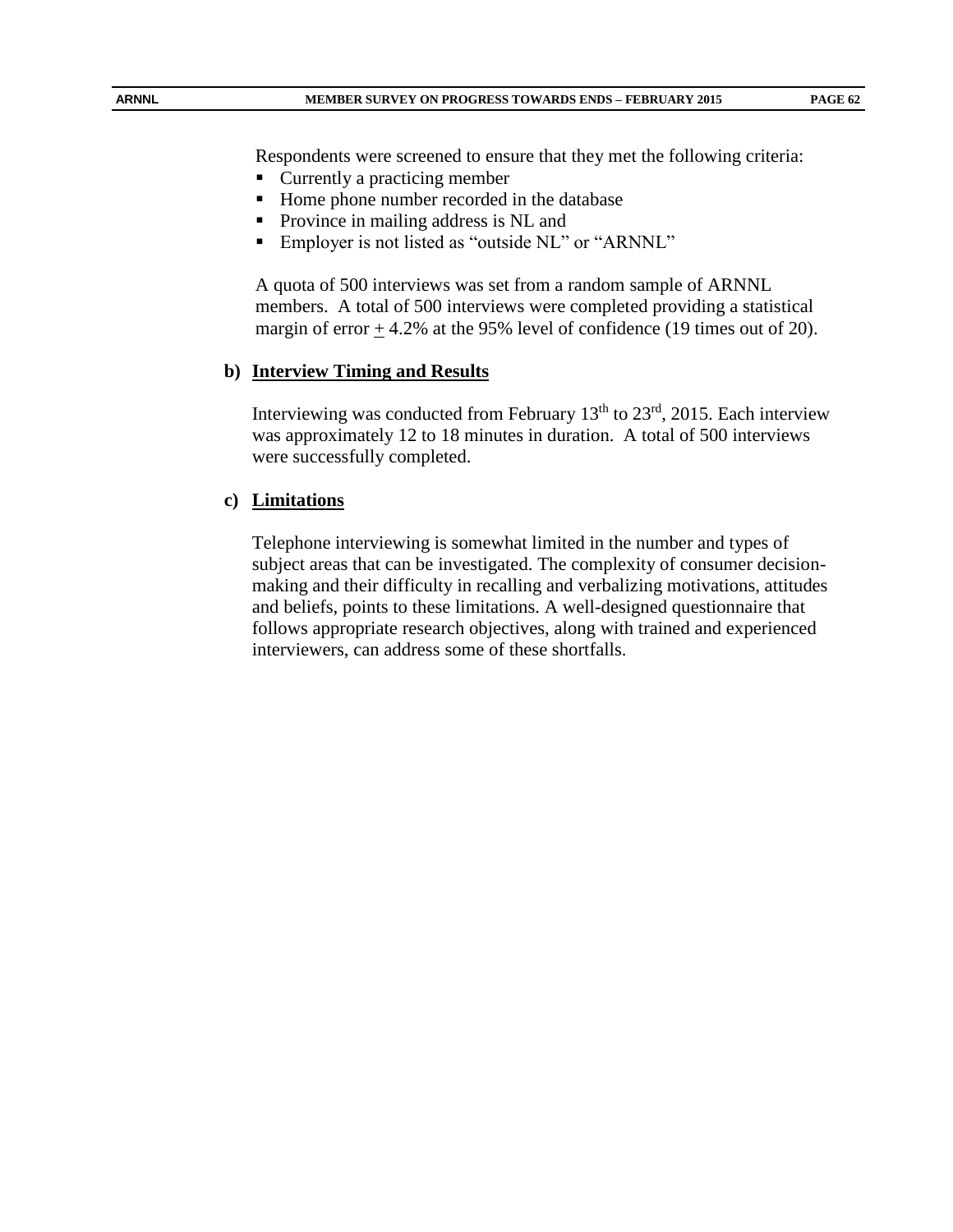Respondents were screened to ensure that they met the following criteria:

- Currently a practicing member
- Home phone number recorded in the database
- Province in mailing address is NL and
- Employer is not listed as "outside NL" or "ARNNL"

A quota of 500 interviews was set from a random sample of ARNNL members. A total of 500 interviews were completed providing a statistical margin of error  $\pm$  4.2% at the 95% level of confidence (19 times out of 20).

#### **b) Interview Timing and Results**

Interviewing was conducted from February  $13<sup>th</sup>$  to  $23<sup>rd</sup>$ , 2015. Each interview was approximately 12 to 18 minutes in duration. A total of 500 interviews were successfully completed.

#### **c) Limitations**

Telephone interviewing is somewhat limited in the number and types of subject areas that can be investigated. The complexity of consumer decisionmaking and their difficulty in recalling and verbalizing motivations, attitudes and beliefs, points to these limitations. A well-designed questionnaire that follows appropriate research objectives, along with trained and experienced interviewers, can address some of these shortfalls.